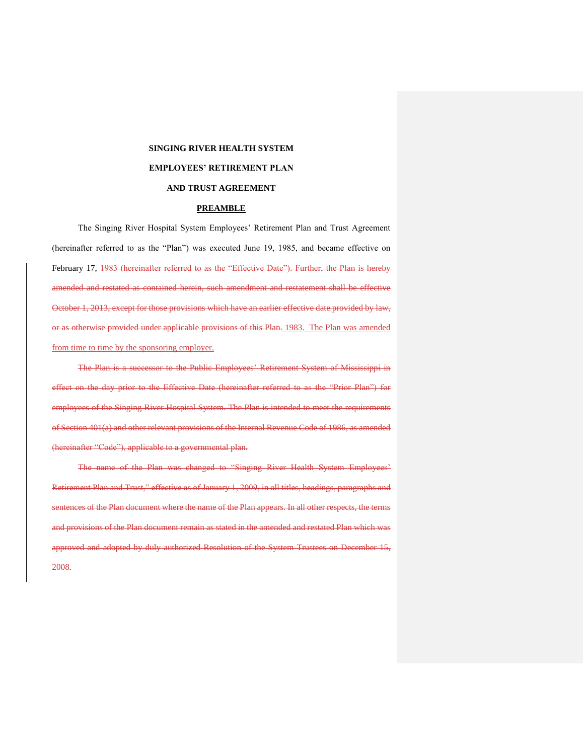## **SINGING RIVER HEALTH SYSTEM**

## **EMPLOYEES' RETIREMENT PLAN**

## **AND TRUST AGREEMENT**

#### **PREAMBLE**

The Singing River Hospital System Employees' Retirement Plan and Trust Agreement (hereinafter referred to as the "Plan") was executed June 19, 1985, and became effective on February 17, 1983 (hereinafter referred to as the "Effective Date"). Further, the Plan is hereby amended and restated as contained herein, such amendment and restatement shall be effective October 1, 2013, except for those provisions which have an earlier effective date provided by law, or as otherwise provided under applicable provisions of this Plan. 1983. The Plan was amended from time to time by the sponsoring employer.

The Plan is a successor to the Public Employees' Retirement System of Mississippi in effect on the day prior to the Effective Date (hereinafter referred to as the "Prior Plan") for employees of the Singing River Hospital System. The Plan is intended to meet the requirements of Section 401(a) and other relevant provisions of the Internal Revenue Code of 1986, as amended (hereinafter "Code"), applicable to a governmental plan.

The name of the Plan was changed to "Singing River Health System Employees' Retirement Plan and Trust," effective as of January 1, 2009, in all titles, headings, paragraphs and sentences of the Plan document where the name of the Plan appears. In all other respects, the terms and provisions of the Plan document remain as stated in the amended and restated Plan which was approved and adopted by duly authorized Resolution of the System Trustees on December 15, 2008.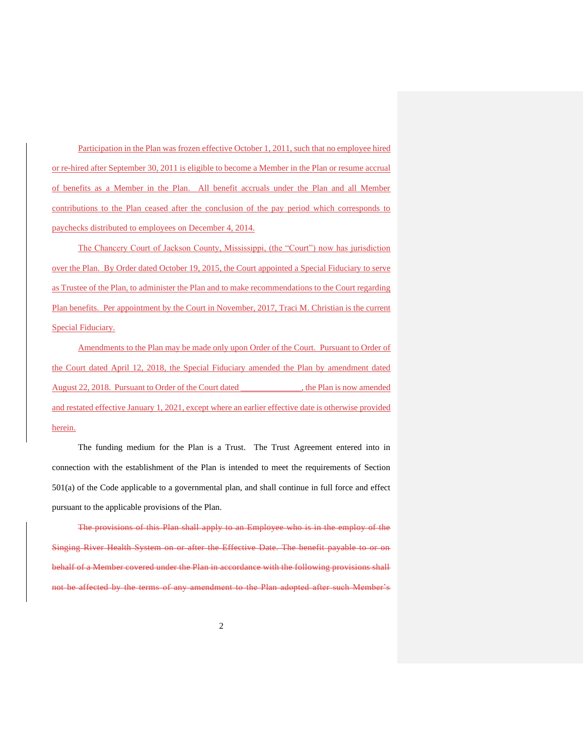Participation in the Plan was frozen effective October 1, 2011, such that no employee hired or re-hired after September 30, 2011 is eligible to become a Member in the Plan or resume accrual of benefits as a Member in the Plan. All benefit accruals under the Plan and all Member contributions to the Plan ceased after the conclusion of the pay period which corresponds to paychecks distributed to employees on December 4, 2014.

The Chancery Court of Jackson County, Mississippi, (the "Court") now has jurisdiction over the Plan. By Order dated October 19, 2015, the Court appointed a Special Fiduciary to serve as Trustee of the Plan, to administer the Plan and to make recommendations to the Court regarding Plan benefits. Per appointment by the Court in November, 2017, Traci M. Christian is the current Special Fiduciary.

Amendments to the Plan may be made only upon Order of the Court. Pursuant to Order of the Court dated April 12, 2018, the Special Fiduciary amended the Plan by amendment dated August 22, 2018. Pursuant to Order of the Court dated \_\_\_\_\_\_\_\_\_\_\_\_\_\_, the Plan is now amended and restated effective January 1, 2021, except where an earlier effective date is otherwise provided herein.

The funding medium for the Plan is a Trust. The Trust Agreement entered into in connection with the establishment of the Plan is intended to meet the requirements of Section 501(a) of the Code applicable to a governmental plan, and shall continue in full force and effect pursuant to the applicable provisions of the Plan.

The provisions of this Plan shall apply to an Employee who is in the employ of the Singing River Health System on or after the Effective Date. The benefit payable to or on behalf of a Member covered under the Plan in accordance with the following provisions shall not be affected by the terms of any amendment to the Plan adopted after such Member's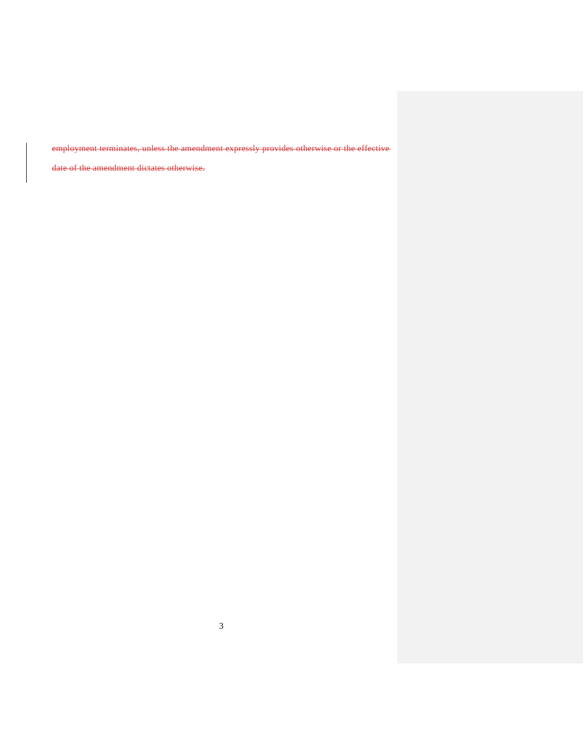employment terminates, unless the amendment expressly provides otherwise or the effective

date of the amendment dictates otherwise.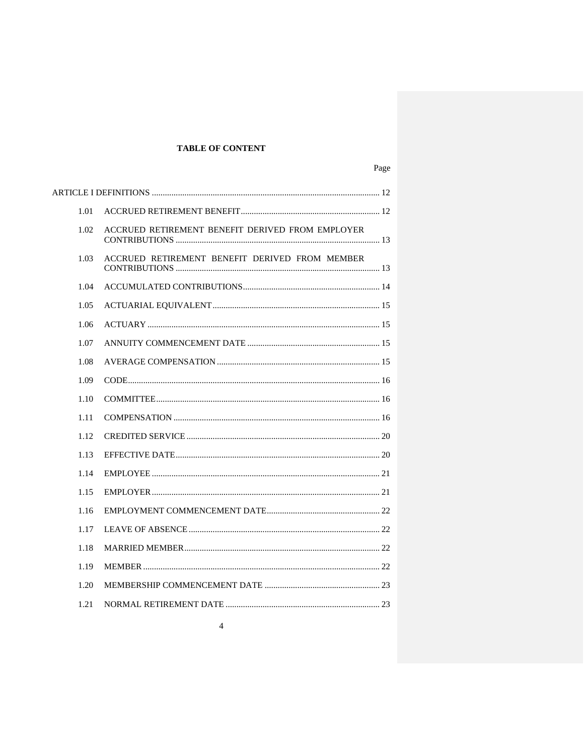# **TABLE OF CONTENT**

| 1.01 |                                                  |  |
|------|--------------------------------------------------|--|
| 1.02 | ACCRUED RETIREMENT BENEFIT DERIVED FROM EMPLOYER |  |
| 1.03 | ACCRUED RETIREMENT BENEFIT DERIVED FROM MEMBER   |  |
| 1.04 |                                                  |  |
| 1.05 |                                                  |  |
| 1.06 |                                                  |  |
| 1.07 |                                                  |  |
| 1.08 |                                                  |  |
| 1.09 |                                                  |  |
| 1.10 |                                                  |  |
| 1.11 |                                                  |  |
| 1.12 |                                                  |  |
| 1.13 |                                                  |  |
| 1.14 |                                                  |  |
| 1.15 |                                                  |  |
| 1.16 |                                                  |  |
| 1.17 |                                                  |  |
| 1.18 |                                                  |  |
| 1.19 |                                                  |  |
| 1.20 |                                                  |  |
| 1.21 |                                                  |  |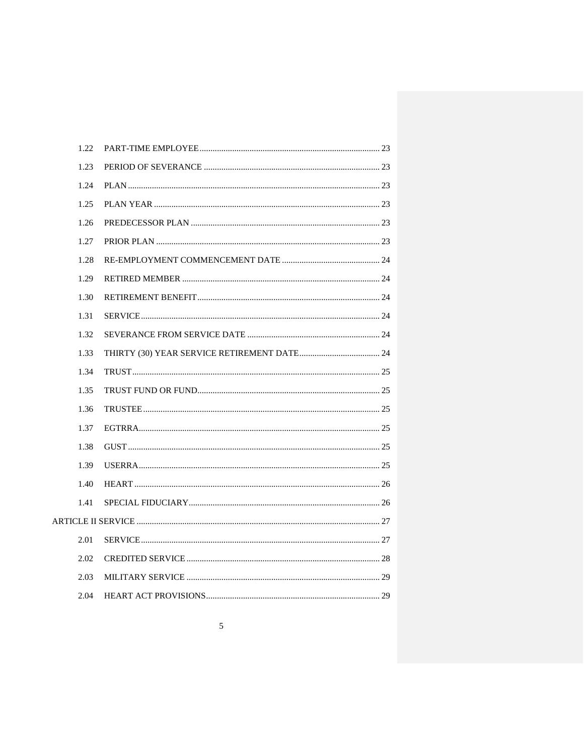| 1.22 |  |  |
|------|--|--|
| 1.23 |  |  |
| 1.24 |  |  |
| 1.25 |  |  |
| 1.26 |  |  |
| 1.27 |  |  |
| 1.28 |  |  |
| 1.29 |  |  |
| 1.30 |  |  |
| 1.31 |  |  |
| 1.32 |  |  |
| 1.33 |  |  |
| 1.34 |  |  |
| 1.35 |  |  |
| 1.36 |  |  |
| 1.37 |  |  |
| 1.38 |  |  |
| 1.39 |  |  |
| 1.40 |  |  |
| 1.41 |  |  |
|      |  |  |
| 2.01 |  |  |
| 2.02 |  |  |
| 2.03 |  |  |
| 2.04 |  |  |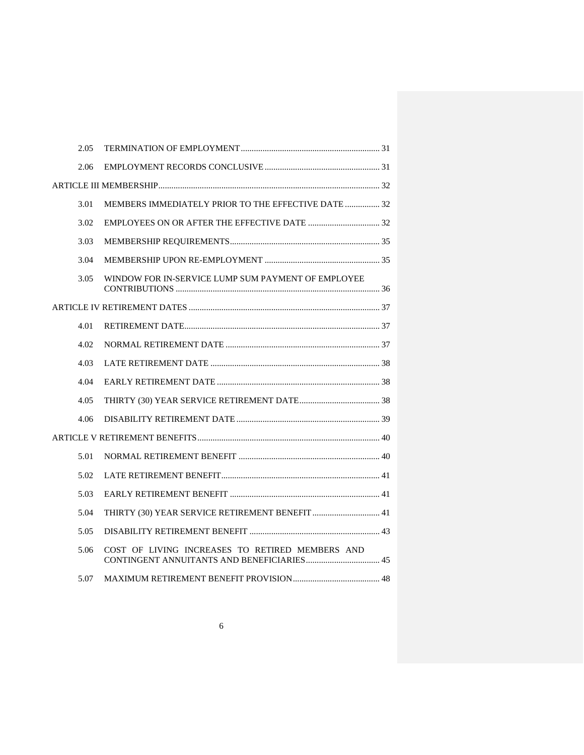| 2.05 |                                                     |  |  |
|------|-----------------------------------------------------|--|--|
| 2.06 |                                                     |  |  |
|      |                                                     |  |  |
| 3.01 | MEMBERS IMMEDIATELY PRIOR TO THE EFFECTIVE DATE  32 |  |  |
| 3.02 |                                                     |  |  |
| 3.03 |                                                     |  |  |
| 3.04 |                                                     |  |  |
| 3.05 | WINDOW FOR IN-SERVICE LUMP SUM PAYMENT OF EMPLOYEE  |  |  |
|      |                                                     |  |  |
| 4.01 |                                                     |  |  |
| 4.02 |                                                     |  |  |
| 4.03 |                                                     |  |  |
| 4.04 |                                                     |  |  |
| 4.05 |                                                     |  |  |
| 4.06 |                                                     |  |  |
|      |                                                     |  |  |
| 5.01 |                                                     |  |  |
| 5.02 |                                                     |  |  |
| 5.03 |                                                     |  |  |
| 5.04 | THIRTY (30) YEAR SERVICE RETIREMENT BENEFIT  41     |  |  |
| 5.05 |                                                     |  |  |
| 5.06 | COST OF LIVING INCREASES TO RETIRED MEMBERS AND     |  |  |
| 5.07 |                                                     |  |  |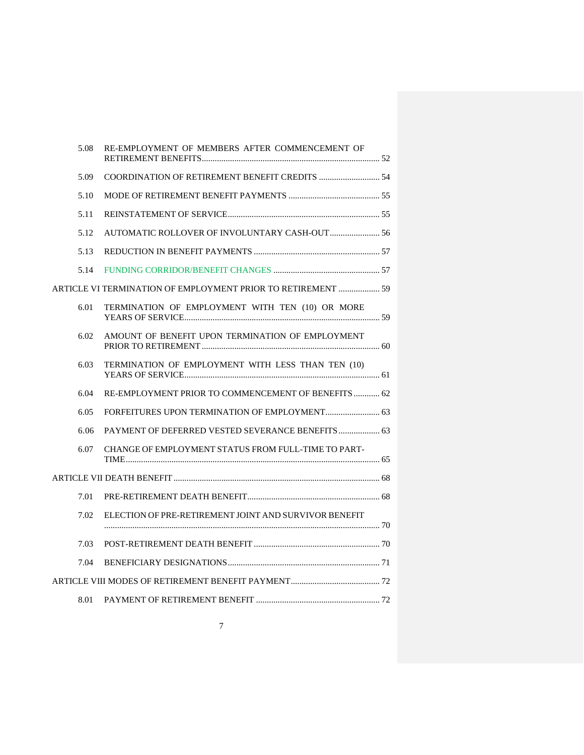| 5.08 | RE-EMPLOYMENT OF MEMBERS AFTER COMMENCEMENT OF               |  |
|------|--------------------------------------------------------------|--|
| 5.09 |                                                              |  |
| 5.10 |                                                              |  |
| 5.11 |                                                              |  |
| 5.12 |                                                              |  |
| 5.13 |                                                              |  |
| 5.14 |                                                              |  |
|      | ARTICLE VI TERMINATION OF EMPLOYMENT PRIOR TO RETIREMENT  59 |  |
| 6.01 | TERMINATION OF EMPLOYMENT WITH TEN (10) OR MORE              |  |
| 6.02 | AMOUNT OF BENEFIT UPON TERMINATION OF EMPLOYMENT             |  |
| 6.03 | TERMINATION OF EMPLOYMENT WITH LESS THAN TEN (10)            |  |
| 6.04 | RE-EMPLOYMENT PRIOR TO COMMENCEMENT OF BENEFITS  62          |  |
| 6.05 |                                                              |  |
| 6.06 | PAYMENT OF DEFERRED VESTED SEVERANCE BENEFITS  63            |  |
| 6.07 | CHANGE OF EMPLOYMENT STATUS FROM FULL-TIME TO PART-          |  |
|      |                                                              |  |
| 7.01 |                                                              |  |
| 7.02 | ELECTION OF PRE-RETIREMENT JOINT AND SURVIVOR BENEFIT        |  |
| 7.03 |                                                              |  |
| 7.04 |                                                              |  |
|      |                                                              |  |
| 8.01 |                                                              |  |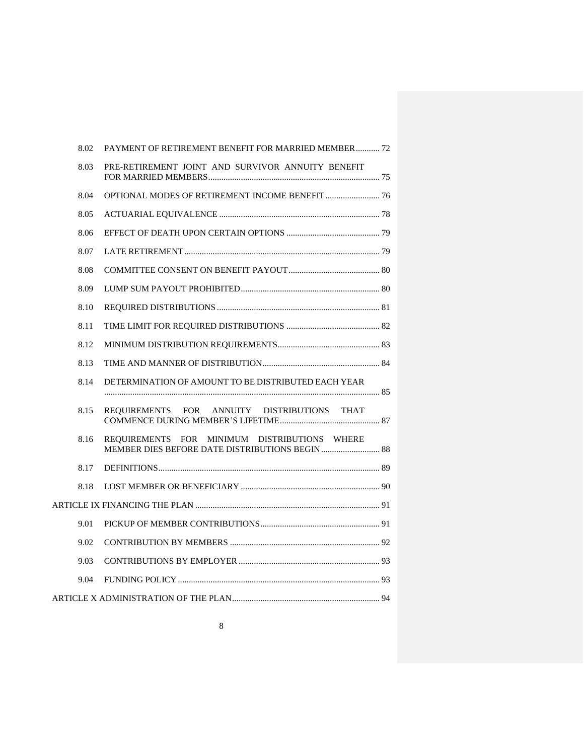| 8.02 | PAYMENT OF RETIREMENT BENEFIT FOR MARRIED MEMBER 72 |  |
|------|-----------------------------------------------------|--|
| 8.03 | PRE-RETIREMENT JOINT AND SURVIVOR ANNUITY BENEFIT   |  |
| 8.04 |                                                     |  |
| 8.05 |                                                     |  |
| 8.06 |                                                     |  |
| 8.07 |                                                     |  |
| 8.08 |                                                     |  |
| 8.09 |                                                     |  |
| 8.10 |                                                     |  |
| 8.11 |                                                     |  |
| 8.12 |                                                     |  |
| 8.13 |                                                     |  |
| 8.14 | DETERMINATION OF AMOUNT TO BE DISTRIBUTED EACH YEAR |  |
| 8.15 | REQUIREMENTS FOR ANNUITY DISTRIBUTIONS THAT         |  |
| 8.16 | REQUIREMENTS FOR MINIMUM DISTRIBUTIONS WHERE        |  |
| 8.17 |                                                     |  |
| 8.18 |                                                     |  |
|      |                                                     |  |
| 9.01 |                                                     |  |
| 9.02 |                                                     |  |
| 9.03 |                                                     |  |
| 9.04 |                                                     |  |
|      |                                                     |  |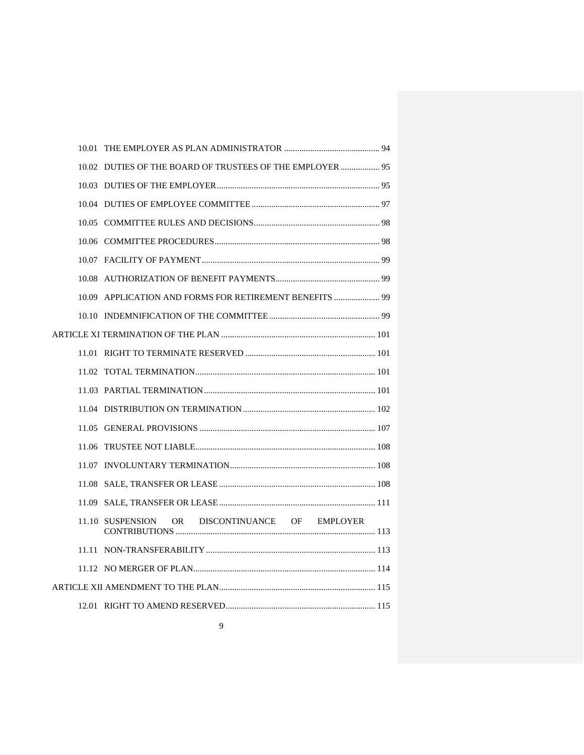|  | 10.02 DUTIES OF THE BOARD OF TRUSTEES OF THE EMPLOYER  95 |  |
|--|-----------------------------------------------------------|--|
|  |                                                           |  |
|  |                                                           |  |
|  |                                                           |  |
|  |                                                           |  |
|  |                                                           |  |
|  |                                                           |  |
|  | 10.09 APPLICATION AND FORMS FOR RETIREMENT BENEFITS  99   |  |
|  |                                                           |  |
|  |                                                           |  |
|  |                                                           |  |
|  |                                                           |  |
|  |                                                           |  |
|  |                                                           |  |
|  |                                                           |  |
|  |                                                           |  |
|  |                                                           |  |
|  |                                                           |  |
|  |                                                           |  |
|  | OR DISCONTINUANCE OF EMPLOYER<br>11.10 SUSPENSION         |  |
|  |                                                           |  |
|  |                                                           |  |
|  |                                                           |  |
|  |                                                           |  |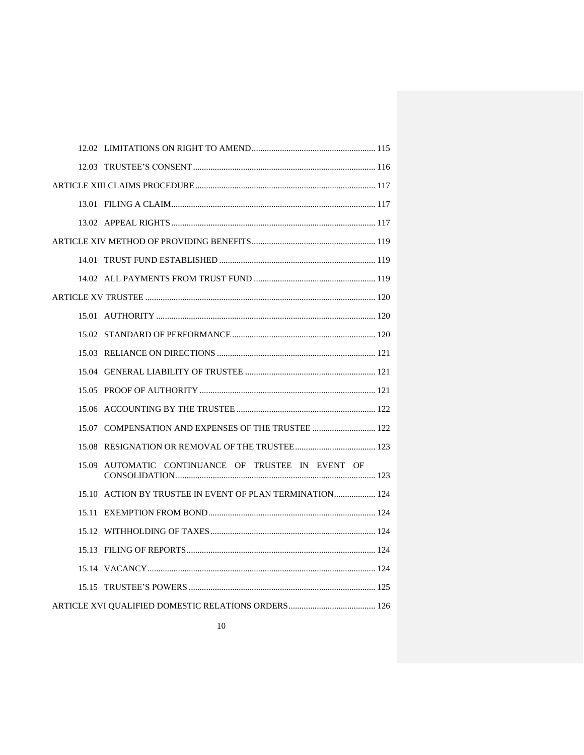| 15.07 COMPENSATION AND EXPENSES OF THE TRUSTEE  122      |  |
|----------------------------------------------------------|--|
|                                                          |  |
| 15.09 AUTOMATIC CONTINUANCE OF TRUSTEE IN EVENT OF       |  |
| 15.10 ACTION BY TRUSTEE IN EVENT OF PLAN TERMINATION 124 |  |
|                                                          |  |
|                                                          |  |
|                                                          |  |
|                                                          |  |
|                                                          |  |
|                                                          |  |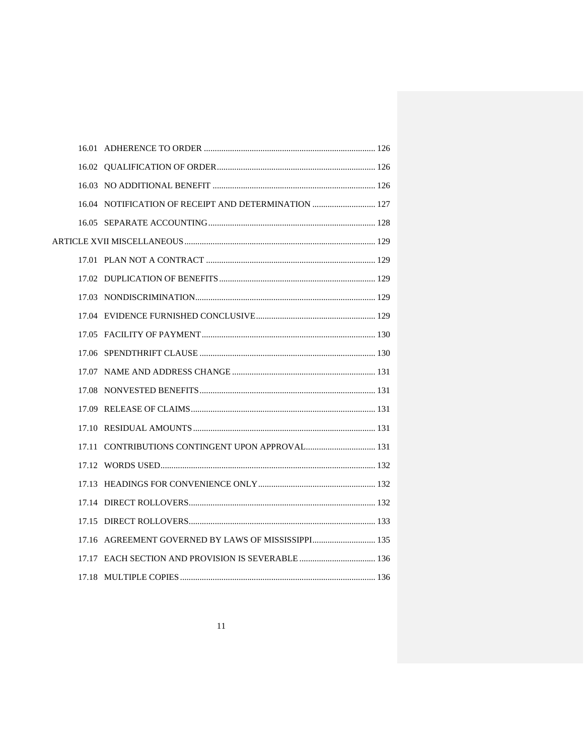| 16.04 NOTIFICATION OF RECEIPT AND DETERMINATION  127 |  |
|------------------------------------------------------|--|
|                                                      |  |
|                                                      |  |
|                                                      |  |
|                                                      |  |
|                                                      |  |
|                                                      |  |
|                                                      |  |
|                                                      |  |
|                                                      |  |
|                                                      |  |
|                                                      |  |
|                                                      |  |
| 17.11 CONTRIBUTIONS CONTINGENT UPON APPROVAL 131     |  |
|                                                      |  |
|                                                      |  |
|                                                      |  |
|                                                      |  |
|                                                      |  |
|                                                      |  |
|                                                      |  |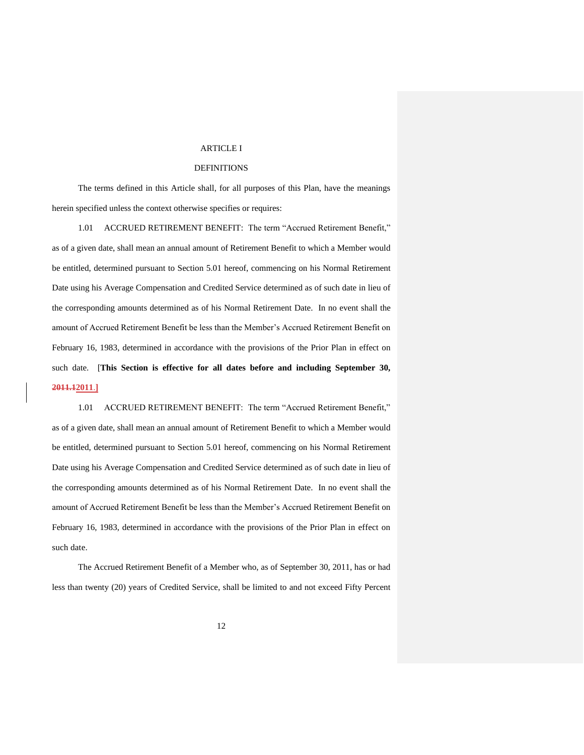#### ARTICLE I

#### DEFINITIONS

The terms defined in this Article shall, for all purposes of this Plan, have the meanings herein specified unless the context otherwise specifies or requires:

1.01 ACCRUED RETIREMENT BENEFIT: The term "Accrued Retirement Benefit," as of a given date, shall mean an annual amount of Retirement Benefit to which a Member would be entitled, determined pursuant to Section 5.01 hereof, commencing on his Normal Retirement Date using his Average Compensation and Credited Service determined as of such date in lieu of the corresponding amounts determined as of his Normal Retirement Date. In no event shall the amount of Accrued Retirement Benefit be less than the Member's Accrued Retirement Benefit on February 16, 1983, determined in accordance with the provisions of the Prior Plan in effect on such date. [**This Section is effective for all dates before and including September 30, 2011.12011**.**]**

1.01 ACCRUED RETIREMENT BENEFIT: The term "Accrued Retirement Benefit," as of a given date, shall mean an annual amount of Retirement Benefit to which a Member would be entitled, determined pursuant to Section 5.01 hereof, commencing on his Normal Retirement Date using his Average Compensation and Credited Service determined as of such date in lieu of the corresponding amounts determined as of his Normal Retirement Date. In no event shall the amount of Accrued Retirement Benefit be less than the Member's Accrued Retirement Benefit on February 16, 1983, determined in accordance with the provisions of the Prior Plan in effect on such date.

The Accrued Retirement Benefit of a Member who, as of September 30, 2011, has or had less than twenty (20) years of Credited Service, shall be limited to and not exceed Fifty Percent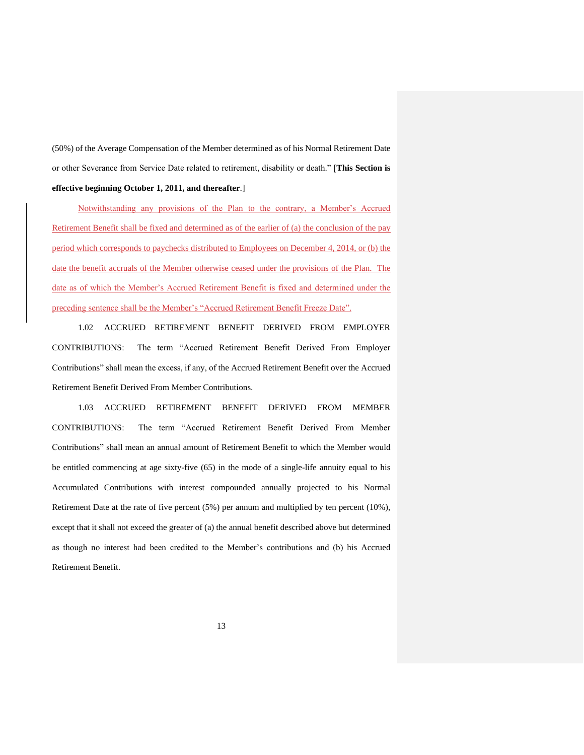(50%) of the Average Compensation of the Member determined as of his Normal Retirement Date or other Severance from Service Date related to retirement, disability or death." [**This Section is effective beginning October 1, 2011, and thereafter**.]

Notwithstanding any provisions of the Plan to the contrary, a Member's Accrued Retirement Benefit shall be fixed and determined as of the earlier of (a) the conclusion of the pay period which corresponds to paychecks distributed to Employees on December 4, 2014, or (b) the date the benefit accruals of the Member otherwise ceased under the provisions of the Plan. The date as of which the Member's Accrued Retirement Benefit is fixed and determined under the preceding sentence shall be the Member's "Accrued Retirement Benefit Freeze Date".

1.02 ACCRUED RETIREMENT BENEFIT DERIVED FROM EMPLOYER CONTRIBUTIONS: The term "Accrued Retirement Benefit Derived From Employer Contributions" shall mean the excess, if any, of the Accrued Retirement Benefit over the Accrued Retirement Benefit Derived From Member Contributions.

1.03 ACCRUED RETIREMENT BENEFIT DERIVED FROM MEMBER CONTRIBUTIONS: The term "Accrued Retirement Benefit Derived From Member Contributions" shall mean an annual amount of Retirement Benefit to which the Member would be entitled commencing at age sixty-five (65) in the mode of a single-life annuity equal to his Accumulated Contributions with interest compounded annually projected to his Normal Retirement Date at the rate of five percent (5%) per annum and multiplied by ten percent (10%), except that it shall not exceed the greater of (a) the annual benefit described above but determined as though no interest had been credited to the Member's contributions and (b) his Accrued Retirement Benefit.

13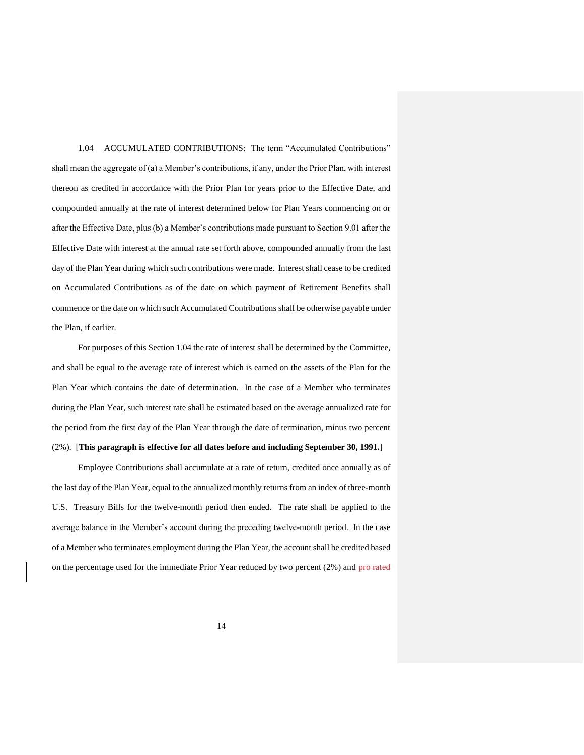1.04 ACCUMULATED CONTRIBUTIONS: The term "Accumulated Contributions" shall mean the aggregate of (a) a Member's contributions, if any, under the Prior Plan, with interest thereon as credited in accordance with the Prior Plan for years prior to the Effective Date, and compounded annually at the rate of interest determined below for Plan Years commencing on or after the Effective Date, plus (b) a Member's contributions made pursuant to Section 9.01 after the Effective Date with interest at the annual rate set forth above, compounded annually from the last day of the Plan Year during which such contributions were made. Interest shall cease to be credited on Accumulated Contributions as of the date on which payment of Retirement Benefits shall commence or the date on which such Accumulated Contributions shall be otherwise payable under the Plan, if earlier.

For purposes of this Section 1.04 the rate of interest shall be determined by the Committee, and shall be equal to the average rate of interest which is earned on the assets of the Plan for the Plan Year which contains the date of determination. In the case of a Member who terminates during the Plan Year, such interest rate shall be estimated based on the average annualized rate for the period from the first day of the Plan Year through the date of termination, minus two percent (2%). [**This paragraph is effective for all dates before and including September 30, 1991.**]

Employee Contributions shall accumulate at a rate of return, credited once annually as of the last day of the Plan Year, equal to the annualized monthly returns from an index of three-month U.S. Treasury Bills for the twelve-month period then ended. The rate shall be applied to the average balance in the Member's account during the preceding twelve-month period. In the case of a Member who terminates employment during the Plan Year, the account shall be credited based on the percentage used for the immediate Prior Year reduced by two percent (2%) and pro-rated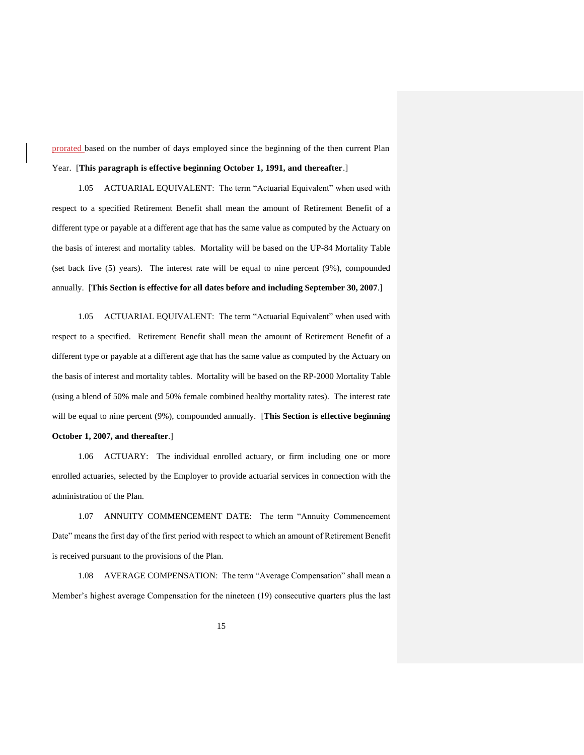prorated based on the number of days employed since the beginning of the then current Plan Year. [**This paragraph is effective beginning October 1, 1991, and thereafter**.]

1.05 ACTUARIAL EQUIVALENT: The term "Actuarial Equivalent" when used with respect to a specified Retirement Benefit shall mean the amount of Retirement Benefit of a different type or payable at a different age that has the same value as computed by the Actuary on the basis of interest and mortality tables. Mortality will be based on the UP-84 Mortality Table (set back five (5) years). The interest rate will be equal to nine percent (9%), compounded annually. [**This Section is effective for all dates before and including September 30, 2007**.]

1.05 ACTUARIAL EQUIVALENT: The term "Actuarial Equivalent" when used with respect to a specified. Retirement Benefit shall mean the amount of Retirement Benefit of a different type or payable at a different age that has the same value as computed by the Actuary on the basis of interest and mortality tables. Mortality will be based on the RP-2000 Mortality Table (using a blend of 50% male and 50% female combined healthy mortality rates). The interest rate will be equal to nine percent (9%), compounded annually. [**This Section is effective beginning** 

#### **October 1, 2007, and thereafter**.]

1.06 ACTUARY: The individual enrolled actuary, or firm including one or more enrolled actuaries, selected by the Employer to provide actuarial services in connection with the administration of the Plan.

1.07 ANNUITY COMMENCEMENT DATE: The term "Annuity Commencement Date" means the first day of the first period with respect to which an amount of Retirement Benefit is received pursuant to the provisions of the Plan.

1.08 AVERAGE COMPENSATION: The term "Average Compensation" shall mean a Member's highest average Compensation for the nineteen (19) consecutive quarters plus the last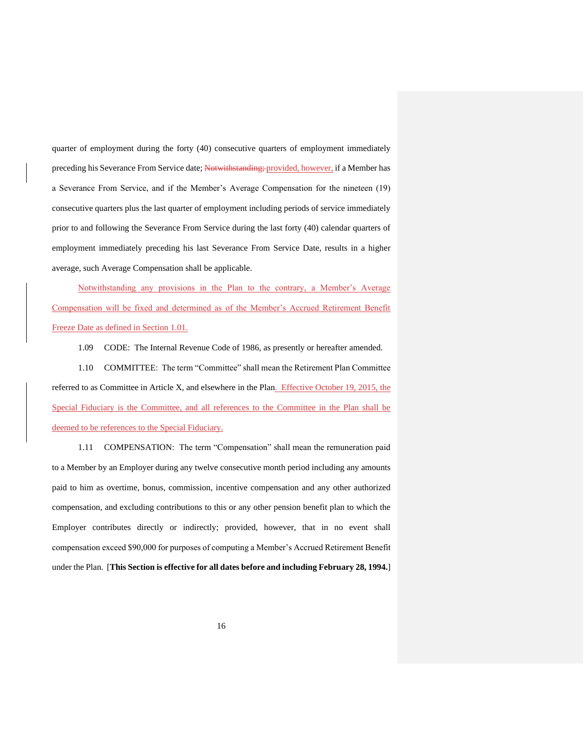quarter of employment during the forty (40) consecutive quarters of employment immediately preceding his Severance From Service date; Notwithstanding; provided, however, if a Member has a Severance From Service, and if the Member's Average Compensation for the nineteen (19) consecutive quarters plus the last quarter of employment including periods of service immediately prior to and following the Severance From Service during the last forty (40) calendar quarters of employment immediately preceding his last Severance From Service Date, results in a higher average, such Average Compensation shall be applicable.

Notwithstanding any provisions in the Plan to the contrary, a Member's Average Compensation will be fixed and determined as of the Member's Accrued Retirement Benefit Freeze Date as defined in Section 1.01.

1.09 CODE: The Internal Revenue Code of 1986, as presently or hereafter amended.

1.10 COMMITTEE: The term "Committee" shall mean the Retirement Plan Committee referred to as Committee in Article X, and elsewhere in the Plan. Effective October 19, 2015, the Special Fiduciary is the Committee, and all references to the Committee in the Plan shall be deemed to be references to the Special Fiduciary.

1.11 COMPENSATION: The term "Compensation" shall mean the remuneration paid to a Member by an Employer during any twelve consecutive month period including any amounts paid to him as overtime, bonus, commission, incentive compensation and any other authorized compensation, and excluding contributions to this or any other pension benefit plan to which the Employer contributes directly or indirectly; provided, however, that in no event shall compensation exceed \$90,000 for purposes of computing a Member's Accrued Retirement Benefit under the Plan. [**This Section is effective for all dates before and including February 28, 1994.**]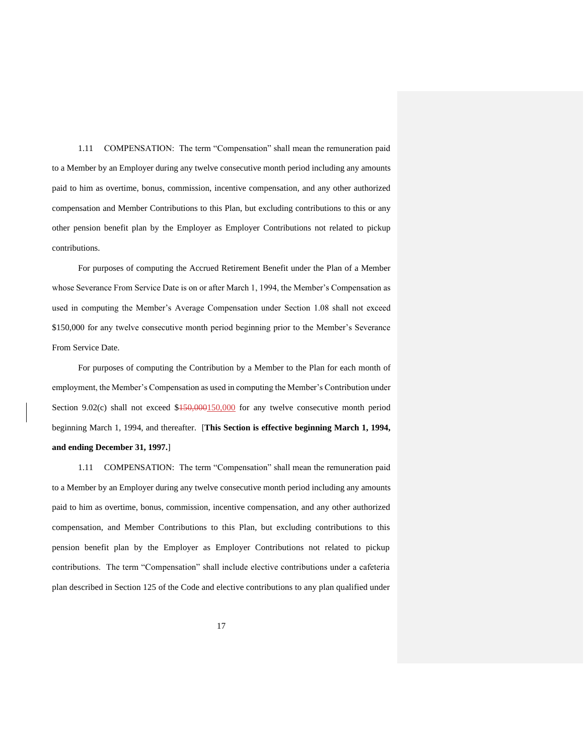1.11 COMPENSATION: The term "Compensation" shall mean the remuneration paid to a Member by an Employer during any twelve consecutive month period including any amounts paid to him as overtime, bonus, commission, incentive compensation, and any other authorized compensation and Member Contributions to this Plan, but excluding contributions to this or any other pension benefit plan by the Employer as Employer Contributions not related to pickup contributions.

For purposes of computing the Accrued Retirement Benefit under the Plan of a Member whose Severance From Service Date is on or after March 1, 1994, the Member's Compensation as used in computing the Member's Average Compensation under Section 1.08 shall not exceed \$150,000 for any twelve consecutive month period beginning prior to the Member's Severance From Service Date.

For purposes of computing the Contribution by a Member to the Plan for each month of employment, the Member's Compensation as used in computing the Member's Contribution under Section 9.02(c) shall not exceed  $$150,000150,000$  for any twelve consecutive month period beginning March 1, 1994, and thereafter. [**This Section is effective beginning March 1, 1994, and ending December 31, 1997.**]

1.11 COMPENSATION: The term "Compensation" shall mean the remuneration paid to a Member by an Employer during any twelve consecutive month period including any amounts paid to him as overtime, bonus, commission, incentive compensation, and any other authorized compensation, and Member Contributions to this Plan, but excluding contributions to this pension benefit plan by the Employer as Employer Contributions not related to pickup contributions. The term "Compensation" shall include elective contributions under a cafeteria plan described in Section 125 of the Code and elective contributions to any plan qualified under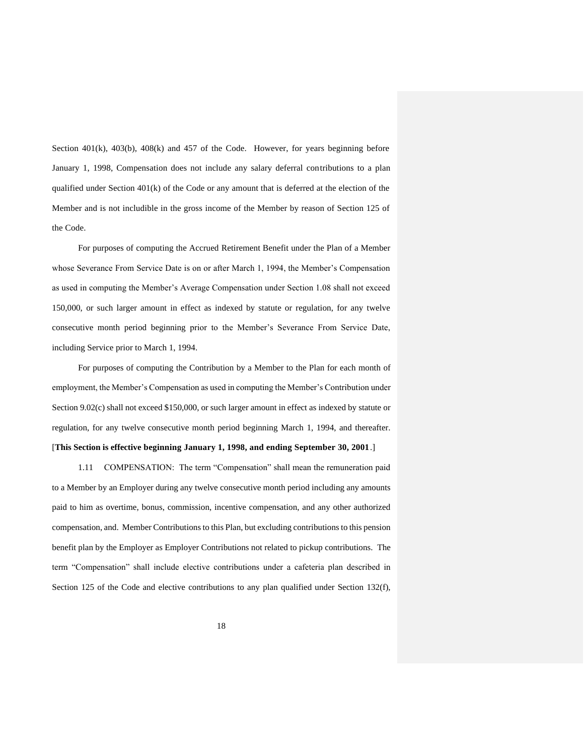Section  $401(k)$ ,  $403(b)$ ,  $408(k)$  and  $457$  of the Code. However, for years beginning before January 1, 1998, Compensation does not include any salary deferral contributions to a plan qualified under Section 401(k) of the Code or any amount that is deferred at the election of the Member and is not includible in the gross income of the Member by reason of Section 125 of the Code.

For purposes of computing the Accrued Retirement Benefit under the Plan of a Member whose Severance From Service Date is on or after March 1, 1994, the Member's Compensation as used in computing the Member's Average Compensation under Section 1.08 shall not exceed 150,000, or such larger amount in effect as indexed by statute or regulation, for any twelve consecutive month period beginning prior to the Member's Severance From Service Date, including Service prior to March 1, 1994.

For purposes of computing the Contribution by a Member to the Plan for each month of employment, the Member's Compensation as used in computing the Member's Contribution under Section 9.02(c) shall not exceed \$150,000, or such larger amount in effect as indexed by statute or regulation, for any twelve consecutive month period beginning March 1, 1994, and thereafter. [**This Section is effective beginning January 1, 1998, and ending September 30, 2001**.]

1.11 COMPENSATION: The term "Compensation" shall mean the remuneration paid to a Member by an Employer during any twelve consecutive month period including any amounts paid to him as overtime, bonus, commission, incentive compensation, and any other authorized compensation, and. Member Contributions to this Plan, but excluding contributions to this pension benefit plan by the Employer as Employer Contributions not related to pickup contributions. The term "Compensation" shall include elective contributions under a cafeteria plan described in Section 125 of the Code and elective contributions to any plan qualified under Section 132(f),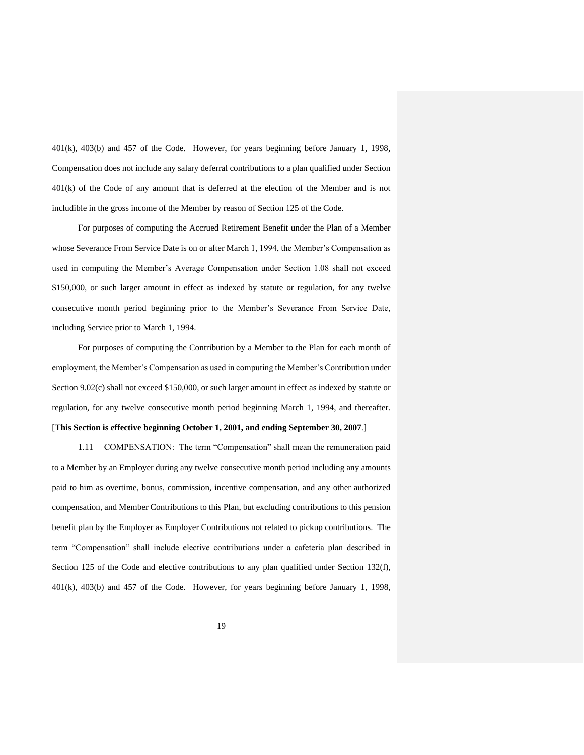401(k), 403(b) and 457 of the Code. However, for years beginning before January 1, 1998, Compensation does not include any salary deferral contributions to a plan qualified under Section 401(k) of the Code of any amount that is deferred at the election of the Member and is not includible in the gross income of the Member by reason of Section 125 of the Code.

For purposes of computing the Accrued Retirement Benefit under the Plan of a Member whose Severance From Service Date is on or after March 1, 1994, the Member's Compensation as used in computing the Member's Average Compensation under Section 1.08 shall not exceed \$150,000, or such larger amount in effect as indexed by statute or regulation, for any twelve consecutive month period beginning prior to the Member's Severance From Service Date, including Service prior to March 1, 1994.

For purposes of computing the Contribution by a Member to the Plan for each month of employment, the Member's Compensation as used in computing the Member's Contribution under Section 9.02(c) shall not exceed \$150,000, or such larger amount in effect as indexed by statute or regulation, for any twelve consecutive month period beginning March 1, 1994, and thereafter. [**This Section is effective beginning October 1, 2001, and ending September 30, 2007**.]

# 1.11 COMPENSATION: The term "Compensation" shall mean the remuneration paid

to a Member by an Employer during any twelve consecutive month period including any amounts paid to him as overtime, bonus, commission, incentive compensation, and any other authorized compensation, and Member Contributions to this Plan, but excluding contributions to this pension benefit plan by the Employer as Employer Contributions not related to pickup contributions. The term "Compensation" shall include elective contributions under a cafeteria plan described in Section 125 of the Code and elective contributions to any plan qualified under Section 132(f), 401(k), 403(b) and 457 of the Code. However, for years beginning before January 1, 1998,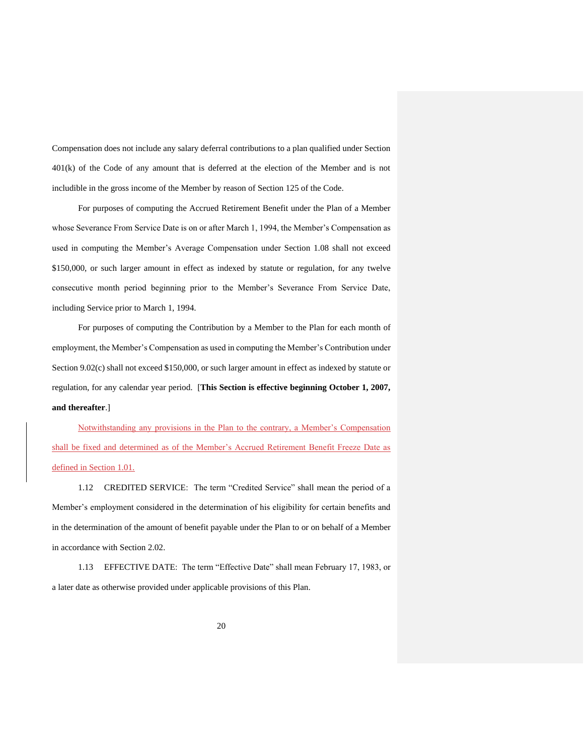Compensation does not include any salary deferral contributions to a plan qualified under Section 401(k) of the Code of any amount that is deferred at the election of the Member and is not includible in the gross income of the Member by reason of Section 125 of the Code.

For purposes of computing the Accrued Retirement Benefit under the Plan of a Member whose Severance From Service Date is on or after March 1, 1994, the Member's Compensation as used in computing the Member's Average Compensation under Section 1.08 shall not exceed \$150,000, or such larger amount in effect as indexed by statute or regulation, for any twelve consecutive month period beginning prior to the Member's Severance From Service Date, including Service prior to March 1, 1994.

For purposes of computing the Contribution by a Member to the Plan for each month of employment, the Member's Compensation as used in computing the Member's Contribution under Section 9.02(c) shall not exceed \$150,000, or such larger amount in effect as indexed by statute or regulation, for any calendar year period. [**This Section is effective beginning October 1, 2007, and thereafter**.]

Notwithstanding any provisions in the Plan to the contrary, a Member's Compensation shall be fixed and determined as of the Member's Accrued Retirement Benefit Freeze Date as defined in Section 1.01.

1.12 CREDITED SERVICE: The term "Credited Service" shall mean the period of a Member's employment considered in the determination of his eligibility for certain benefits and in the determination of the amount of benefit payable under the Plan to or on behalf of a Member in accordance with Section 2.02.

1.13 EFFECTIVE DATE: The term "Effective Date" shall mean February 17, 1983, or a later date as otherwise provided under applicable provisions of this Plan.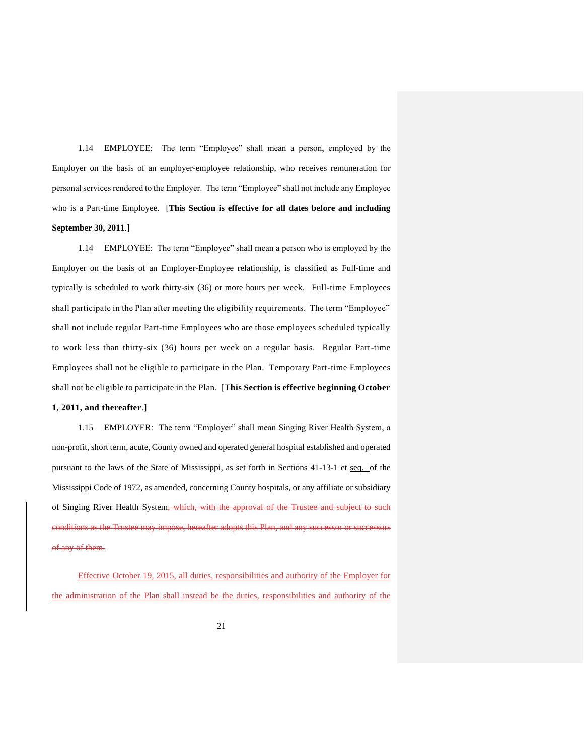1.14 EMPLOYEE: The term "Employee" shall mean a person, employed by the Employer on the basis of an employer-employee relationship, who receives remuneration for personal services rendered to the Employer. The term "Employee" shall not include any Employee who is a Part-time Employee. [**This Section is effective for all dates before and including September 30, 2011**.]

1.14 EMPLOYEE: The term "Employee" shall mean a person who is employed by the Employer on the basis of an Employer-Employee relationship, is classified as Full-time and typically is scheduled to work thirty-six (36) or more hours per week. Full-time Employees shall participate in the Plan after meeting the eligibility requirements. The term "Employee" shall not include regular Part-time Employees who are those employees scheduled typically to work less than thirty-six (36) hours per week on a regular basis. Regular Part-time Employees shall not be eligible to participate in the Plan. Temporary Part-time Employees shall not be eligible to participate in the Plan. [**This Section is effective beginning October** 

## **1, 2011, and thereafter**.]

1.15 EMPLOYER: The term "Employer" shall mean Singing River Health System, a non-profit, short term, acute, County owned and operated general hospital established and operated pursuant to the laws of the State of Mississippi, as set forth in Sections 41-13-1 et seq. of the Mississippi Code of 1972, as amended, concerning County hospitals, or any affiliate or subsidiary of Singing River Health System, which, with the approval of the Trustee and subject to such conditions as the Trustee may impose, hereafter adopts this Plan, and any successor or successors of any of them.

Effective October 19, 2015, all duties, responsibilities and authority of the Employer for the administration of the Plan shall instead be the duties, responsibilities and authority of the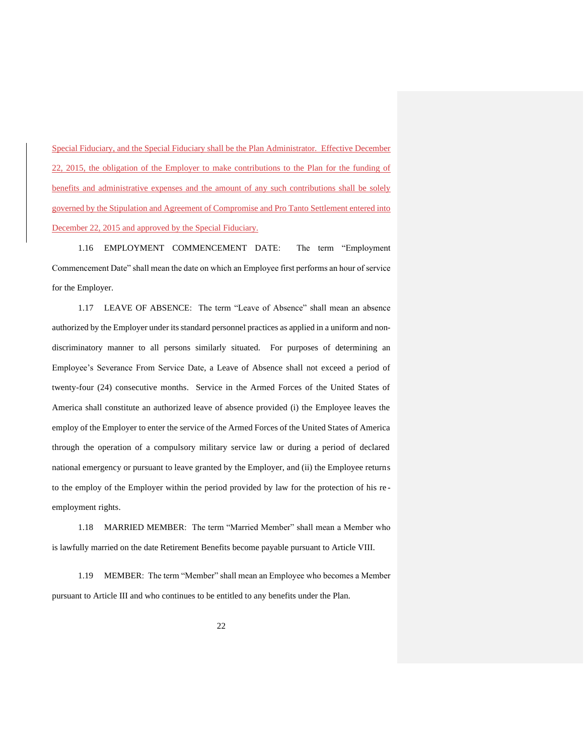Special Fiduciary, and the Special Fiduciary shall be the Plan Administrator. Effective December 22, 2015, the obligation of the Employer to make contributions to the Plan for the funding of benefits and administrative expenses and the amount of any such contributions shall be solely governed by the Stipulation and Agreement of Compromise and Pro Tanto Settlement entered into December 22, 2015 and approved by the Special Fiduciary.

1.16 EMPLOYMENT COMMENCEMENT DATE: The term "Employment Commencement Date" shall mean the date on which an Employee first performs an hour of service for the Employer.

1.17 LEAVE OF ABSENCE: The term "Leave of Absence" shall mean an absence authorized by the Employer under its standard personnel practices as applied in a uniform and nondiscriminatory manner to all persons similarly situated. For purposes of determining an Employee's Severance From Service Date, a Leave of Absence shall not exceed a period of twenty-four (24) consecutive months. Service in the Armed Forces of the United States of America shall constitute an authorized leave of absence provided (i) the Employee leaves the employ of the Employer to enter the service of the Armed Forces of the United States of America through the operation of a compulsory military service law or during a period of declared national emergency or pursuant to leave granted by the Employer, and (ii) the Employee returns to the employ of the Employer within the period provided by law for the protection of his re employment rights.

1.18 MARRIED MEMBER: The term "Married Member" shall mean a Member who is lawfully married on the date Retirement Benefits become payable pursuant to Article VIII.

1.19 MEMBER: The term "Member" shall mean an Employee who becomes a Member pursuant to Article III and who continues to be entitled to any benefits under the Plan.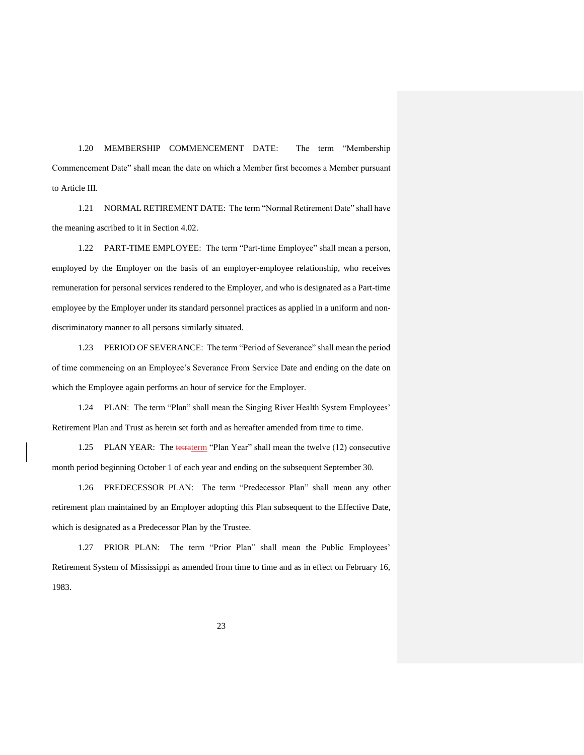1.20 MEMBERSHIP COMMENCEMENT DATE: The term "Membership Commencement Date" shall mean the date on which a Member first becomes a Member pursuant to Article III.

1.21 NORMAL RETIREMENT DATE: The term "Normal Retirement Date" shall have the meaning ascribed to it in Section 4.02.

1.22 PART-TIME EMPLOYEE: The term "Part-time Employee" shall mean a person, employed by the Employer on the basis of an employer-employee relationship, who receives remuneration for personal services rendered to the Employer, and who is designated as a Part-time employee by the Employer under its standard personnel practices as applied in a uniform and nondiscriminatory manner to all persons similarly situated.

1.23 PERIOD OF SEVERANCE: The term "Period of Severance" shall mean the period of time commencing on an Employee's Severance From Service Date and ending on the date on which the Employee again performs an hour of service for the Employer.

1.24 PLAN: The term "Plan" shall mean the Singing River Health System Employees' Retirement Plan and Trust as herein set forth and as hereafter amended from time to time.

1.25 PLAN YEAR: The tetraterm "Plan Year" shall mean the twelve (12) consecutive month period beginning October 1 of each year and ending on the subsequent September 30.

1.26 PREDECESSOR PLAN: The term "Predecessor Plan" shall mean any other retirement plan maintained by an Employer adopting this Plan subsequent to the Effective Date, which is designated as a Predecessor Plan by the Trustee.

1.27 PRIOR PLAN: The term "Prior Plan" shall mean the Public Employees' Retirement System of Mississippi as amended from time to time and as in effect on February 16, 1983.

23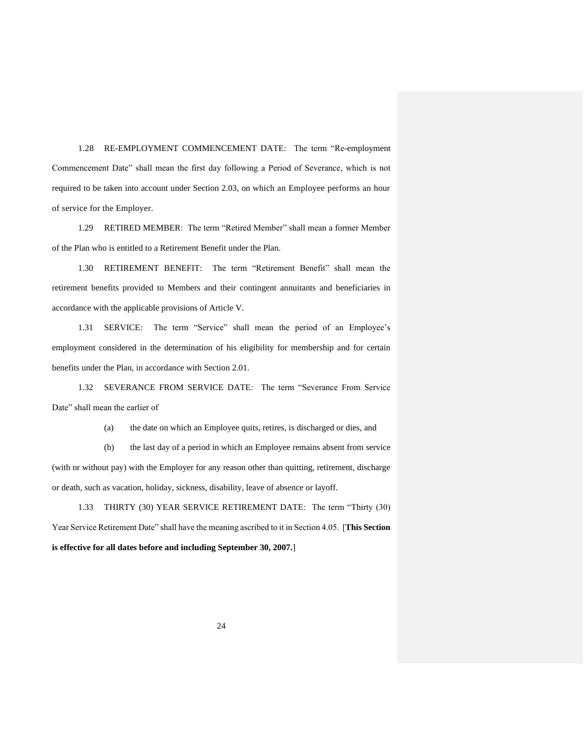1.28 RE-EMPLOYMENT COMMENCEMENT DATE: The term "Re-employment Commencement Date" shall mean the first day following a Period of Severance, which is not required to be taken into account under Section 2.03, on which an Employee performs an hour of service for the Employer.

1.29 RETIRED MEMBER: The term "Retired Member" shall mean a former Member of the Plan who is entitled to a Retirement Benefit under the Plan.

1.30 RETIREMENT BENEFIT: The term "Retirement Benefit" shall mean the retirement benefits provided to Members and their contingent annuitants and beneficiaries in accordance with the applicable provisions of Article V.

1.31 SERVICE: The term "Service" shall mean the period of an Employee's employment considered in the determination of his eligibility for membership and for certain benefits under the Plan, in accordance with Section 2.01.

1.32 SEVERANCE FROM SERVICE DATE: The term "Severance From Service Date" shall mean the earlier of

(a) the date on which an Employee quits, retires, is discharged or dies, and

(b) the last day of a period in which an Employee remains absent from service (with or without pay) with the Employer for any reason other than quitting, retirement, discharge or death, such as vacation, holiday, sickness, disability, leave of absence or layoff.

1.33 THIRTY (30) YEAR SERVICE RETIREMENT DATE: The term "Thirty (30) Year Service Retirement Date" shall have the meaning ascribed to it in Section 4.05. [**This Section is effective for all dates before and including September 30, 2007.**]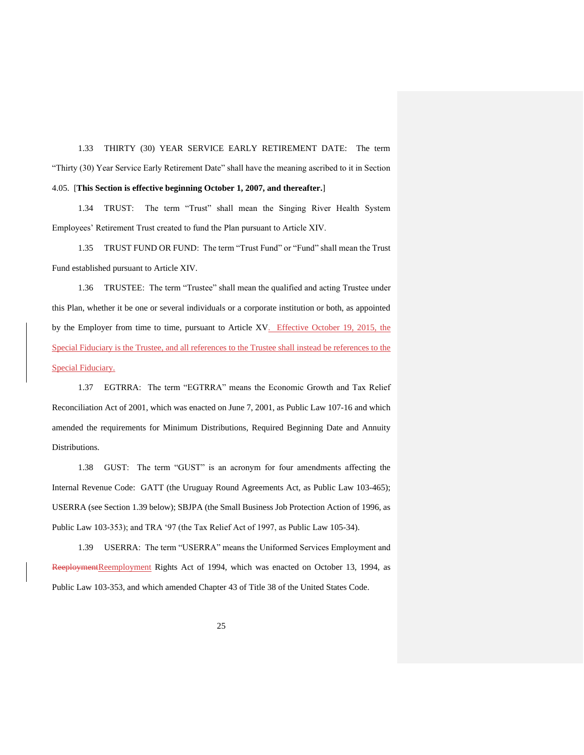1.33 THIRTY (30) YEAR SERVICE EARLY RETIREMENT DATE: The term "Thirty (30) Year Service Early Retirement Date" shall have the meaning ascribed to it in Section 4.05. [**This Section is effective beginning October 1, 2007, and thereafter.**]

1.34 TRUST: The term "Trust" shall mean the Singing River Health System Employees' Retirement Trust created to fund the Plan pursuant to Article XIV.

1.35 TRUST FUND OR FUND: The term "Trust Fund" or "Fund" shall mean the Trust Fund established pursuant to Article XIV.

1.36 TRUSTEE: The term "Trustee" shall mean the qualified and acting Trustee under this Plan, whether it be one or several individuals or a corporate institution or both, as appointed by the Employer from time to time, pursuant to Article XV. Effective October 19, 2015, the Special Fiduciary is the Trustee, and all references to the Trustee shall instead be references to the Special Fiduciary.

1.37 EGTRRA: The term "EGTRRA" means the Economic Growth and Tax Relief Reconciliation Act of 2001, which was enacted on June 7, 2001, as Public Law 107-16 and which amended the requirements for Minimum Distributions, Required Beginning Date and Annuity Distributions.

1.38 GUST: The term "GUST" is an acronym for four amendments affecting the Internal Revenue Code: GATT (the Uruguay Round Agreements Act, as Public Law 103-465); USERRA (see Section 1.39 below); SBJPA (the Small Business Job Protection Action of 1996, as Public Law 103-353); and TRA '97 (the Tax Relief Act of 1997, as Public Law 105-34).

1.39 USERRA: The term "USERRA" means the Uniformed Services Employment and ReeploymentReemployment Rights Act of 1994, which was enacted on October 13, 1994, as Public Law 103-353, and which amended Chapter 43 of Title 38 of the United States Code.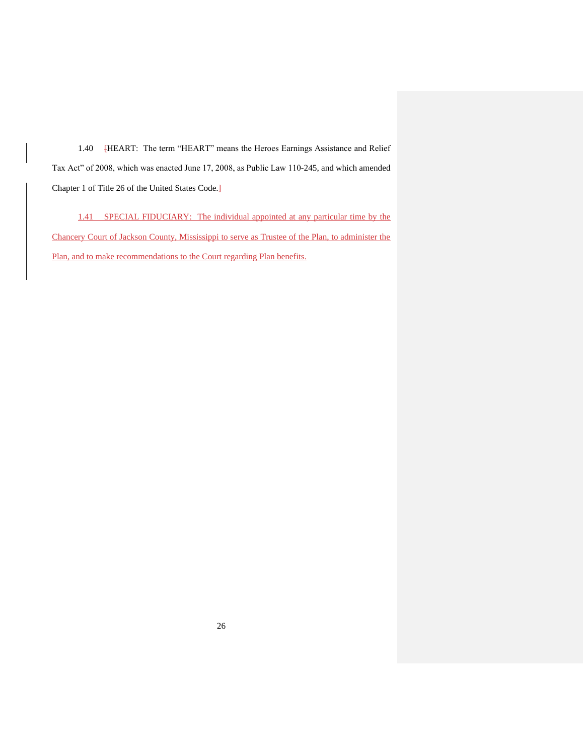1.40 HEART: The term "HEART" means the Heroes Earnings Assistance and Relief Tax Act" of 2008, which was enacted June 17, 2008, as Public Law 110-245, and which amended Chapter 1 of Title 26 of the United States Code.]

1.41 SPECIAL FIDUCIARY: The individual appointed at any particular time by the Chancery Court of Jackson County, Mississippi to serve as Trustee of the Plan, to administer the Plan, and to make recommendations to the Court regarding Plan benefits.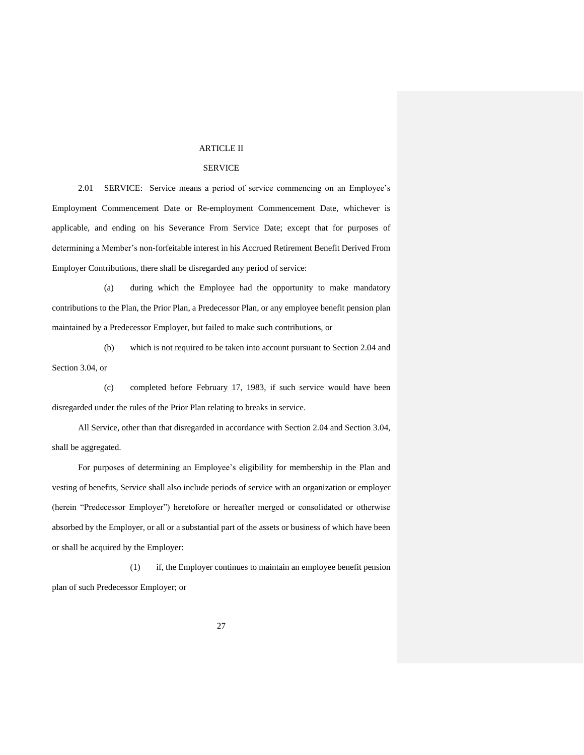#### ARTICLE II

## SERVICE

2.01 SERVICE: Service means a period of service commencing on an Employee's Employment Commencement Date or Re-employment Commencement Date, whichever is applicable, and ending on his Severance From Service Date; except that for purposes of determining a Member's non-forfeitable interest in his Accrued Retirement Benefit Derived From Employer Contributions, there shall be disregarded any period of service:

(a) during which the Employee had the opportunity to make mandatory contributions to the Plan, the Prior Plan, a Predecessor Plan, or any employee benefit pension plan maintained by a Predecessor Employer, but failed to make such contributions, or

(b) which is not required to be taken into account pursuant to Section 2.04 and Section 3.04, or

(c) completed before February 17, 1983, if such service would have been disregarded under the rules of the Prior Plan relating to breaks in service.

All Service, other than that disregarded in accordance with Section 2.04 and Section 3.04, shall be aggregated.

For purposes of determining an Employee's eligibility for membership in the Plan and vesting of benefits, Service shall also include periods of service with an organization or employer (herein "Predecessor Employer") heretofore or hereafter merged or consolidated or otherwise absorbed by the Employer, or all or a substantial part of the assets or business of which have been or shall be acquired by the Employer:

(1) if, the Employer continues to maintain an employee benefit pension plan of such Predecessor Employer; or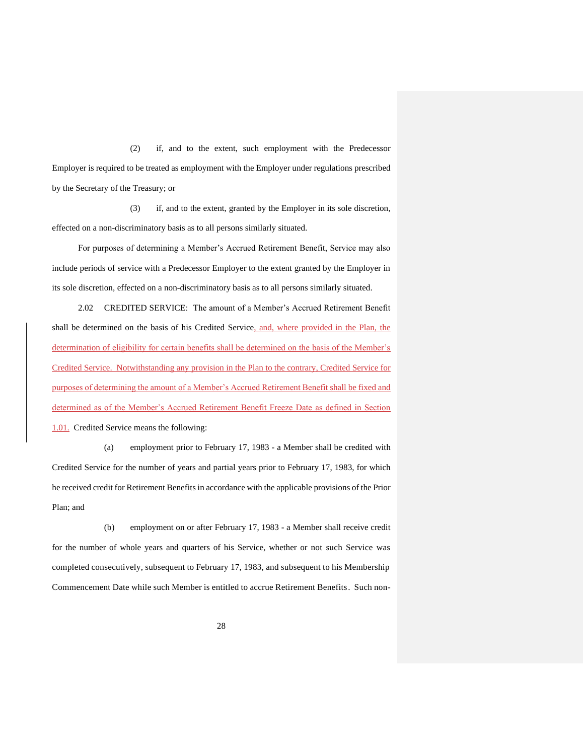(2) if, and to the extent, such employment with the Predecessor Employer is required to be treated as employment with the Employer under regulations prescribed by the Secretary of the Treasury; or

(3) if, and to the extent, granted by the Employer in its sole discretion, effected on a non-discriminatory basis as to all persons similarly situated.

For purposes of determining a Member's Accrued Retirement Benefit, Service may also include periods of service with a Predecessor Employer to the extent granted by the Employer in its sole discretion, effected on a non-discriminatory basis as to all persons similarly situated.

2.02 CREDITED SERVICE: The amount of a Member's Accrued Retirement Benefit shall be determined on the basis of his Credited Service, and, where provided in the Plan, the determination of eligibility for certain benefits shall be determined on the basis of the Member's Credited Service. Notwithstanding any provision in the Plan to the contrary, Credited Service for purposes of determining the amount of a Member's Accrued Retirement Benefit shall be fixed and determined as of the Member's Accrued Retirement Benefit Freeze Date as defined in Section 1.01. Credited Service means the following:

(a) employment prior to February 17, 1983 - a Member shall be credited with Credited Service for the number of years and partial years prior to February 17, 1983, for which he received credit for Retirement Benefits in accordance with the applicable provisions of the Prior Plan; and

(b) employment on or after February 17, 1983 - a Member shall receive credit for the number of whole years and quarters of his Service, whether or not such Service was completed consecutively, subsequent to February 17, 1983, and subsequent to his Membership Commencement Date while such Member is entitled to accrue Retirement Benefits. Such non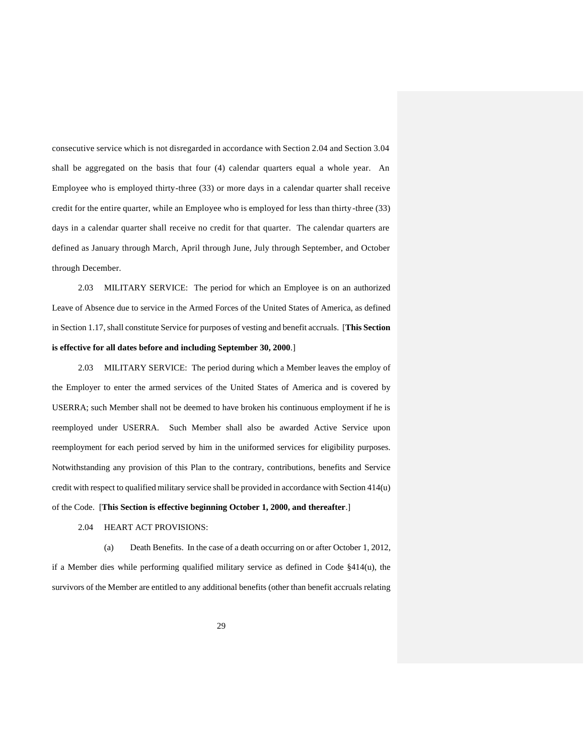consecutive service which is not disregarded in accordance with Section 2.04 and Section 3.04 shall be aggregated on the basis that four (4) calendar quarters equal a whole year. An Employee who is employed thirty-three (33) or more days in a calendar quarter shall receive credit for the entire quarter, while an Employee who is employed for less than thirty-three (33) days in a calendar quarter shall receive no credit for that quarter. The calendar quarters are defined as January through March, April through June, July through September, and October through December.

2.03 MILITARY SERVICE: The period for which an Employee is on an authorized Leave of Absence due to service in the Armed Forces of the United States of America, as defined in Section 1.17, shall constitute Service for purposes of vesting and benefit accruals. [**This Section is effective for all dates before and including September 30, 2000**.]

2.03 MILITARY SERVICE: The period during which a Member leaves the employ of the Employer to enter the armed services of the United States of America and is covered by USERRA; such Member shall not be deemed to have broken his continuous employment if he is reemployed under USERRA. Such Member shall also be awarded Active Service upon reemployment for each period served by him in the uniformed services for eligibility purposes. Notwithstanding any provision of this Plan to the contrary, contributions, benefits and Service credit with respect to qualified military service shall be provided in accordance with Section 414(u) of the Code. [**This Section is effective beginning October 1, 2000, and thereafter**.]

#### 2.04 HEART ACT PROVISIONS:

(a) Death Benefits. In the case of a death occurring on or after October 1, 2012, if a Member dies while performing qualified military service as defined in Code §414(u), the survivors of the Member are entitled to any additional benefits (other than benefit accruals relating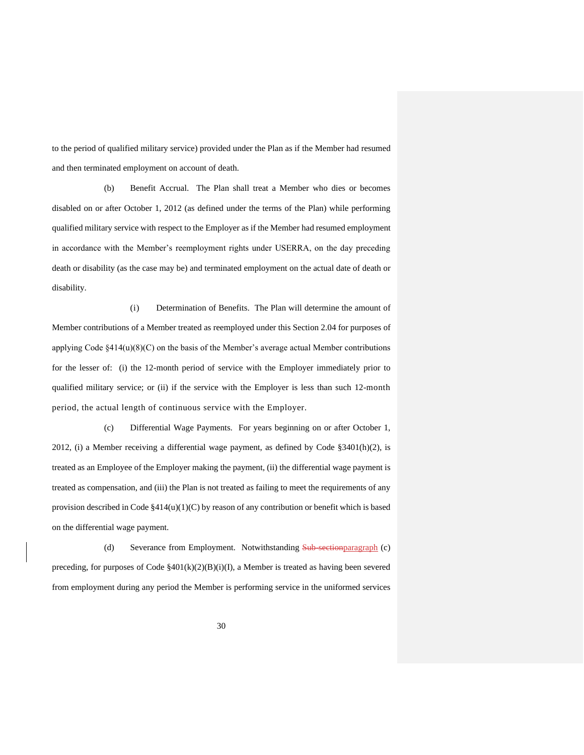to the period of qualified military service) provided under the Plan as if the Member had resumed and then terminated employment on account of death.

(b) Benefit Accrual. The Plan shall treat a Member who dies or becomes disabled on or after October 1, 2012 (as defined under the terms of the Plan) while performing qualified military service with respect to the Employer as if the Member had resumed employment in accordance with the Member's reemployment rights under USERRA, on the day preceding death or disability (as the case may be) and terminated employment on the actual date of death or disability.

(i) Determination of Benefits. The Plan will determine the amount of Member contributions of a Member treated as reemployed under this Section 2.04 for purposes of applying Code  $\frac{414(u)(8)(C)}{2}$  on the basis of the Member's average actual Member contributions for the lesser of: (i) the 12-month period of service with the Employer immediately prior to qualified military service; or (ii) if the service with the Employer is less than such 12-month period, the actual length of continuous service with the Employer.

(c) Differential Wage Payments. For years beginning on or after October 1, 2012, (i) a Member receiving a differential wage payment, as defined by Code  $\S 3401(h)(2)$ , is treated as an Employee of the Employer making the payment, (ii) the differential wage payment is treated as compensation, and (iii) the Plan is not treated as failing to meet the requirements of any provision described in Code §414(u)(1)(C) by reason of any contribution or benefit which is based on the differential wage payment.

(d) Severance from Employment. Notwithstanding Sub-section paragraph (c) preceding, for purposes of Code §401(k)(2)(B)(i)(I), a Member is treated as having been severed from employment during any period the Member is performing service in the uniformed services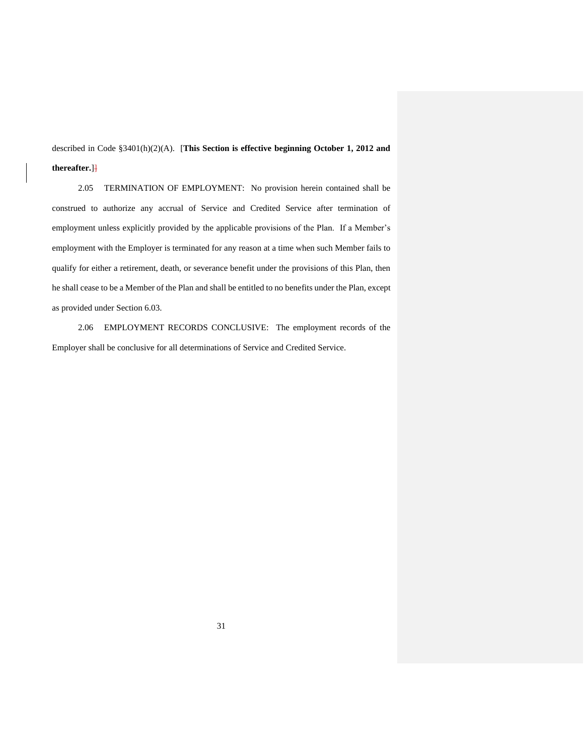described in Code §3401(h)(2)(A). [**This Section is effective beginning October 1, 2012 and thereafter.**]]

2.05 TERMINATION OF EMPLOYMENT: No provision herein contained shall be construed to authorize any accrual of Service and Credited Service after termination of employment unless explicitly provided by the applicable provisions of the Plan. If a Member's employment with the Employer is terminated for any reason at a time when such Member fails to qualify for either a retirement, death, or severance benefit under the provisions of this Plan, then he shall cease to be a Member of the Plan and shall be entitled to no benefits under the Plan, except as provided under Section 6.03.

2.06 EMPLOYMENT RECORDS CONCLUSIVE: The employment records of the Employer shall be conclusive for all determinations of Service and Credited Service.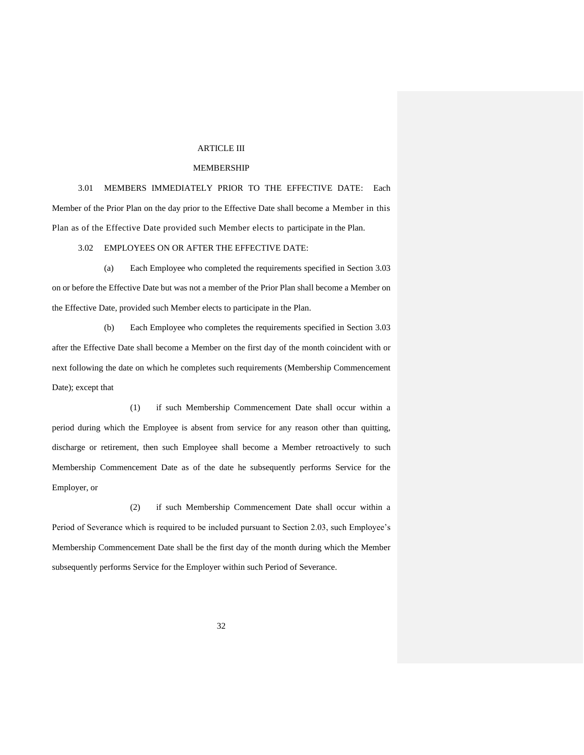#### ARTICLE III

#### MEMBERSHIP

3.01 MEMBERS IMMEDIATELY PRIOR TO THE EFFECTIVE DATE: Each Member of the Prior Plan on the day prior to the Effective Date shall become a Member in this Plan as of the Effective Date provided such Member elects to participate in the Plan.

3.02 EMPLOYEES ON OR AFTER THE EFFECTIVE DATE:

(a) Each Employee who completed the requirements specified in Section 3.03 on or before the Effective Date but was not a member of the Prior Plan shall become a Member on the Effective Date, provided such Member elects to participate in the Plan.

(b) Each Employee who completes the requirements specified in Section 3.03 after the Effective Date shall become a Member on the first day of the month coincident with or next following the date on which he completes such requirements (Membership Commencement Date); except that

(1) if such Membership Commencement Date shall occur within a period during which the Employee is absent from service for any reason other than quitting, discharge or retirement, then such Employee shall become a Member retroactively to such Membership Commencement Date as of the date he subsequently performs Service for the Employer, or

(2) if such Membership Commencement Date shall occur within a Period of Severance which is required to be included pursuant to Section 2.03, such Employee's Membership Commencement Date shall be the first day of the month during which the Member subsequently performs Service for the Employer within such Period of Severance.

32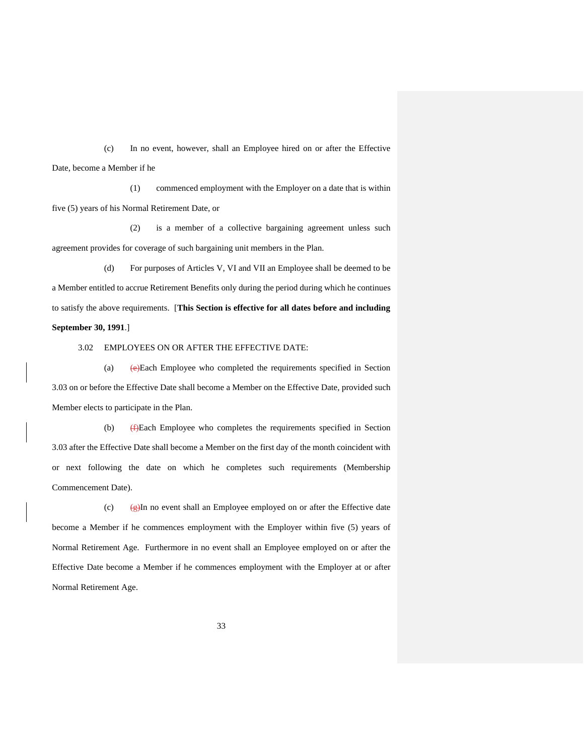(c) In no event, however, shall an Employee hired on or after the Effective Date, become a Member if he

(1) commenced employment with the Employer on a date that is within five (5) years of his Normal Retirement Date, or

(2) is a member of a collective bargaining agreement unless such agreement provides for coverage of such bargaining unit members in the Plan.

(d) For purposes of Articles V, VI and VII an Employee shall be deemed to be a Member entitled to accrue Retirement Benefits only during the period during which he continues to satisfy the above requirements. [**This Section is effective for all dates before and including September 30, 1991**.]

3.02 EMPLOYEES ON OR AFTER THE EFFECTIVE DATE:

(a)  $(e)$ Each Employee who completed the requirements specified in Section 3.03 on or before the Effective Date shall become a Member on the Effective Date, provided such Member elects to participate in the Plan.

(b)  $\leftarrow$  ( $\leftarrow$ )Each Employee who completes the requirements specified in Section 3.03 after the Effective Date shall become a Member on the first day of the month coincident with or next following the date on which he completes such requirements (Membership Commencement Date).

(c)  $\left(\frac{g}{g}\right)$ In no event shall an Employee employed on or after the Effective date become a Member if he commences employment with the Employer within five (5) years of Normal Retirement Age. Furthermore in no event shall an Employee employed on or after the Effective Date become a Member if he commences employment with the Employer at or after Normal Retirement Age.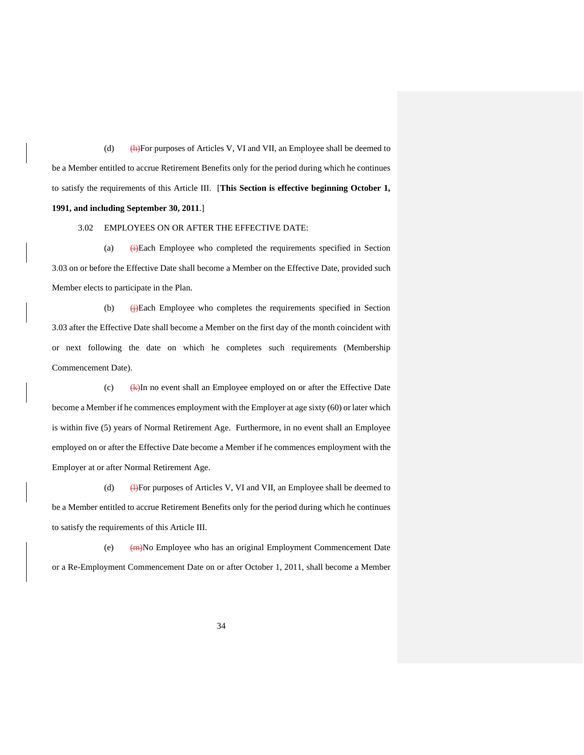(d)  $(h)$ For purposes of Articles V, VI and VII, an Employee shall be deemed to be a Member entitled to accrue Retirement Benefits only for the period during which he continues to satisfy the requirements of this Article III.[**This Section is effective beginning October 1, 1991, and including September 30, 2011**.]

3.02 EMPLOYEES ON OR AFTER THE EFFECTIVE DATE:

(a) (i)Each Employee who completed the requirements specified in Section 3.03 on or before the Effective Date shall become a Member on the Effective Date, provided such Member elects to participate in the Plan.

(b)  $\bigoplus$  Each Employee who completes the requirements specified in Section 3.03 after the Effective Date shall become a Member on the first day of the month coincident with or next following the date on which he completes such requirements (Membership Commencement Date).

(c)  $(k)$ In no event shall an Employee employed on or after the Effective Date become a Member if he commences employment with the Employer at age sixty (60) or later which is within five (5) years of Normal Retirement Age. Furthermore, in no event shall an Employee employed on or after the Effective Date become a Member if he commences employment with the Employer at or after Normal Retirement Age.

(d) (e)For purposes of Articles V, VI and VII, an Employee shall be deemed to be a Member entitled to accrue Retirement Benefits only for the period during which he continues to satisfy the requirements of this Article III.

(e) (m)No Employee who has an original Employment Commencement Date or a Re-Employment Commencement Date on or after October 1, 2011, shall become a Member

34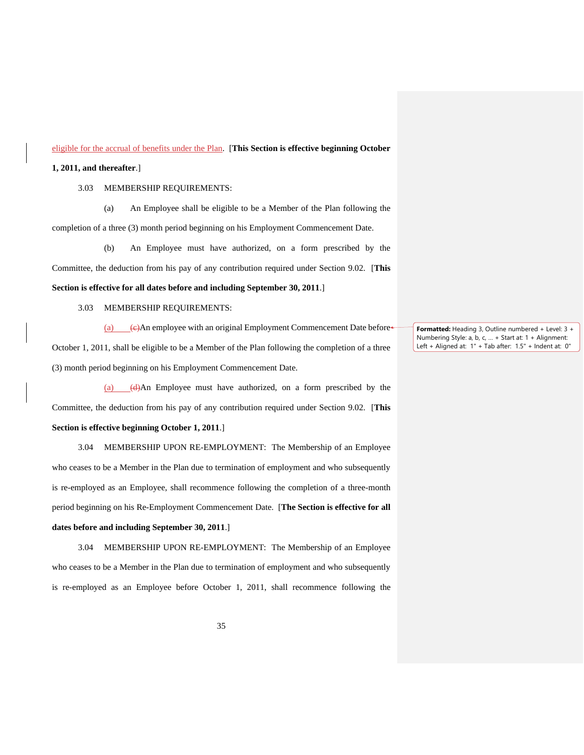#### eligible for the accrual of benefits under the Plan. [**This Section is effective beginning October**

## **1, 2011, and thereafter**.]

## 3.03 MEMBERSHIP REQUIREMENTS:

(a) An Employee shall be eligible to be a Member of the Plan following the completion of a three (3) month period beginning on his Employment Commencement Date.

(b) An Employee must have authorized, on a form prescribed by the Committee, the deduction from his pay of any contribution required under Section 9.02. [**This** 

## **Section is effective for all dates before and including September 30, 2011**.]

## 3.03 MEMBERSHIP REQUIREMENTS:

(a)  $\left\langle \Theta \right\rangle$ An employee with an original Employment Commencement Date before October 1, 2011, shall be eligible to be a Member of the Plan following the completion of a three (3) month period beginning on his Employment Commencement Date.

(a) (d)An Employee must have authorized, on a form prescribed by the Committee, the deduction from his pay of any contribution required under Section 9.02. [**This** 

## **Section is effective beginning October 1, 2011**.]

3.04 MEMBERSHIP UPON RE-EMPLOYMENT: The Membership of an Employee who ceases to be a Member in the Plan due to termination of employment and who subsequently is re-employed as an Employee, shall recommence following the completion of a three-month period beginning on his Re-Employment Commencement Date. [**The Section is effective for all dates before and including September 30, 2011**.]

3.04 MEMBERSHIP UPON RE-EMPLOYMENT: The Membership of an Employee who ceases to be a Member in the Plan due to termination of employment and who subsequently is re-employed as an Employee before October 1, 2011, shall recommence following the

**Formatted:** Heading 3, Outline numbered + Level: 3 + Numbering Style: a, b, c, … + Start at: 1 + Alignment: Left + Aligned at: 1" + Tab after: 1.5" + Indent at: 0"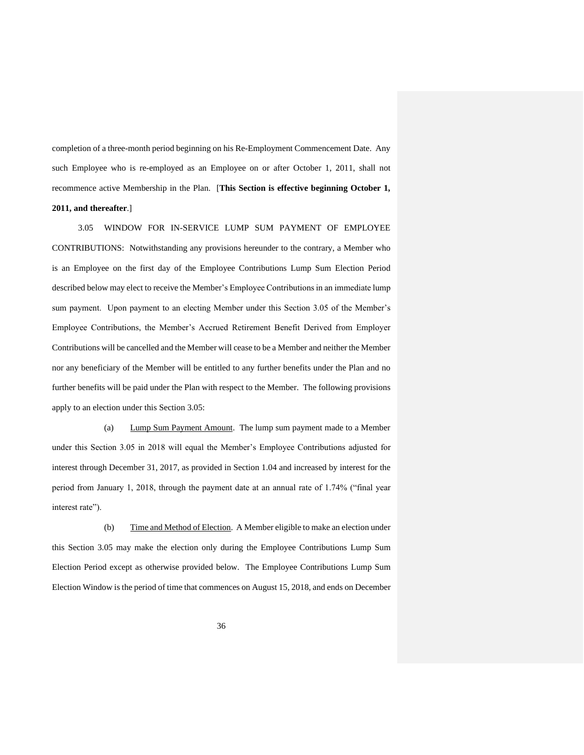completion of a three-month period beginning on his Re-Employment Commencement Date. Any such Employee who is re-employed as an Employee on or after October 1, 2011, shall not recommence active Membership in the Plan. [**This Section is effective beginning October 1, 2011, and thereafter**.]

3.05 WINDOW FOR IN-SERVICE LUMP SUM PAYMENT OF EMPLOYEE CONTRIBUTIONS: Notwithstanding any provisions hereunder to the contrary, a Member who is an Employee on the first day of the Employee Contributions Lump Sum Election Period described below may elect to receive the Member's Employee Contributions in an immediate lump sum payment. Upon payment to an electing Member under this Section 3.05 of the Member's Employee Contributions, the Member's Accrued Retirement Benefit Derived from Employer Contributions will be cancelled and the Member will cease to be a Member and neither the Member nor any beneficiary of the Member will be entitled to any further benefits under the Plan and no further benefits will be paid under the Plan with respect to the Member. The following provisions apply to an election under this Section 3.05:

(a) Lump Sum Payment Amount. The lump sum payment made to a Member under this Section 3.05 in 2018 will equal the Member's Employee Contributions adjusted for interest through December 31, 2017, as provided in Section 1.04 and increased by interest for the period from January 1, 2018, through the payment date at an annual rate of 1.74% ("final year interest rate").

(b) Time and Method of Election. A Member eligible to make an election under this Section 3.05 may make the election only during the Employee Contributions Lump Sum Election Period except as otherwise provided below. The Employee Contributions Lump Sum Election Window is the period of time that commences on August 15, 2018, and ends on December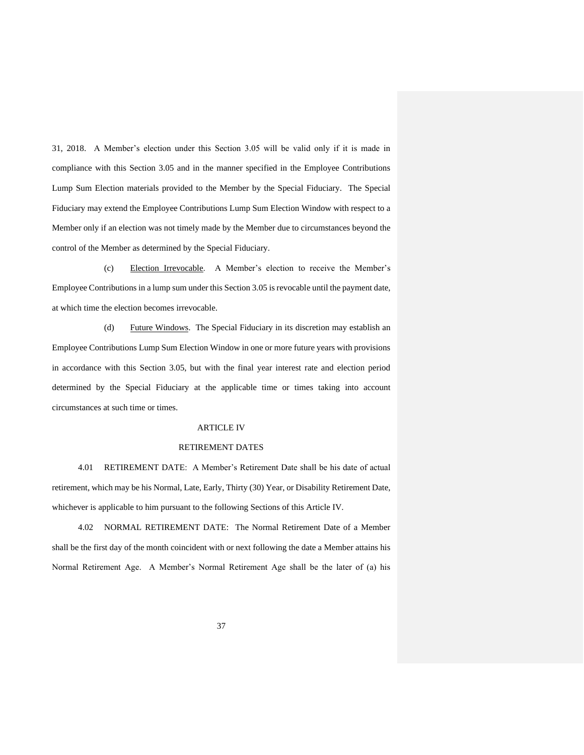31, 2018. A Member's election under this Section 3.05 will be valid only if it is made in compliance with this Section 3.05 and in the manner specified in the Employee Contributions Lump Sum Election materials provided to the Member by the Special Fiduciary. The Special Fiduciary may extend the Employee Contributions Lump Sum Election Window with respect to a Member only if an election was not timely made by the Member due to circumstances beyond the control of the Member as determined by the Special Fiduciary.

(c) Election Irrevocable. A Member's election to receive the Member's Employee Contributions in a lump sum under this Section 3.05 is revocable until the payment date, at which time the election becomes irrevocable.

(d) Future Windows. The Special Fiduciary in its discretion may establish an Employee Contributions Lump Sum Election Window in one or more future years with provisions in accordance with this Section 3.05, but with the final year interest rate and election period determined by the Special Fiduciary at the applicable time or times taking into account circumstances at such time or times.

#### ARTICLE IV

#### RETIREMENT DATES

4.01 RETIREMENT DATE: A Member's Retirement Date shall be his date of actual retirement, which may be his Normal, Late, Early, Thirty (30) Year, or Disability Retirement Date, whichever is applicable to him pursuant to the following Sections of this Article IV.

4.02 NORMAL RETIREMENT DATE: The Normal Retirement Date of a Member shall be the first day of the month coincident with or next following the date a Member attains his Normal Retirement Age. A Member's Normal Retirement Age shall be the later of (a) his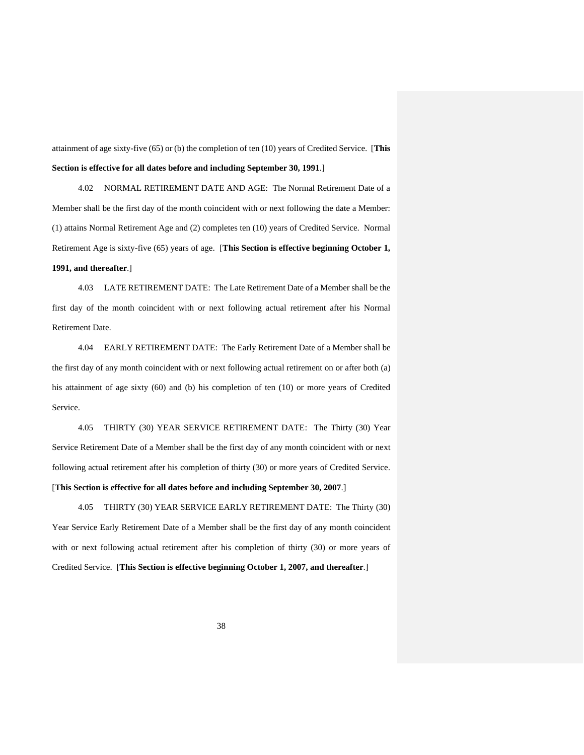attainment of age sixty-five (65) or (b) the completion of ten (10) years of Credited Service. [**This Section is effective for all dates before and including September 30, 1991**.]

4.02 NORMAL RETIREMENT DATE AND AGE: The Normal Retirement Date of a Member shall be the first day of the month coincident with or next following the date a Member: (1) attains Normal Retirement Age and (2) completes ten (10) years of Credited Service. Normal Retirement Age is sixty-five (65) years of age. [**This Section is effective beginning October 1, 1991, and thereafter**.]

4.03 LATE RETIREMENT DATE: The Late Retirement Date of a Member shall be the first day of the month coincident with or next following actual retirement after his Normal Retirement Date.

4.04 EARLY RETIREMENT DATE: The Early Retirement Date of a Member shall be the first day of any month coincident with or next following actual retirement on or after both (a) his attainment of age sixty (60) and (b) his completion of ten (10) or more years of Credited Service.

4.05 THIRTY (30) YEAR SERVICE RETIREMENT DATE: The Thirty (30) Year Service Retirement Date of a Member shall be the first day of any month coincident with or next following actual retirement after his completion of thirty (30) or more years of Credited Service. [**This Section is effective for all dates before and including September 30, 2007**.]

4.05 THIRTY (30) YEAR SERVICE EARLY RETIREMENT DATE: The Thirty (30) Year Service Early Retirement Date of a Member shall be the first day of any month coincident with or next following actual retirement after his completion of thirty (30) or more years of Credited Service. [**This Section is effective beginning October 1, 2007, and thereafter**.]

38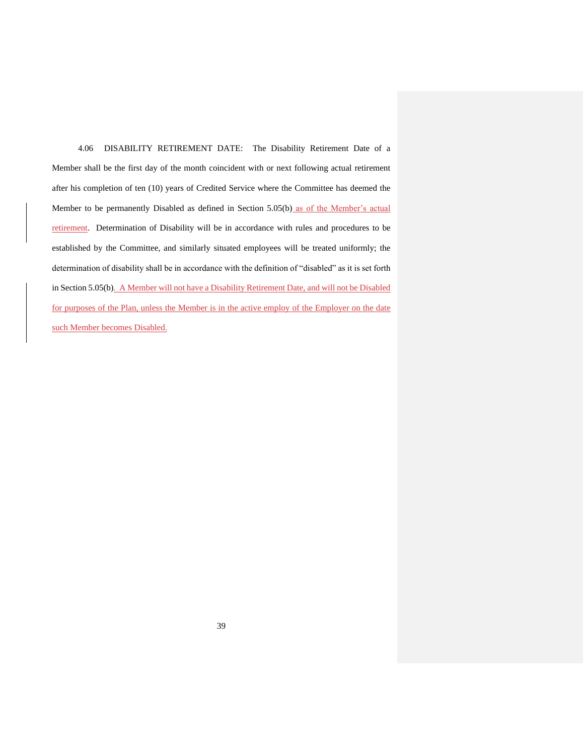4.06 DISABILITY RETIREMENT DATE: The Disability Retirement Date of a Member shall be the first day of the month coincident with or next following actual retirement after his completion of ten (10) years of Credited Service where the Committee has deemed the Member to be permanently Disabled as defined in Section 5.05(b) as of the Member's actual retirement. Determination of Disability will be in accordance with rules and procedures to be established by the Committee, and similarly situated employees will be treated uniformly; the determination of disability shall be in accordance with the definition of "disabled" as it is set forth in Section 5.05(b). A Member will not have a Disability Retirement Date, and will not be Disabled for purposes of the Plan, unless the Member is in the active employ of the Employer on the date such Member becomes Disabled.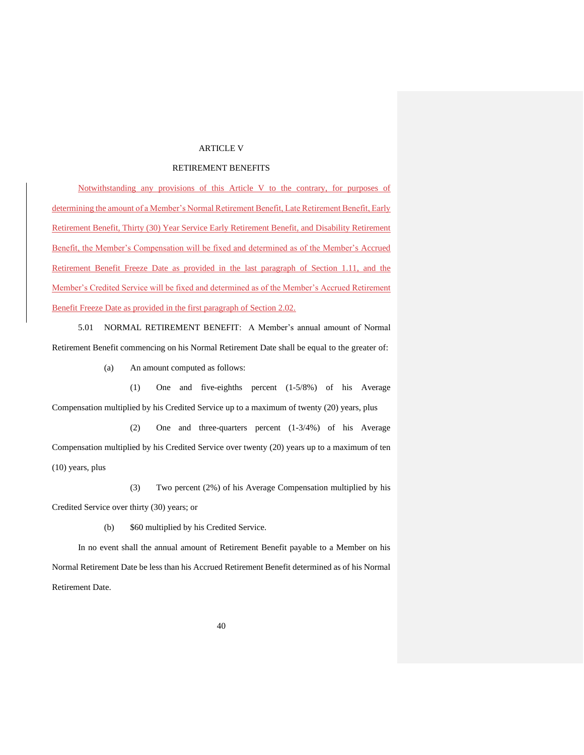#### ARTICLE V

### RETIREMENT BENEFITS

Notwithstanding any provisions of this Article V to the contrary, for purposes of determining the amount of a Member's Normal Retirement Benefit, Late Retirement Benefit, Early Retirement Benefit, Thirty (30) Year Service Early Retirement Benefit, and Disability Retirement Benefit, the Member's Compensation will be fixed and determined as of the Member's Accrued Retirement Benefit Freeze Date as provided in the last paragraph of Section 1.11, and the Member's Credited Service will be fixed and determined as of the Member's Accrued Retirement Benefit Freeze Date as provided in the first paragraph of Section 2.02.

5.01 NORMAL RETIREMENT BENEFIT: A Member's annual amount of Normal Retirement Benefit commencing on his Normal Retirement Date shall be equal to the greater of:

(a) An amount computed as follows:

(1) One and five-eighths percent (1-5/8%) of his Average Compensation multiplied by his Credited Service up to a maximum of twenty (20) years, plus

(2) One and three-quarters percent (1-3/4%) of his Average Compensation multiplied by his Credited Service over twenty (20) years up to a maximum of ten (10) years, plus

(3) Two percent (2%) of his Average Compensation multiplied by his Credited Service over thirty (30) years; or

(b) \$60 multiplied by his Credited Service.

In no event shall the annual amount of Retirement Benefit payable to a Member on his Normal Retirement Date be less than his Accrued Retirement Benefit determined as of his Normal Retirement Date.

40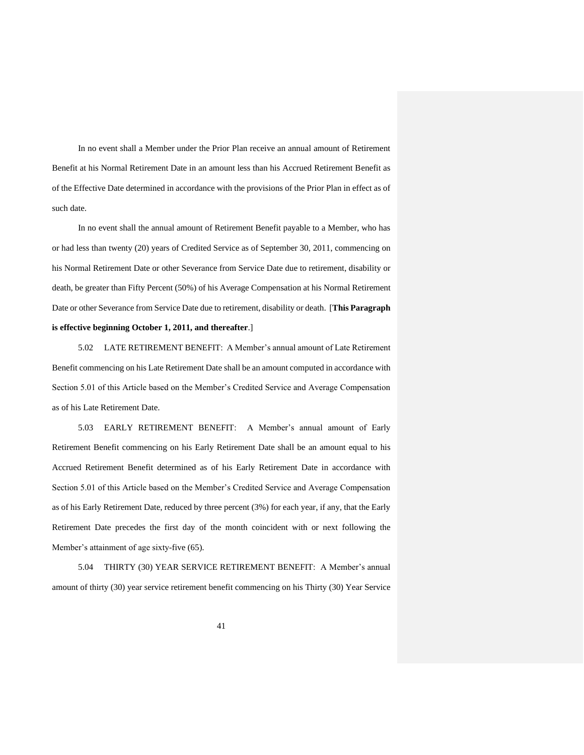In no event shall a Member under the Prior Plan receive an annual amount of Retirement Benefit at his Normal Retirement Date in an amount less than his Accrued Retirement Benefit as of the Effective Date determined in accordance with the provisions of the Prior Plan in effect as of such date.

In no event shall the annual amount of Retirement Benefit payable to a Member, who has or had less than twenty (20) years of Credited Service as of September 30, 2011, commencing on his Normal Retirement Date or other Severance from Service Date due to retirement, disability or death, be greater than Fifty Percent (50%) of his Average Compensation at his Normal Retirement Date or other Severance from Service Date due to retirement, disability or death. [**This Paragraph is effective beginning October 1, 2011, and thereafter**.]

5.02 LATE RETIREMENT BENEFIT: A Member's annual amount of Late Retirement Benefit commencing on his Late Retirement Date shall be an amount computed in accordance with Section 5.01 of this Article based on the Member's Credited Service and Average Compensation as of his Late Retirement Date.

5.03 EARLY RETIREMENT BENEFIT: A Member's annual amount of Early Retirement Benefit commencing on his Early Retirement Date shall be an amount equal to his Accrued Retirement Benefit determined as of his Early Retirement Date in accordance with Section 5.01 of this Article based on the Member's Credited Service and Average Compensation as of his Early Retirement Date, reduced by three percent (3%) for each year, if any, that the Early Retirement Date precedes the first day of the month coincident with or next following the Member's attainment of age sixty-five (65).

5.04 THIRTY (30) YEAR SERVICE RETIREMENT BENEFIT: A Member's annual amount of thirty (30) year service retirement benefit commencing on his Thirty (30) Year Service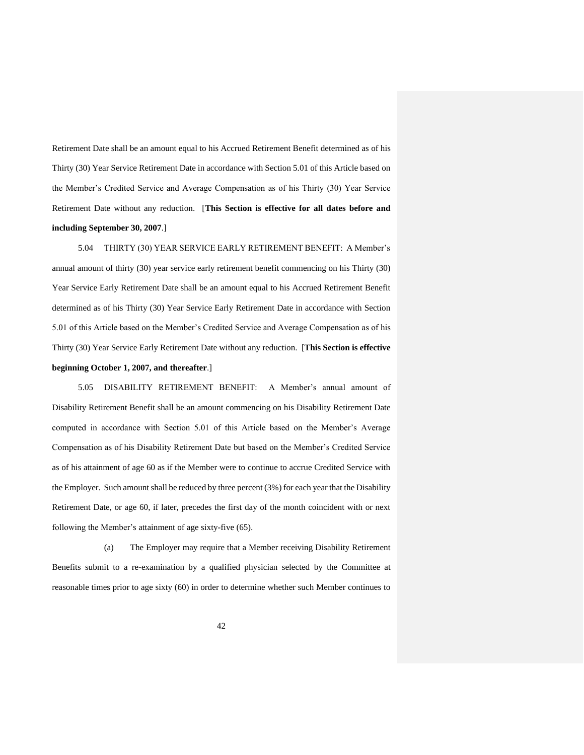Retirement Date shall be an amount equal to his Accrued Retirement Benefit determined as of his Thirty (30) Year Service Retirement Date in accordance with Section 5.01 of this Article based on the Member's Credited Service and Average Compensation as of his Thirty (30) Year Service Retirement Date without any reduction. [**This Section is effective for all dates before and including September 30, 2007**.]

5.04 THIRTY (30) YEAR SERVICE EARLY RETIREMENT BENEFIT: A Member's annual amount of thirty (30) year service early retirement benefit commencing on his Thirty (30) Year Service Early Retirement Date shall be an amount equal to his Accrued Retirement Benefit determined as of his Thirty (30) Year Service Early Retirement Date in accordance with Section 5.01 of this Article based on the Member's Credited Service and Average Compensation as of his Thirty (30) Year Service Early Retirement Date without any reduction. [**This Section is effective beginning October 1, 2007, and thereafter**.]

5.05 DISABILITY RETIREMENT BENEFIT: A Member's annual amount of Disability Retirement Benefit shall be an amount commencing on his Disability Retirement Date computed in accordance with Section 5.01 of this Article based on the Member's Average Compensation as of his Disability Retirement Date but based on the Member's Credited Service as of his attainment of age 60 as if the Member were to continue to accrue Credited Service with the Employer. Such amount shall be reduced by three percent (3%) for each year that the Disability Retirement Date, or age 60, if later, precedes the first day of the month coincident with or next following the Member's attainment of age sixty-five (65).

(a) The Employer may require that a Member receiving Disability Retirement Benefits submit to a re-examination by a qualified physician selected by the Committee at reasonable times prior to age sixty (60) in order to determine whether such Member continues to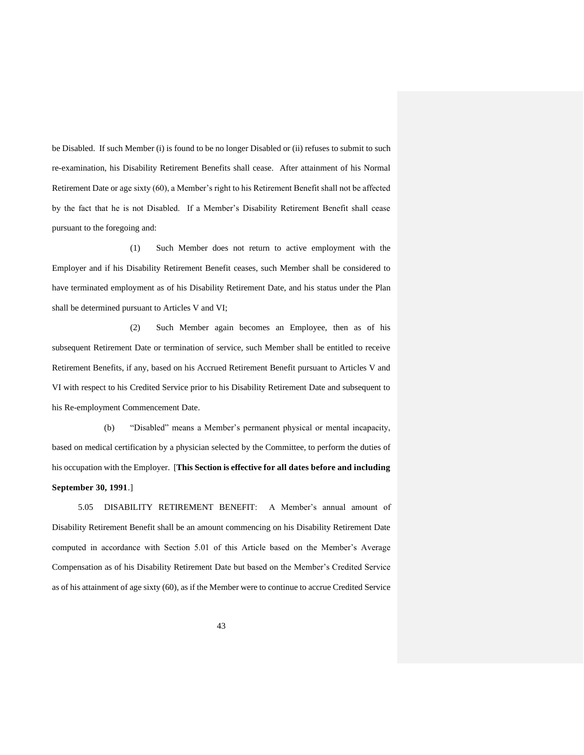be Disabled. If such Member (i) is found to be no longer Disabled or (ii) refuses to submit to such re-examination, his Disability Retirement Benefits shall cease. After attainment of his Normal Retirement Date or age sixty (60), a Member's right to his Retirement Benefit shall not be affected by the fact that he is not Disabled. If a Member's Disability Retirement Benefit shall cease pursuant to the foregoing and:

(1) Such Member does not return to active employment with the Employer and if his Disability Retirement Benefit ceases, such Member shall be considered to have terminated employment as of his Disability Retirement Date, and his status under the Plan shall be determined pursuant to Articles V and VI;

(2) Such Member again becomes an Employee, then as of his subsequent Retirement Date or termination of service, such Member shall be entitled to receive Retirement Benefits, if any, based on his Accrued Retirement Benefit pursuant to Articles V and VI with respect to his Credited Service prior to his Disability Retirement Date and subsequent to his Re-employment Commencement Date.

(b) "Disabled" means a Member's permanent physical or mental incapacity, based on medical certification by a physician selected by the Committee, to perform the duties of his occupation with the Employer. [**This Section is effective for all dates before and including September 30, 1991**.]

5.05 DISABILITY RETIREMENT BENEFIT: A Member's annual amount of Disability Retirement Benefit shall be an amount commencing on his Disability Retirement Date computed in accordance with Section 5.01 of this Article based on the Member's Average Compensation as of his Disability Retirement Date but based on the Member's Credited Service as of his attainment of age sixty (60), as if the Member were to continue to accrue Credited Service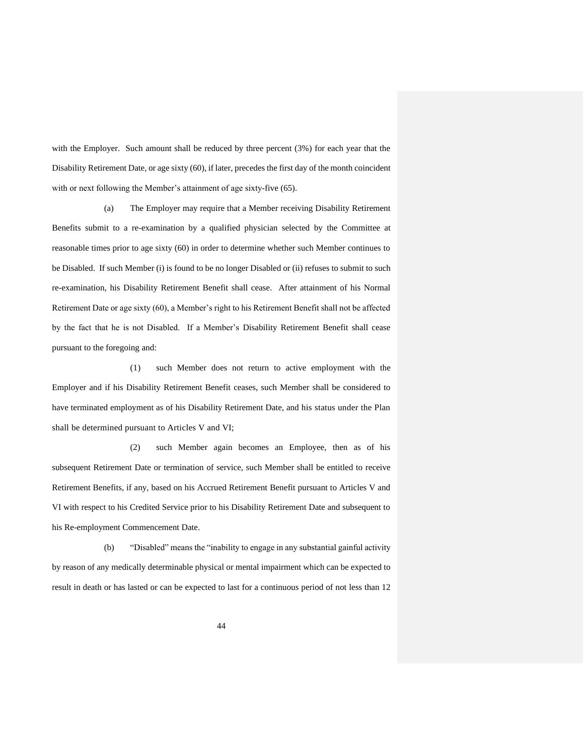with the Employer. Such amount shall be reduced by three percent (3%) for each year that the Disability Retirement Date, or age sixty (60), if later, precedes the first day of the month coincident with or next following the Member's attainment of age sixty-five (65).

(a) The Employer may require that a Member receiving Disability Retirement Benefits submit to a re-examination by a qualified physician selected by the Committee at reasonable times prior to age sixty (60) in order to determine whether such Member continues to be Disabled. If such Member (i) is found to be no longer Disabled or (ii) refuses to submit to such re-examination, his Disability Retirement Benefit shall cease. After attainment of his Normal Retirement Date or age sixty (60), a Member's right to his Retirement Benefit shall not be affected by the fact that he is not Disabled. If a Member's Disability Retirement Benefit shall cease pursuant to the foregoing and:

(1) such Member does not return to active employment with the Employer and if his Disability Retirement Benefit ceases, such Member shall be considered to have terminated employment as of his Disability Retirement Date, and his status under the Plan shall be determined pursuant to Articles V and VI;

(2) such Member again becomes an Employee, then as of his subsequent Retirement Date or termination of service, such Member shall be entitled to receive Retirement Benefits, if any, based on his Accrued Retirement Benefit pursuant to Articles V and VI with respect to his Credited Service prior to his Disability Retirement Date and subsequent to his Re-employment Commencement Date.

(b) "Disabled" means the "inability to engage in any substantial gainful activity by reason of any medically determinable physical or mental impairment which can be expected to result in death or has lasted or can be expected to last for a continuous period of not less than 12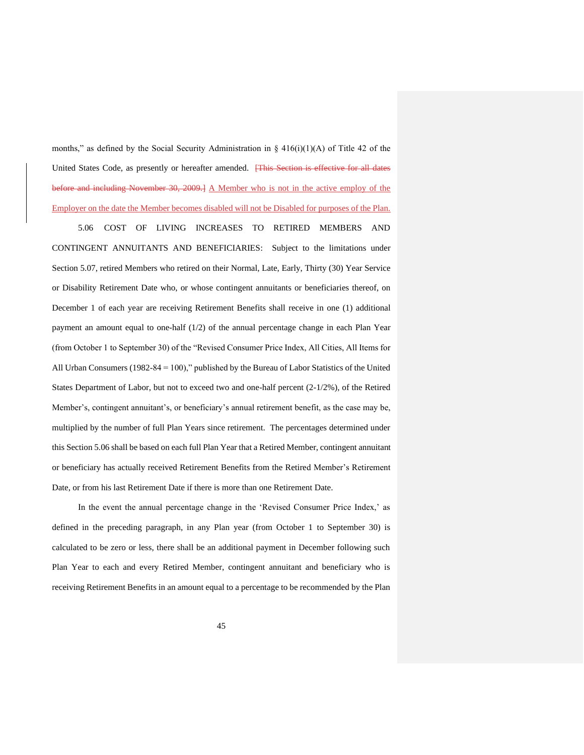months," as defined by the Social Security Administration in  $\S 416(i)(1)(A)$  of Title 42 of the United States Code, as presently or hereafter amended. **[This Section is effective for all dates** before and including November 30, 2009.] A Member who is not in the active employ of the Employer on the date the Member becomes disabled will not be Disabled for purposes of the Plan.

5.06 COST OF LIVING INCREASES TO RETIRED MEMBERS AND CONTINGENT ANNUITANTS AND BENEFICIARIES: Subject to the limitations under Section 5.07, retired Members who retired on their Normal, Late, Early, Thirty (30) Year Service or Disability Retirement Date who, or whose contingent annuitants or beneficiaries thereof, on December 1 of each year are receiving Retirement Benefits shall receive in one (1) additional payment an amount equal to one-half (1/2) of the annual percentage change in each Plan Year (from October 1 to September 30) of the "Revised Consumer Price Index, All Cities, All Items for All Urban Consumers (1982-84 = 100)," published by the Bureau of Labor Statistics of the United States Department of Labor, but not to exceed two and one-half percent (2-1/2%), of the Retired Member's, contingent annuitant's, or beneficiary's annual retirement benefit, as the case may be, multiplied by the number of full Plan Years since retirement. The percentages determined under this Section 5.06 shall be based on each full Plan Year that a Retired Member, contingent annuitant or beneficiary has actually received Retirement Benefits from the Retired Member's Retirement Date, or from his last Retirement Date if there is more than one Retirement Date.

In the event the annual percentage change in the 'Revised Consumer Price Index,' as defined in the preceding paragraph, in any Plan year (from October 1 to September 30) is calculated to be zero or less, there shall be an additional payment in December following such Plan Year to each and every Retired Member, contingent annuitant and beneficiary who is receiving Retirement Benefits in an amount equal to a percentage to be recommended by the Plan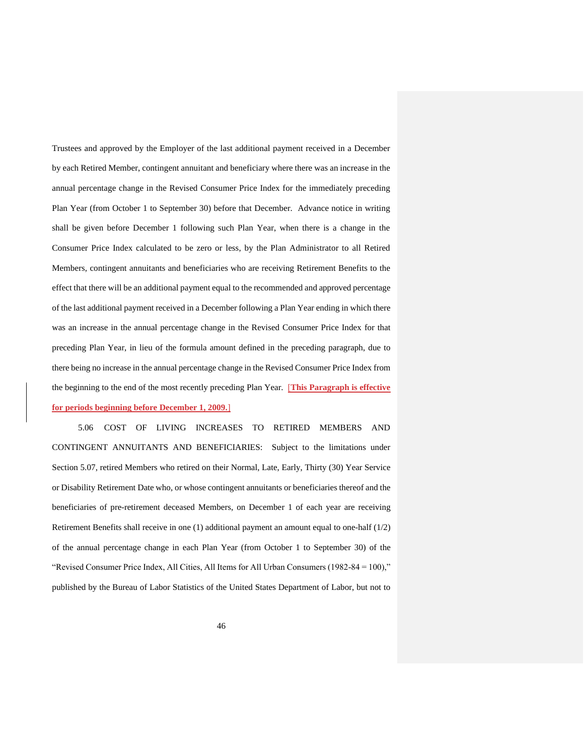Trustees and approved by the Employer of the last additional payment received in a December by each Retired Member, contingent annuitant and beneficiary where there was an increase in the annual percentage change in the Revised Consumer Price Index for the immediately preceding Plan Year (from October 1 to September 30) before that December. Advance notice in writing shall be given before December 1 following such Plan Year, when there is a change in the Consumer Price Index calculated to be zero or less, by the Plan Administrator to all Retired Members, contingent annuitants and beneficiaries who are receiving Retirement Benefits to the effect that there will be an additional payment equal to the recommended and approved percentage of the last additional payment received in a December following a Plan Year ending in which there was an increase in the annual percentage change in the Revised Consumer Price Index for that preceding Plan Year, in lieu of the formula amount defined in the preceding paragraph, due to there being no increase in the annual percentage change in the Revised Consumer Price Index from the beginning to the end of the most recently preceding Plan Year. [**This Paragraph is effective for periods beginning before December 1, 2009.**]

5.06 COST OF LIVING INCREASES TO RETIRED MEMBERS AND CONTINGENT ANNUITANTS AND BENEFICIARIES: Subject to the limitations under Section 5.07, retired Members who retired on their Normal, Late, Early, Thirty (30) Year Service or Disability Retirement Date who, or whose contingent annuitants or beneficiaries thereof and the beneficiaries of pre-retirement deceased Members, on December 1 of each year are receiving Retirement Benefits shall receive in one (1) additional payment an amount equal to one-half (1/2) of the annual percentage change in each Plan Year (from October 1 to September 30) of the "Revised Consumer Price Index, All Cities, All Items for All Urban Consumers (1982-84 = 100)," published by the Bureau of Labor Statistics of the United States Department of Labor, but not to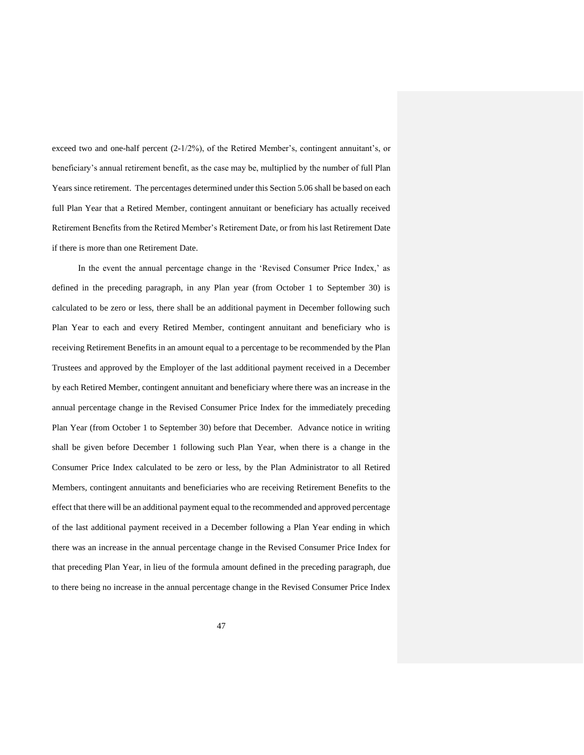exceed two and one-half percent (2-1/2%), of the Retired Member's, contingent annuitant's, or beneficiary's annual retirement benefit, as the case may be, multiplied by the number of full Plan Years since retirement. The percentages determined under this Section 5.06 shall be based on each full Plan Year that a Retired Member, contingent annuitant or beneficiary has actually received Retirement Benefits from the Retired Member's Retirement Date, or from his last Retirement Date if there is more than one Retirement Date.

In the event the annual percentage change in the 'Revised Consumer Price Index,' as defined in the preceding paragraph, in any Plan year (from October 1 to September 30) is calculated to be zero or less, there shall be an additional payment in December following such Plan Year to each and every Retired Member, contingent annuitant and beneficiary who is receiving Retirement Benefits in an amount equal to a percentage to be recommended by the Plan Trustees and approved by the Employer of the last additional payment received in a December by each Retired Member, contingent annuitant and beneficiary where there was an increase in the annual percentage change in the Revised Consumer Price Index for the immediately preceding Plan Year (from October 1 to September 30) before that December. Advance notice in writing shall be given before December 1 following such Plan Year, when there is a change in the Consumer Price Index calculated to be zero or less, by the Plan Administrator to all Retired Members, contingent annuitants and beneficiaries who are receiving Retirement Benefits to the effect that there will be an additional payment equal to the recommended and approved percentage of the last additional payment received in a December following a Plan Year ending in which there was an increase in the annual percentage change in the Revised Consumer Price Index for that preceding Plan Year, in lieu of the formula amount defined in the preceding paragraph, due to there being no increase in the annual percentage change in the Revised Consumer Price Index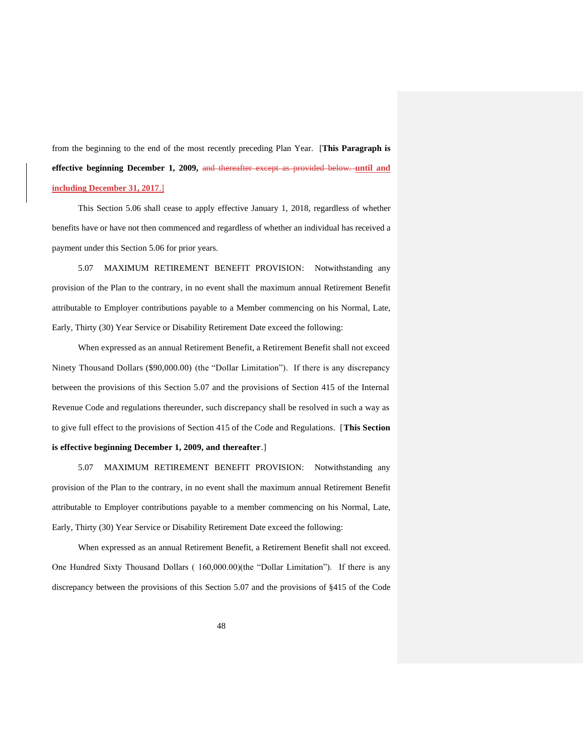from the beginning to the end of the most recently preceding Plan Year. [**This Paragraph is effective beginning December 1, 2009,** and thereafter except as provided below. **until and including December 31, 2017**.]

This Section 5.06 shall cease to apply effective January 1, 2018, regardless of whether benefits have or have not then commenced and regardless of whether an individual has received a payment under this Section 5.06 for prior years.

5.07 MAXIMUM RETIREMENT BENEFIT PROVISION: Notwithstanding any provision of the Plan to the contrary, in no event shall the maximum annual Retirement Benefit attributable to Employer contributions payable to a Member commencing on his Normal, Late, Early, Thirty (30) Year Service or Disability Retirement Date exceed the following:

When expressed as an annual Retirement Benefit, a Retirement Benefit shall not exceed Ninety Thousand Dollars (\$90,000.00) (the "Dollar Limitation"). If there is any discrepancy between the provisions of this Section 5.07 and the provisions of Section 415 of the Internal Revenue Code and regulations thereunder, such discrepancy shall be resolved in such a way as to give full effect to the provisions of Section 415 of the Code and Regulations. [**This Section is effective beginning December 1, 2009, and thereafter**.]

5.07 MAXIMUM RETIREMENT BENEFIT PROVISION: Notwithstanding any provision of the Plan to the contrary, in no event shall the maximum annual Retirement Benefit attributable to Employer contributions payable to a member commencing on his Normal, Late, Early, Thirty (30) Year Service or Disability Retirement Date exceed the following:

When expressed as an annual Retirement Benefit, a Retirement Benefit shall not exceed. One Hundred Sixty Thousand Dollars ( 160,000.00)(the "Dollar Limitation"). If there is any discrepancy between the provisions of this Section 5.07 and the provisions of §415 of the Code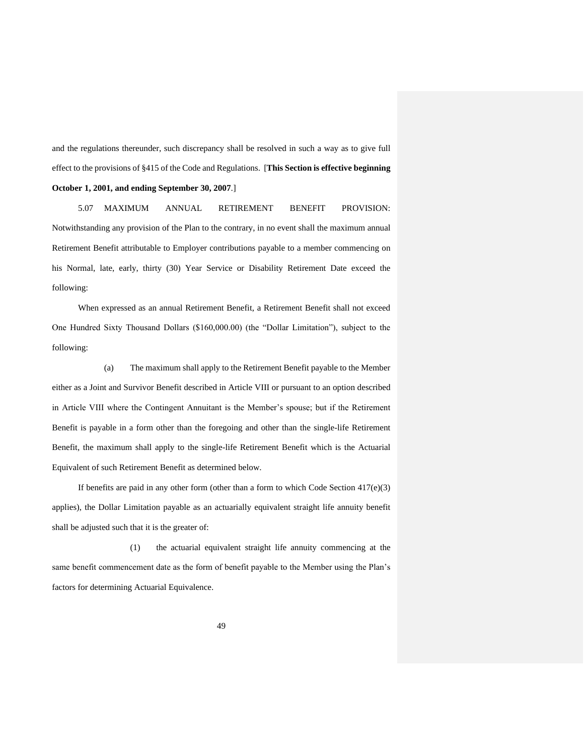and the regulations thereunder, such discrepancy shall be resolved in such a way as to give full effect to the provisions of §415 of the Code and Regulations. [**This Section is effective beginning October 1, 2001, and ending September 30, 2007**.]

5.07 MAXIMUM ANNUAL RETIREMENT BENEFIT PROVISION: Notwithstanding any provision of the Plan to the contrary, in no event shall the maximum annual Retirement Benefit attributable to Employer contributions payable to a member commencing on his Normal, late, early, thirty (30) Year Service or Disability Retirement Date exceed the following:

When expressed as an annual Retirement Benefit, a Retirement Benefit shall not exceed One Hundred Sixty Thousand Dollars (\$160,000.00) (the "Dollar Limitation"), subject to the following:

(a) The maximum shall apply to the Retirement Benefit payable to the Member either as a Joint and Survivor Benefit described in Article VIII or pursuant to an option described in Article VIII where the Contingent Annuitant is the Member's spouse; but if the Retirement Benefit is payable in a form other than the foregoing and other than the single-life Retirement Benefit, the maximum shall apply to the single-life Retirement Benefit which is the Actuarial Equivalent of such Retirement Benefit as determined below.

If benefits are paid in any other form (other than a form to which Code Section 417(e)(3) applies), the Dollar Limitation payable as an actuarially equivalent straight life annuity benefit shall be adjusted such that it is the greater of:

(1) the actuarial equivalent straight life annuity commencing at the same benefit commencement date as the form of benefit payable to the Member using the Plan's factors for determining Actuarial Equivalence.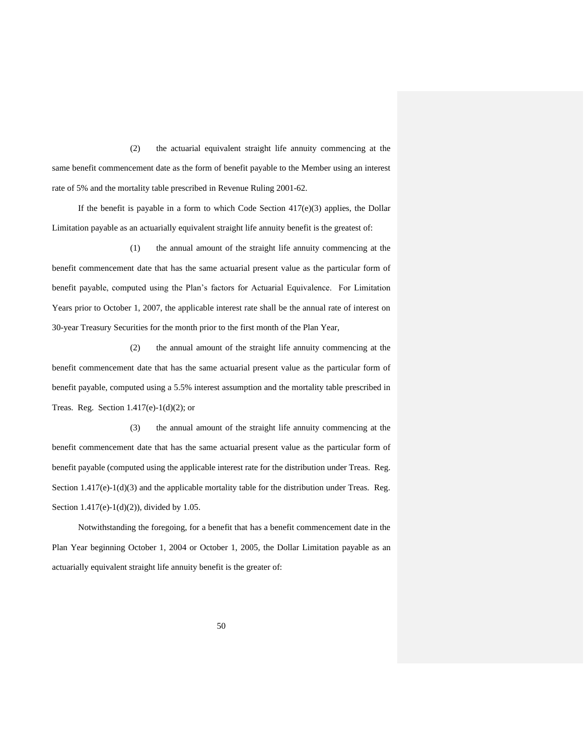(2) the actuarial equivalent straight life annuity commencing at the same benefit commencement date as the form of benefit payable to the Member using an interest rate of 5% and the mortality table prescribed in Revenue Ruling 2001-62.

If the benefit is payable in a form to which Code Section  $417(e)(3)$  applies, the Dollar Limitation payable as an actuarially equivalent straight life annuity benefit is the greatest of:

(1) the annual amount of the straight life annuity commencing at the benefit commencement date that has the same actuarial present value as the particular form of benefit payable, computed using the Plan's factors for Actuarial Equivalence. For Limitation Years prior to October 1, 2007, the applicable interest rate shall be the annual rate of interest on 30-year Treasury Securities for the month prior to the first month of the Plan Year,

(2) the annual amount of the straight life annuity commencing at the benefit commencement date that has the same actuarial present value as the particular form of benefit payable, computed using a 5.5% interest assumption and the mortality table prescribed in Treas. Reg. Section  $1.417(e)-1(d)(2)$ ; or

(3) the annual amount of the straight life annuity commencing at the benefit commencement date that has the same actuarial present value as the particular form of benefit payable (computed using the applicable interest rate for the distribution under Treas. Reg. Section  $1.417(e)-1(d)(3)$  and the applicable mortality table for the distribution under Treas. Reg. Section 1.417(e)-1(d)(2)), divided by 1.05.

Notwithstanding the foregoing, for a benefit that has a benefit commencement date in the Plan Year beginning October 1, 2004 or October 1, 2005, the Dollar Limitation payable as an actuarially equivalent straight life annuity benefit is the greater of: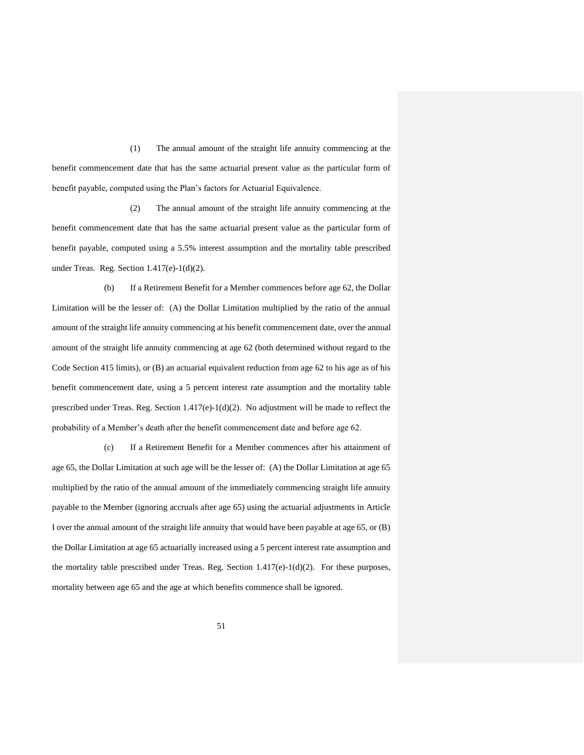(1) The annual amount of the straight life annuity commencing at the benefit commencement date that has the same actuarial present value as the particular form of benefit payable, computed using the Plan's factors for Actuarial Equivalence.

(2) The annual amount of the straight life annuity commencing at the benefit commencement date that has the same actuarial present value as the particular form of benefit payable, computed using a 5.5% interest assumption and the mortality table prescribed under Treas. Reg. Section  $1.417(e)-1(d)(2)$ .

(b) If a Retirement Benefit for a Member commences before age 62, the Dollar Limitation will be the lesser of: (A) the Dollar Limitation multiplied by the ratio of the annual amount of the straight life annuity commencing at his benefit commencement date, over the annual amount of the straight life annuity commencing at age 62 (both determined without regard to the Code Section 415 limits), or (B) an actuarial equivalent reduction from age 62 to his age as of his benefit commencement date, using a 5 percent interest rate assumption and the mortality table prescribed under Treas. Reg. Section  $1.417(e)-1(d)(2)$ . No adjustment will be made to reflect the probability of a Member's death after the benefit commencement date and before age 62.

(c) If a Retirement Benefit for a Member commences after his attainment of age 65, the Dollar Limitation at such age will be the lesser of: (A) the Dollar Limitation at age 65 multiplied by the ratio of the annual amount of the immediately commencing straight life annuity payable to the Member (ignoring accruals after age 65) using the actuarial adjustments in Article I over the annual amount of the straight life annuity that would have been payable at age 65, or (B) the Dollar Limitation at age 65 actuarially increased using a 5 percent interest rate assumption and the mortality table prescribed under Treas. Reg. Section  $1.417(e)-1(d)(2)$ . For these purposes, mortality between age 65 and the age at which benefits commence shall be ignored.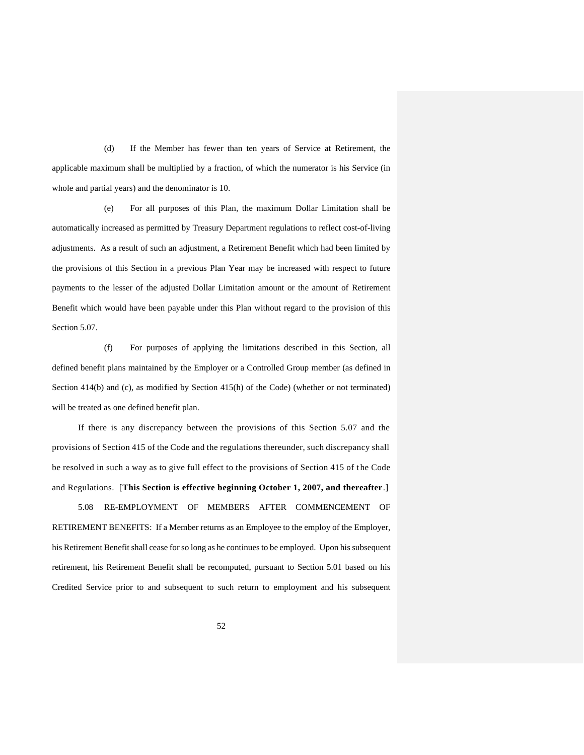(d) If the Member has fewer than ten years of Service at Retirement, the applicable maximum shall be multiplied by a fraction, of which the numerator is his Service (in whole and partial years) and the denominator is 10.

(e) For all purposes of this Plan, the maximum Dollar Limitation shall be automatically increased as permitted by Treasury Department regulations to reflect cost-of-living adjustments. As a result of such an adjustment, a Retirement Benefit which had been limited by the provisions of this Section in a previous Plan Year may be increased with respect to future payments to the lesser of the adjusted Dollar Limitation amount or the amount of Retirement Benefit which would have been payable under this Plan without regard to the provision of this Section 5.07.

(f) For purposes of applying the limitations described in this Section, all defined benefit plans maintained by the Employer or a Controlled Group member (as defined in Section 414(b) and (c), as modified by Section 415(h) of the Code) (whether or not terminated) will be treated as one defined benefit plan.

If there is any discrepancy between the provisions of this Section 5.07 and the provisions of Section 415 of the Code and the regulations thereunder, such discrepancy shall be resolved in such a way as to give full effect to the provisions of Section 415 of the Code and Regulations. [**This Section is effective beginning October 1, 2007, and thereafter**.]

5.08 RE-EMPLOYMENT OF MEMBERS AFTER COMMENCEMENT OF RETIREMENT BENEFITS: If a Member returns as an Employee to the employ of the Employer, his Retirement Benefit shall cease for so long as he continues to be employed. Upon his subsequent retirement, his Retirement Benefit shall be recomputed, pursuant to Section 5.01 based on his Credited Service prior to and subsequent to such return to employment and his subsequent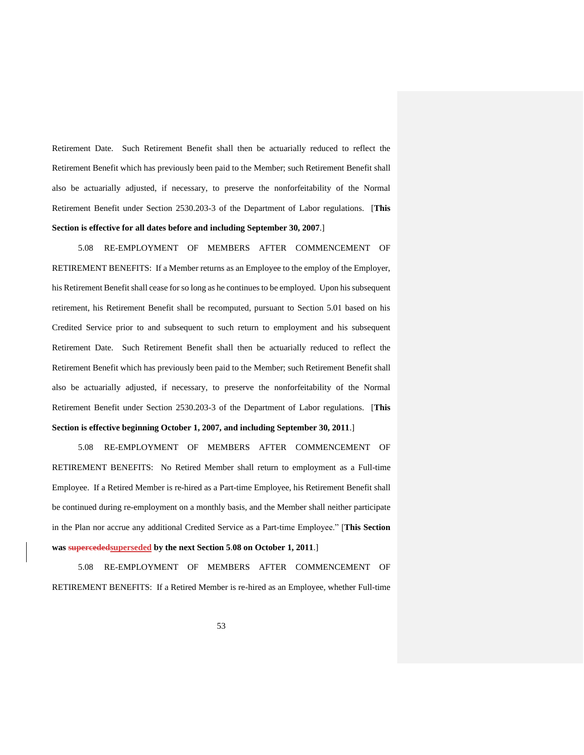Retirement Date. Such Retirement Benefit shall then be actuarially reduced to reflect the Retirement Benefit which has previously been paid to the Member; such Retirement Benefit shall also be actuarially adjusted, if necessary, to preserve the nonforfeitability of the Normal Retirement Benefit under Section 2530.203-3 of the Department of Labor regulations. [**This Section is effective for all dates before and including September 30, 2007**.]

5.08 RE-EMPLOYMENT OF MEMBERS AFTER COMMENCEMENT OF RETIREMENT BENEFITS: If a Member returns as an Employee to the employ of the Employer, his Retirement Benefit shall cease for so long as he continues to be employed. Upon his subsequent retirement, his Retirement Benefit shall be recomputed, pursuant to Section 5.01 based on his Credited Service prior to and subsequent to such return to employment and his subsequent Retirement Date. Such Retirement Benefit shall then be actuarially reduced to reflect the Retirement Benefit which has previously been paid to the Member; such Retirement Benefit shall also be actuarially adjusted, if necessary, to preserve the nonforfeitability of the Normal Retirement Benefit under Section 2530.203-3 of the Department of Labor regulations. [**This Section is effective beginning October 1, 2007, and including September 30, 2011**.]

5.08 RE-EMPLOYMENT OF MEMBERS AFTER COMMENCEMENT OF RETIREMENT BENEFITS: No Retired Member shall return to employment as a Full-time Employee. If a Retired Member is re-hired as a Part-time Employee, his Retirement Benefit shall be continued during re-employment on a monthly basis, and the Member shall neither participate in the Plan nor accrue any additional Credited Service as a Part-time Employee." [**This Section was supercededsuperseded by the next Section 5**.**08 on October 1, 2011**.]

5.08 RE-EMPLOYMENT OF MEMBERS AFTER COMMENCEMENT OF RETIREMENT BENEFITS: If a Retired Member is re-hired as an Employee, whether Full-time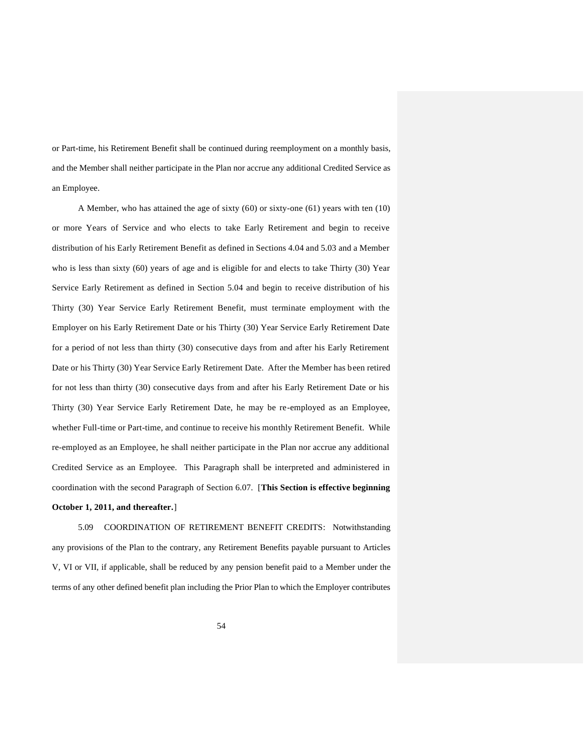or Part-time, his Retirement Benefit shall be continued during reemployment on a monthly basis, and the Member shall neither participate in the Plan nor accrue any additional Credited Service as an Employee.

A Member, who has attained the age of sixty (60) or sixty-one (61) years with ten (10) or more Years of Service and who elects to take Early Retirement and begin to receive distribution of his Early Retirement Benefit as defined in Sections 4.04 and 5.03 and a Member who is less than sixty (60) years of age and is eligible for and elects to take Thirty (30) Year Service Early Retirement as defined in Section 5.04 and begin to receive distribution of his Thirty (30) Year Service Early Retirement Benefit, must terminate employment with the Employer on his Early Retirement Date or his Thirty (30) Year Service Early Retirement Date for a period of not less than thirty (30) consecutive days from and after his Early Retirement Date or his Thirty (30) Year Service Early Retirement Date. After the Member has been retired for not less than thirty (30) consecutive days from and after his Early Retirement Date or his Thirty (30) Year Service Early Retirement Date, he may be re-employed as an Employee, whether Full-time or Part-time, and continue to receive his monthly Retirement Benefit. While re-employed as an Employee, he shall neither participate in the Plan nor accrue any additional Credited Service as an Employee. This Paragraph shall be interpreted and administered in coordination with the second Paragraph of Section 6.07. [**This Section is effective beginning October 1, 2011, and thereafter.**]

5.09 COORDINATION OF RETIREMENT BENEFIT CREDITS: Notwithstanding any provisions of the Plan to the contrary, any Retirement Benefits payable pursuant to Articles V, VI or VII, if applicable, shall be reduced by any pension benefit paid to a Member under the terms of any other defined benefit plan including the Prior Plan to which the Employer contributes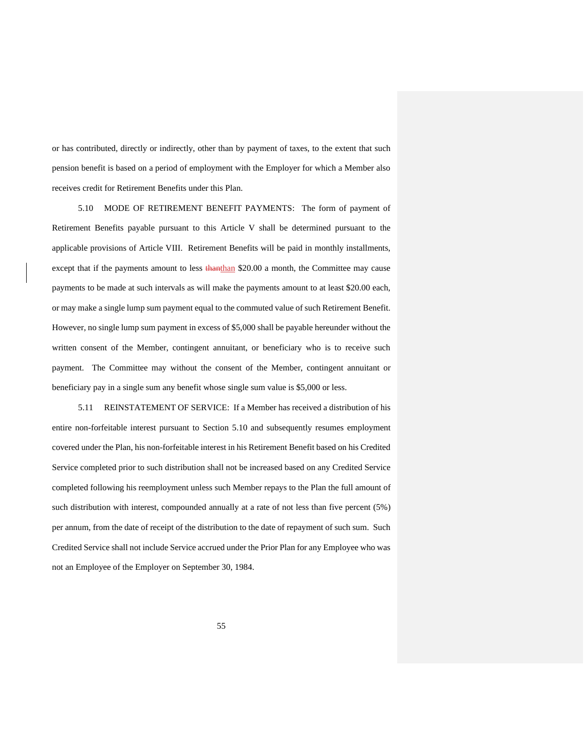or has contributed, directly or indirectly, other than by payment of taxes, to the extent that such pension benefit is based on a period of employment with the Employer for which a Member also receives credit for Retirement Benefits under this Plan.

5.10 MODE OF RETIREMENT BENEFIT PAYMENTS: The form of payment of Retirement Benefits payable pursuant to this Article V shall be determined pursuant to the applicable provisions of Article VIII. Retirement Benefits will be paid in monthly installments, except that if the payments amount to less than than \$20.00 a month, the Committee may cause payments to be made at such intervals as will make the payments amount to at least \$20.00 each, or may make a single lump sum payment equal to the commuted value of such Retirement Benefit. However, no single lump sum payment in excess of \$5,000 shall be payable hereunder without the written consent of the Member, contingent annuitant, or beneficiary who is to receive such payment. The Committee may without the consent of the Member, contingent annuitant or beneficiary pay in a single sum any benefit whose single sum value is \$5,000 or less.

5.11 REINSTATEMENT OF SERVICE: If a Member has received a distribution of his entire non-forfeitable interest pursuant to Section 5.10 and subsequently resumes employment covered under the Plan, his non-forfeitable interest in his Retirement Benefit based on his Credited Service completed prior to such distribution shall not be increased based on any Credited Service completed following his reemployment unless such Member repays to the Plan the full amount of such distribution with interest, compounded annually at a rate of not less than five percent (5%) per annum, from the date of receipt of the distribution to the date of repayment of such sum. Such Credited Service shall not include Service accrued under the Prior Plan for any Employee who was not an Employee of the Employer on September 30, 1984.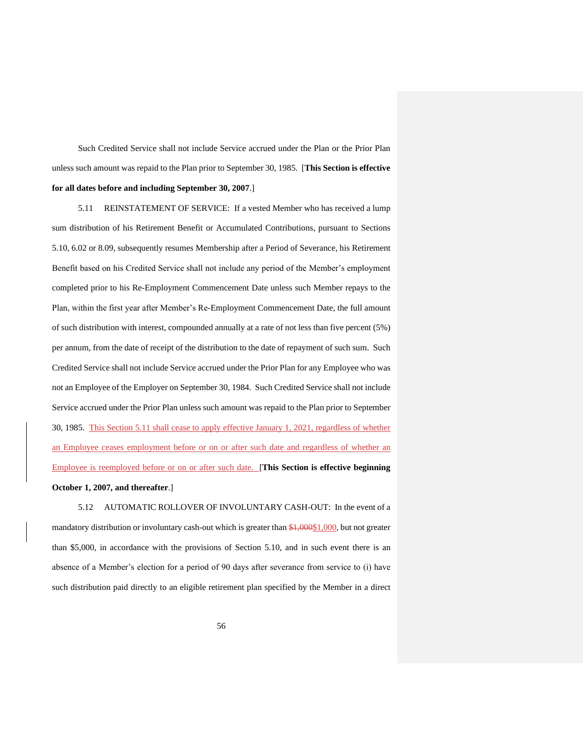Such Credited Service shall not include Service accrued under the Plan or the Prior Plan unless such amount was repaid to the Plan prior to September 30, 1985. [**This Section is effective for all dates before and including September 30, 2007**.]

5.11 REINSTATEMENT OF SERVICE: If a vested Member who has received a lump sum distribution of his Retirement Benefit or Accumulated Contributions, pursuant to Sections 5.10, 6.02 or 8.09, subsequently resumes Membership after a Period of Severance, his Retirement Benefit based on his Credited Service shall not include any period of the Member's employment completed prior to his Re-Employment Commencement Date unless such Member repays to the Plan, within the first year after Member's Re-Employment Commencement Date, the full amount of such distribution with interest, compounded annually at a rate of not less than five percent (5%) per annum, from the date of receipt of the distribution to the date of repayment of such sum. Such Credited Service shall not include Service accrued under the Prior Plan for any Employee who was not an Employee of the Employer on September 30, 1984. Such Credited Service shall not include Service accrued under the Prior Plan unless such amount was repaid to the Plan prior to September 30, 1985. This Section 5.11 shall cease to apply effective January 1, 2021, regardless of whether an Employee ceases employment before or on or after such date and regardless of whether an Employee is reemployed before or on or after such date. [**This Section is effective beginning October 1, 2007, and thereafter**.]

5.12 AUTOMATIC ROLLOVER OF INVOLUNTARY CASH-OUT: In the event of a mandatory distribution or involuntary cash-out which is greater than \$1,000\$1,000, but not greater than \$5,000, in accordance with the provisions of Section 5.10, and in such event there is an absence of a Member's election for a period of 90 days after severance from service to (i) have such distribution paid directly to an eligible retirement plan specified by the Member in a direct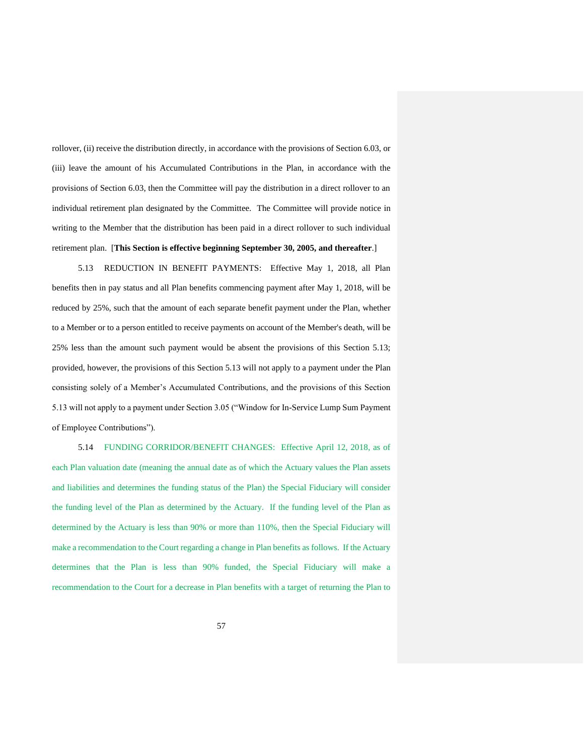rollover, (ii) receive the distribution directly, in accordance with the provisions of Section 6.03, or (iii) leave the amount of his Accumulated Contributions in the Plan, in accordance with the provisions of Section 6.03, then the Committee will pay the distribution in a direct rollover to an individual retirement plan designated by the Committee. The Committee will provide notice in writing to the Member that the distribution has been paid in a direct rollover to such individual retirement plan. [**This Section is effective beginning September 30, 2005, and thereafter**.]

5.13 REDUCTION IN BENEFIT PAYMENTS: Effective May 1, 2018, all Plan benefits then in pay status and all Plan benefits commencing payment after May 1, 2018, will be reduced by 25%, such that the amount of each separate benefit payment under the Plan, whether to a Member or to a person entitled to receive payments on account of the Member's death, will be 25% less than the amount such payment would be absent the provisions of this Section 5.13; provided, however, the provisions of this Section 5.13 will not apply to a payment under the Plan consisting solely of a Member's Accumulated Contributions, and the provisions of this Section 5.13 will not apply to a payment under Section 3.05 ("Window for In-Service Lump Sum Payment of Employee Contributions").

5.14 FUNDING CORRIDOR/BENEFIT CHANGES: Effective April 12, 2018, as of each Plan valuation date (meaning the annual date as of which the Actuary values the Plan assets and liabilities and determines the funding status of the Plan) the Special Fiduciary will consider the funding level of the Plan as determined by the Actuary. If the funding level of the Plan as determined by the Actuary is less than 90% or more than 110%, then the Special Fiduciary will make a recommendation to the Court regarding a change in Plan benefits as follows. If the Actuary determines that the Plan is less than 90% funded, the Special Fiduciary will make a recommendation to the Court for a decrease in Plan benefits with a target of returning the Plan to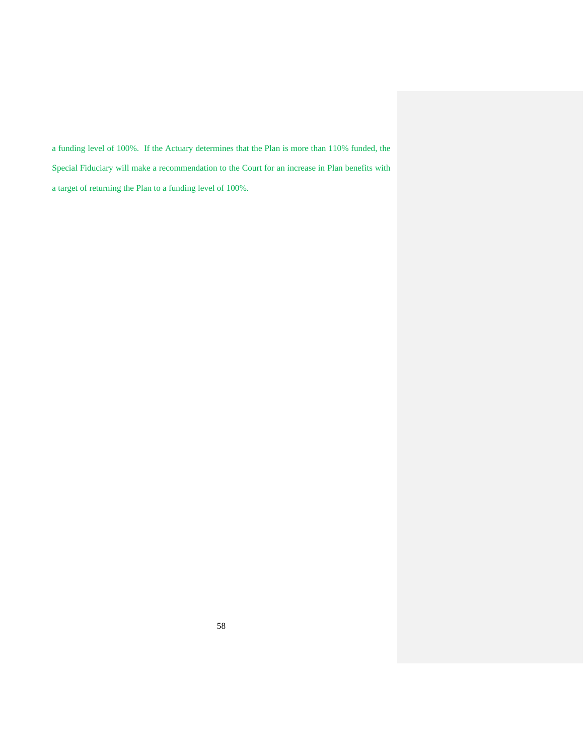a funding level of 100%. If the Actuary determines that the Plan is more than 110% funded, the Special Fiduciary will make a recommendation to the Court for an increase in Plan benefits with a target of returning the Plan to a funding level of 100%.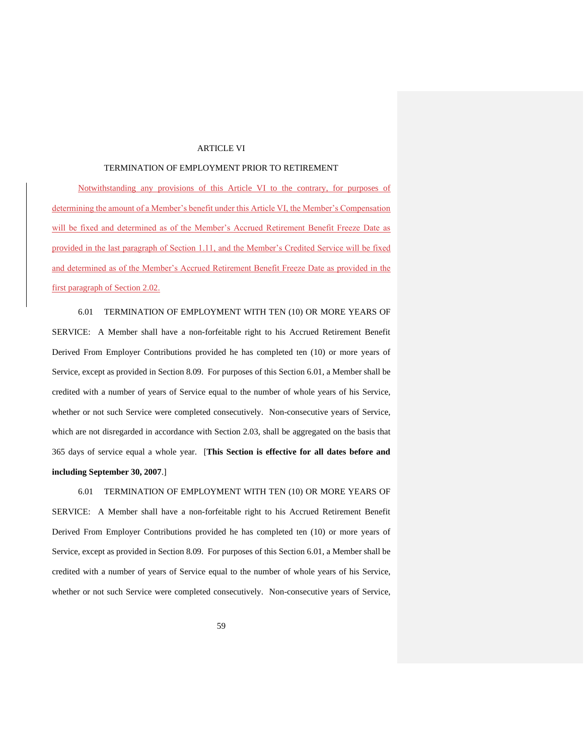## ARTICLE VI

## TERMINATION OF EMPLOYMENT PRIOR TO RETIREMENT

Notwithstanding any provisions of this Article VI to the contrary, for purposes of determining the amount of a Member's benefit under this Article VI, the Member's Compensation will be fixed and determined as of the Member's Accrued Retirement Benefit Freeze Date as provided in the last paragraph of Section 1.11, and the Member's Credited Service will be fixed and determined as of the Member's Accrued Retirement Benefit Freeze Date as provided in the first paragraph of Section 2.02.

6.01 TERMINATION OF EMPLOYMENT WITH TEN (10) OR MORE YEARS OF SERVICE: A Member shall have a non-forfeitable right to his Accrued Retirement Benefit Derived From Employer Contributions provided he has completed ten (10) or more years of Service, except as provided in Section 8.09. For purposes of this Section 6.01, a Member shall be credited with a number of years of Service equal to the number of whole years of his Service, whether or not such Service were completed consecutively. Non-consecutive years of Service, which are not disregarded in accordance with Section 2.03, shall be aggregated on the basis that 365 days of service equal a whole year. [**This Section is effective for all dates before and including September 30, 2007**.]

6.01 TERMINATION OF EMPLOYMENT WITH TEN (10) OR MORE YEARS OF SERVICE: A Member shall have a non-forfeitable right to his Accrued Retirement Benefit Derived From Employer Contributions provided he has completed ten (10) or more years of Service, except as provided in Section 8.09. For purposes of this Section 6.01, a Member shall be credited with a number of years of Service equal to the number of whole years of his Service, whether or not such Service were completed consecutively. Non-consecutive years of Service,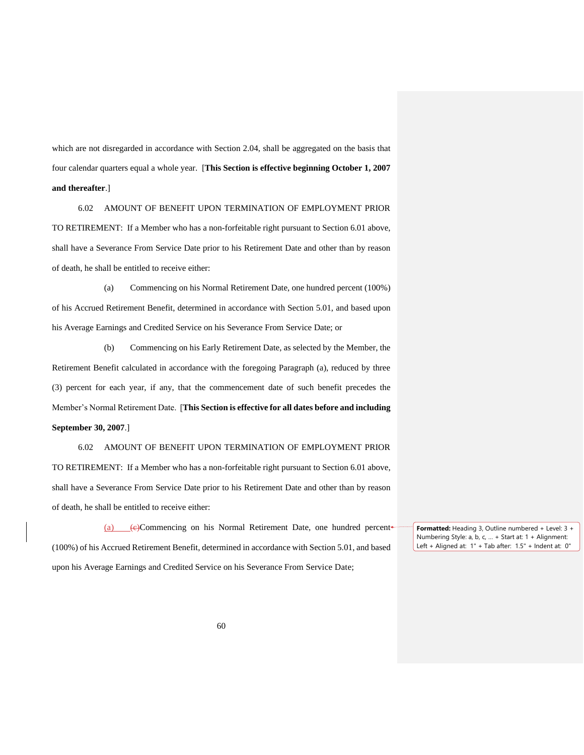which are not disregarded in accordance with Section 2.04, shall be aggregated on the basis that four calendar quarters equal a whole year. [**This Section is effective beginning October 1, 2007 and thereafter**.]

6.02 AMOUNT OF BENEFIT UPON TERMINATION OF EMPLOYMENT PRIOR TO RETIREMENT: If a Member who has a non-forfeitable right pursuant to Section 6.01 above, shall have a Severance From Service Date prior to his Retirement Date and other than by reason of death, he shall be entitled to receive either:

(a) Commencing on his Normal Retirement Date, one hundred percent (100%) of his Accrued Retirement Benefit, determined in accordance with Section 5.01, and based upon his Average Earnings and Credited Service on his Severance From Service Date; or

(b) Commencing on his Early Retirement Date, as selected by the Member, the Retirement Benefit calculated in accordance with the foregoing Paragraph (a), reduced by three (3) percent for each year, if any, that the commencement date of such benefit precedes the Member's Normal Retirement Date. [**This Section is effective for all dates before and including September 30, 2007**.]

6.02 AMOUNT OF BENEFIT UPON TERMINATION OF EMPLOYMENT PRIOR TO RETIREMENT: If a Member who has a non-forfeitable right pursuant to Section 6.01 above, shall have a Severance From Service Date prior to his Retirement Date and other than by reason of death, he shall be entitled to receive either:

(a)  $\epsilon$ Commencing on his Normal Retirement Date, one hundred percent (100%) of his Accrued Retirement Benefit, determined in accordance with Section 5.01, and based upon his Average Earnings and Credited Service on his Severance From Service Date;

**Formatted:** Heading 3, Outline numbered + Level: 3 + Numbering Style: a, b, c, … + Start at: 1 + Alignment: Left + Aligned at: 1" + Tab after: 1.5" + Indent at: 0"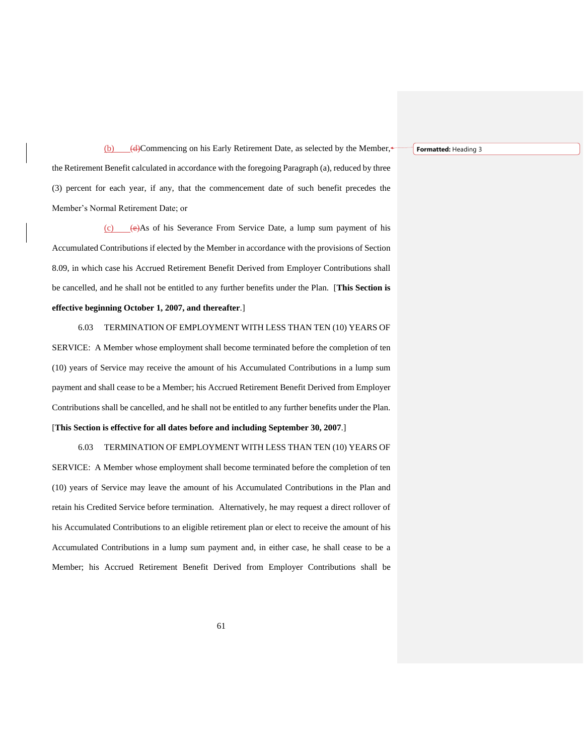**Formatted:** Heading 3

(b) (d)Commencing on his Early Retirement Date, as selected by the Member, $\triangleleft$ the Retirement Benefit calculated in accordance with the foregoing Paragraph (a), reduced by three (3) percent for each year, if any, that the commencement date of such benefit precedes the Member's Normal Retirement Date; or

 $(c)$  (e)As of his Severance From Service Date, a lump sum payment of his Accumulated Contributions if elected by the Member in accordance with the provisions of Section 8.09, in which case his Accrued Retirement Benefit Derived from Employer Contributions shall be cancelled, and he shall not be entitled to any further benefits under the Plan. [**This Section is effective beginning October 1, 2007, and thereafter**.]

6.03 TERMINATION OF EMPLOYMENT WITH LESS THAN TEN (10) YEARS OF SERVICE: A Member whose employment shall become terminated before the completion of ten (10) years of Service may receive the amount of his Accumulated Contributions in a lump sum payment and shall cease to be a Member; his Accrued Retirement Benefit Derived from Employer Contributions shall be cancelled, and he shall not be entitled to any further benefits under the Plan.

### [**This Section is effective for all dates before and including September 30, 2007**.]

6.03 TERMINATION OF EMPLOYMENT WITH LESS THAN TEN (10) YEARS OF SERVICE: A Member whose employment shall become terminated before the completion of ten (10) years of Service may leave the amount of his Accumulated Contributions in the Plan and retain his Credited Service before termination. Alternatively, he may request a direct rollover of his Accumulated Contributions to an eligible retirement plan or elect to receive the amount of his Accumulated Contributions in a lump sum payment and, in either case, he shall cease to be a Member; his Accrued Retirement Benefit Derived from Employer Contributions shall be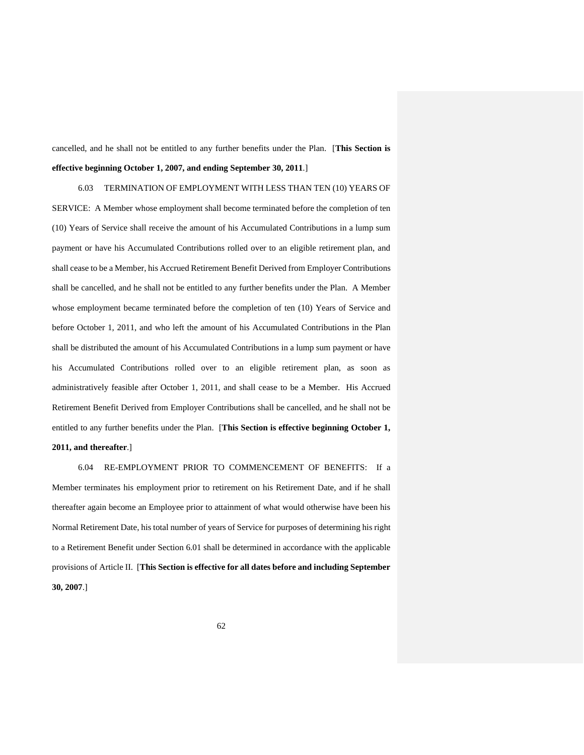cancelled, and he shall not be entitled to any further benefits under the Plan. [**This Section is effective beginning October 1, 2007, and ending September 30, 2011**.]

6.03 TERMINATION OF EMPLOYMENT WITH LESS THAN TEN (10) YEARS OF SERVICE: A Member whose employment shall become terminated before the completion of ten (10) Years of Service shall receive the amount of his Accumulated Contributions in a lump sum payment or have his Accumulated Contributions rolled over to an eligible retirement plan, and shall cease to be a Member, his Accrued Retirement Benefit Derived from Employer Contributions shall be cancelled, and he shall not be entitled to any further benefits under the Plan. A Member whose employment became terminated before the completion of ten (10) Years of Service and before October 1, 2011, and who left the amount of his Accumulated Contributions in the Plan shall be distributed the amount of his Accumulated Contributions in a lump sum payment or have his Accumulated Contributions rolled over to an eligible retirement plan, as soon as administratively feasible after October 1, 2011, and shall cease to be a Member. His Accrued Retirement Benefit Derived from Employer Contributions shall be cancelled, and he shall not be entitled to any further benefits under the Plan. [**This Section is effective beginning October 1, 2011, and thereafter**.]

6.04 RE-EMPLOYMENT PRIOR TO COMMENCEMENT OF BENEFITS: If a Member terminates his employment prior to retirement on his Retirement Date, and if he shall thereafter again become an Employee prior to attainment of what would otherwise have been his Normal Retirement Date, his total number of years of Service for purposes of determining his right to a Retirement Benefit under Section 6.01 shall be determined in accordance with the applicable provisions of Article II.[**This Section is effective for all dates before and including September 30, 2007**.]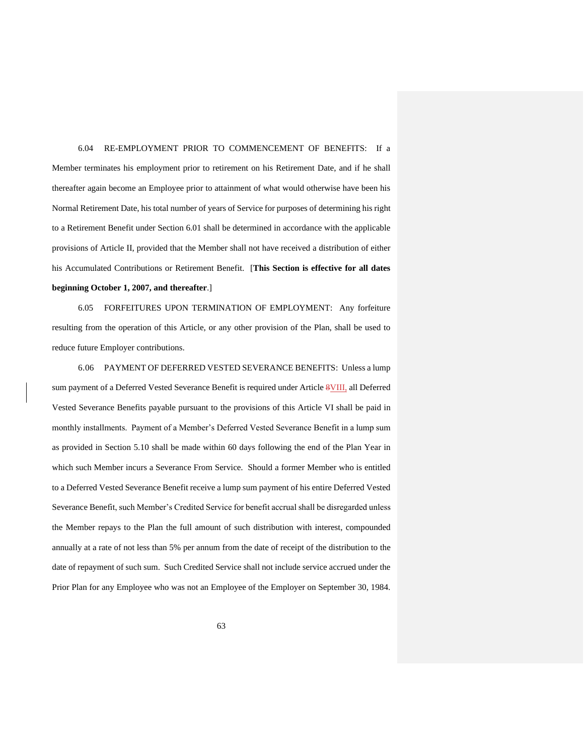6.04 RE-EMPLOYMENT PRIOR TO COMMENCEMENT OF BENEFITS: If a Member terminates his employment prior to retirement on his Retirement Date, and if he shall thereafter again become an Employee prior to attainment of what would otherwise have been his Normal Retirement Date, his total number of years of Service for purposes of determining his right to a Retirement Benefit under Section 6.01 shall be determined in accordance with the applicable provisions of Article II, provided that the Member shall not have received a distribution of either his Accumulated Contributions or Retirement Benefit. [**This Section is effective for all dates beginning October 1, 2007, and thereafter**.]

6.05 FORFEITURES UPON TERMINATION OF EMPLOYMENT: Any forfeiture resulting from the operation of this Article, or any other provision of the Plan, shall be used to reduce future Employer contributions.

6.06 PAYMENT OF DEFERRED VESTED SEVERANCE BENEFITS: Unless a lump sum payment of a Deferred Vested Severance Benefit is required under Article 8VIII, all Deferred Vested Severance Benefits payable pursuant to the provisions of this Article VI shall be paid in monthly installments. Payment of a Member's Deferred Vested Severance Benefit in a lump sum as provided in Section 5.10 shall be made within 60 days following the end of the Plan Year in which such Member incurs a Severance From Service. Should a former Member who is entitled to a Deferred Vested Severance Benefit receive a lump sum payment of his entire Deferred Vested Severance Benefit, such Member's Credited Service for benefit accrual shall be disregarded unless the Member repays to the Plan the full amount of such distribution with interest, compounded annually at a rate of not less than 5% per annum from the date of receipt of the distribution to the date of repayment of such sum. Such Credited Service shall not include service accrued under the Prior Plan for any Employee who was not an Employee of the Employer on September 30, 1984.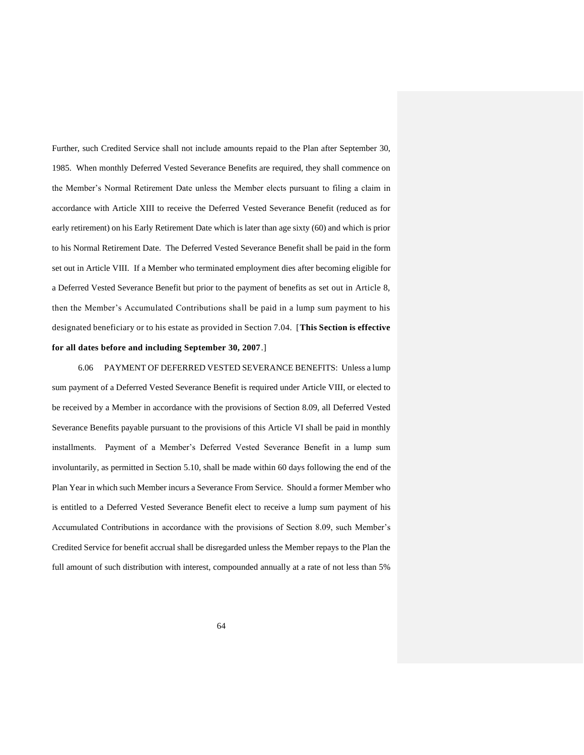Further, such Credited Service shall not include amounts repaid to the Plan after September 30, 1985. When monthly Deferred Vested Severance Benefits are required, they shall commence on the Member's Normal Retirement Date unless the Member elects pursuant to filing a claim in accordance with Article XIII to receive the Deferred Vested Severance Benefit (reduced as for early retirement) on his Early Retirement Date which is later than age sixty (60) and which is prior to his Normal Retirement Date. The Deferred Vested Severance Benefit shall be paid in the form set out in Article VIII. If a Member who terminated employment dies after becoming eligible for a Deferred Vested Severance Benefit but prior to the payment of benefits as set out in Article 8, then the Member's Accumulated Contributions shall be paid in a lump sum payment to his designated beneficiary or to his estate as provided in Section 7.04. [**This Section is effective for all dates before and including September 30, 2007**.]

6.06 PAYMENT OF DEFERRED VESTED SEVERANCE BENEFITS: Unless a lump sum payment of a Deferred Vested Severance Benefit is required under Article VIII, or elected to be received by a Member in accordance with the provisions of Section 8.09, all Deferred Vested Severance Benefits payable pursuant to the provisions of this Article VI shall be paid in monthly installments. Payment of a Member's Deferred Vested Severance Benefit in a lump sum involuntarily, as permitted in Section 5.10, shall be made within 60 days following the end of the Plan Year in which such Member incurs a Severance From Service. Should a former Member who is entitled to a Deferred Vested Severance Benefit elect to receive a lump sum payment of his Accumulated Contributions in accordance with the provisions of Section 8.09, such Member's Credited Service for benefit accrual shall be disregarded unless the Member repays to the Plan the full amount of such distribution with interest, compounded annually at a rate of not less than 5%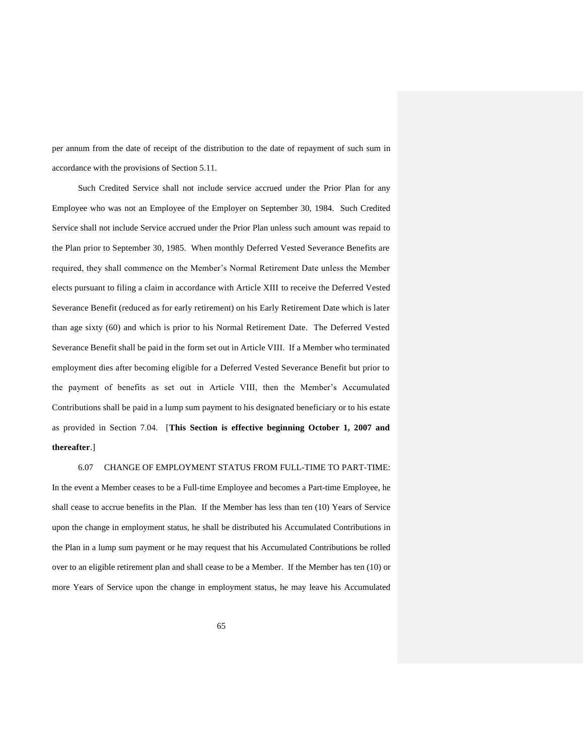per annum from the date of receipt of the distribution to the date of repayment of such sum in accordance with the provisions of Section 5.11.

Such Credited Service shall not include service accrued under the Prior Plan for any Employee who was not an Employee of the Employer on September 30, 1984. Such Credited Service shall not include Service accrued under the Prior Plan unless such amount was repaid to the Plan prior to September 30, 1985. When monthly Deferred Vested Severance Benefits are required, they shall commence on the Member's Normal Retirement Date unless the Member elects pursuant to filing a claim in accordance with Article XIII to receive the Deferred Vested Severance Benefit (reduced as for early retirement) on his Early Retirement Date which is later than age sixty (60) and which is prior to his Normal Retirement Date. The Deferred Vested Severance Benefit shall be paid in the form set out in Article VIII. If a Member who terminated employment dies after becoming eligible for a Deferred Vested Severance Benefit but prior to the payment of benefits as set out in Article VIII, then the Member's Accumulated Contributions shall be paid in a lump sum payment to his designated beneficiary or to his estate as provided in Section 7.04. [**This Section is effective beginning October 1, 2007 and thereafter**.]

6.07 CHANGE OF EMPLOYMENT STATUS FROM FULL-TIME TO PART-TIME: In the event a Member ceases to be a Full-time Employee and becomes a Part-time Employee, he shall cease to accrue benefits in the Plan. If the Member has less than ten (10) Years of Service upon the change in employment status, he shall be distributed his Accumulated Contributions in the Plan in a lump sum payment or he may request that his Accumulated Contributions be rolled over to an eligible retirement plan and shall cease to be a Member. If the Member has ten (10) or more Years of Service upon the change in employment status, he may leave his Accumulated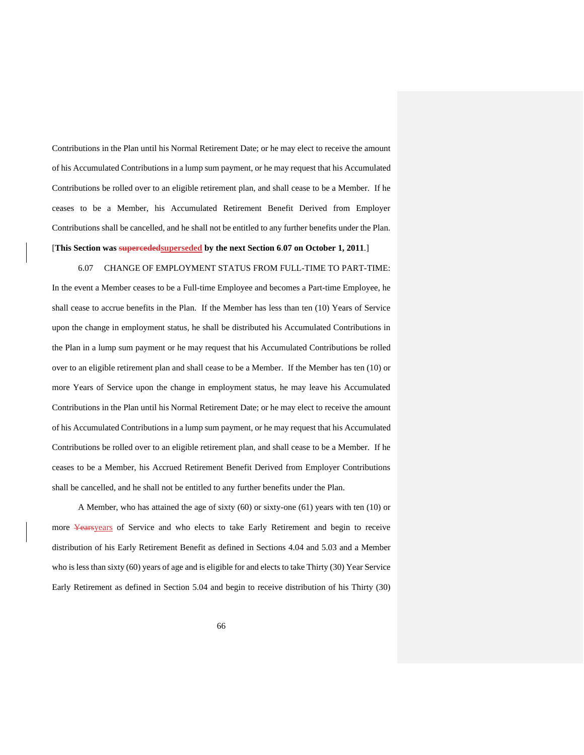Contributions in the Plan until his Normal Retirement Date; or he may elect to receive the amount of his Accumulated Contributions in a lump sum payment, or he may request that his Accumulated Contributions be rolled over to an eligible retirement plan, and shall cease to be a Member. If he ceases to be a Member, his Accumulated Retirement Benefit Derived from Employer Contributions shall be cancelled, and he shall not be entitled to any further benefits under the Plan. [**This Section was supercededsuperseded by the next Section 6**.**07 on October 1, 2011**.]

6.07 CHANGE OF EMPLOYMENT STATUS FROM FULL-TIME TO PART-TIME: In the event a Member ceases to be a Full-time Employee and becomes a Part-time Employee, he shall cease to accrue benefits in the Plan. If the Member has less than ten (10) Years of Service upon the change in employment status, he shall be distributed his Accumulated Contributions in the Plan in a lump sum payment or he may request that his Accumulated Contributions be rolled over to an eligible retirement plan and shall cease to be a Member. If the Member has ten (10) or more Years of Service upon the change in employment status, he may leave his Accumulated Contributions in the Plan until his Normal Retirement Date; or he may elect to receive the amount of his Accumulated Contributions in a lump sum payment, or he may request that his Accumulated Contributions be rolled over to an eligible retirement plan, and shall cease to be a Member. If he ceases to be a Member, his Accrued Retirement Benefit Derived from Employer Contributions shall be cancelled, and he shall not be entitled to any further benefits under the Plan.

A Member, who has attained the age of sixty (60) or sixty-one (61) years with ten (10) or more Yearsyears of Service and who elects to take Early Retirement and begin to receive distribution of his Early Retirement Benefit as defined in Sections 4.04 and 5.03 and a Member who is less than sixty (60) years of age and is eligible for and elects to take Thirty (30) Year Service Early Retirement as defined in Section 5.04 and begin to receive distribution of his Thirty (30)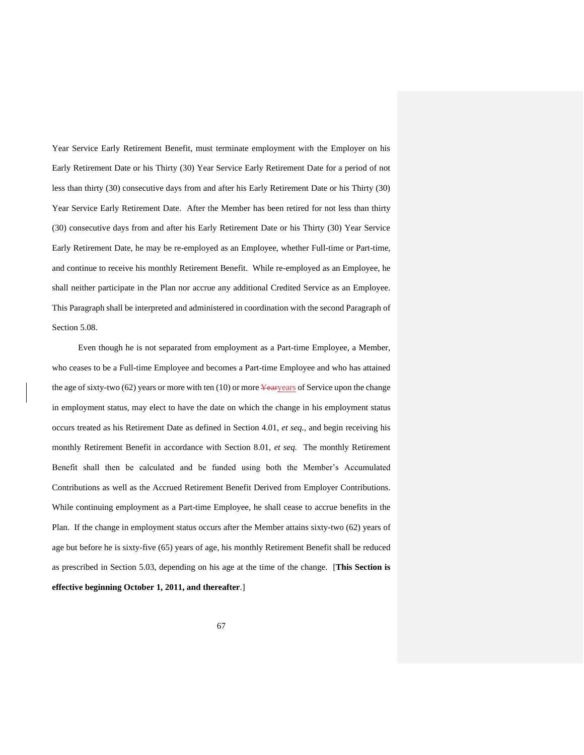Year Service Early Retirement Benefit, must terminate employment with the Employer on his Early Retirement Date or his Thirty (30) Year Service Early Retirement Date for a period of not less than thirty (30) consecutive days from and after his Early Retirement Date or his Thirty (30) Year Service Early Retirement Date. After the Member has been retired for not less than thirty (30) consecutive days from and after his Early Retirement Date or his Thirty (30) Year Service Early Retirement Date, he may be re-employed as an Employee, whether Full-time or Part-time, and continue to receive his monthly Retirement Benefit. While re-employed as an Employee, he shall neither participate in the Plan nor accrue any additional Credited Service as an Employee. This Paragraph shall be interpreted and administered in coordination with the second Paragraph of Section 5.08.

Even though he is not separated from employment as a Part-time Employee, a Member, who ceases to be a Full-time Employee and becomes a Part-time Employee and who has attained the age of sixty-two  $(62)$  years or more with ten  $(10)$  or more Yearyears of Service upon the change in employment status, may elect to have the date on which the change in his employment status occurs treated as his Retirement Date as defined in Section 4.01, *et seq.,* and begin receiving his monthly Retirement Benefit in accordance with Section 8.01, *et seq.* The monthly Retirement Benefit shall then be calculated and be funded using both the Member's Accumulated Contributions as well as the Accrued Retirement Benefit Derived from Employer Contributions. While continuing employment as a Part-time Employee, he shall cease to accrue benefits in the Plan. If the change in employment status occurs after the Member attains sixty-two (62) years of age but before he is sixty-five (65) years of age, his monthly Retirement Benefit shall be reduced as prescribed in Section 5.03, depending on his age at the time of the change. [**This Section is effective beginning October 1, 2011, and thereafter**.]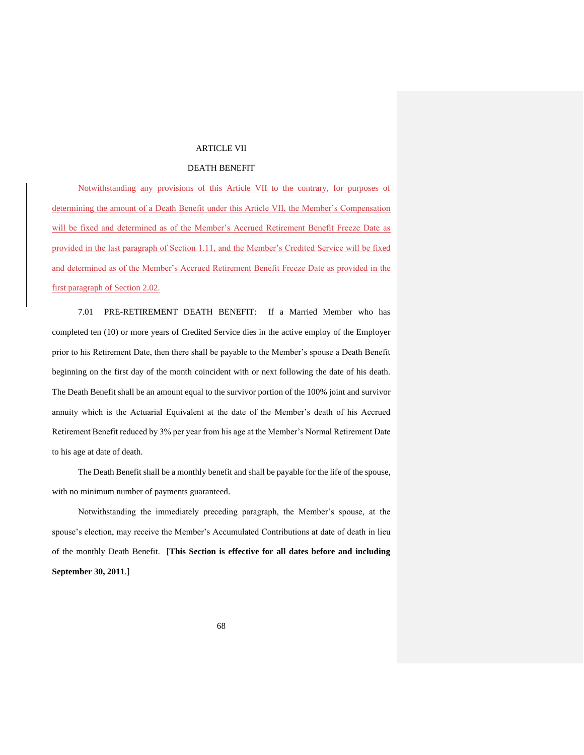### ARTICLE VII

# DEATH BENEFIT

Notwithstanding any provisions of this Article VII to the contrary, for purposes of determining the amount of a Death Benefit under this Article VII, the Member's Compensation will be fixed and determined as of the Member's Accrued Retirement Benefit Freeze Date as provided in the last paragraph of Section 1.11, and the Member's Credited Service will be fixed and determined as of the Member's Accrued Retirement Benefit Freeze Date as provided in the first paragraph of Section 2.02.

7.01 PRE-RETIREMENT DEATH BENEFIT: If a Married Member who has completed ten (10) or more years of Credited Service dies in the active employ of the Employer prior to his Retirement Date, then there shall be payable to the Member's spouse a Death Benefit beginning on the first day of the month coincident with or next following the date of his death. The Death Benefit shall be an amount equal to the survivor portion of the 100% joint and survivor annuity which is the Actuarial Equivalent at the date of the Member's death of his Accrued Retirement Benefit reduced by 3% per year from his age at the Member's Normal Retirement Date to his age at date of death.

The Death Benefit shall be a monthly benefit and shall be payable for the life of the spouse, with no minimum number of payments guaranteed.

Notwithstanding the immediately preceding paragraph, the Member's spouse, at the spouse's election, may receive the Member's Accumulated Contributions at date of death in lieu of the monthly Death Benefit. [**This Section is effective for all dates before and including September 30, 2011**.]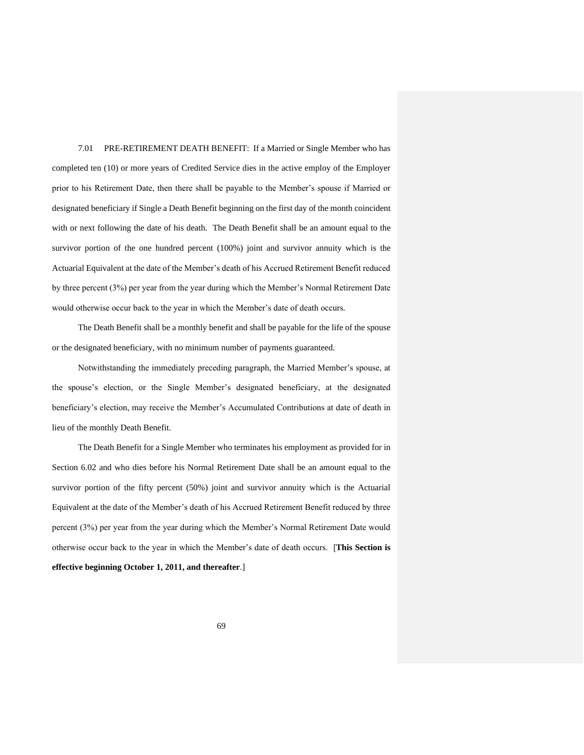7.01 PRE-RETIREMENT DEATH BENEFIT: If a Married or Single Member who has completed ten (10) or more years of Credited Service dies in the active employ of the Employer prior to his Retirement Date, then there shall be payable to the Member's spouse if Married or designated beneficiary if Single a Death Benefit beginning on the first day of the month coincident with or next following the date of his death. The Death Benefit shall be an amount equal to the survivor portion of the one hundred percent (100%) joint and survivor annuity which is the Actuarial Equivalent at the date of the Member's death of his Accrued Retirement Benefit reduced by three percent (3%) per year from the year during which the Member's Normal Retirement Date would otherwise occur back to the year in which the Member's date of death occurs.

The Death Benefit shall be a monthly benefit and shall be payable for the life of the spouse or the designated beneficiary, with no minimum number of payments guaranteed.

Notwithstanding the immediately preceding paragraph, the Married Member's spouse, at the spouse's election, or the Single Member's designated beneficiary, at the designated beneficiary's election, may receive the Member's Accumulated Contributions at date of death in lieu of the monthly Death Benefit.

The Death Benefit for a Single Member who terminates his employment as provided for in Section 6.02 and who dies before his Normal Retirement Date shall be an amount equal to the survivor portion of the fifty percent (50%) joint and survivor annuity which is the Actuarial Equivalent at the date of the Member's death of his Accrued Retirement Benefit reduced by three percent (3%) per year from the year during which the Member's Normal Retirement Date would otherwise occur back to the year in which the Member's date of death occurs. [**This Section is effective beginning October 1, 2011, and thereafter**.]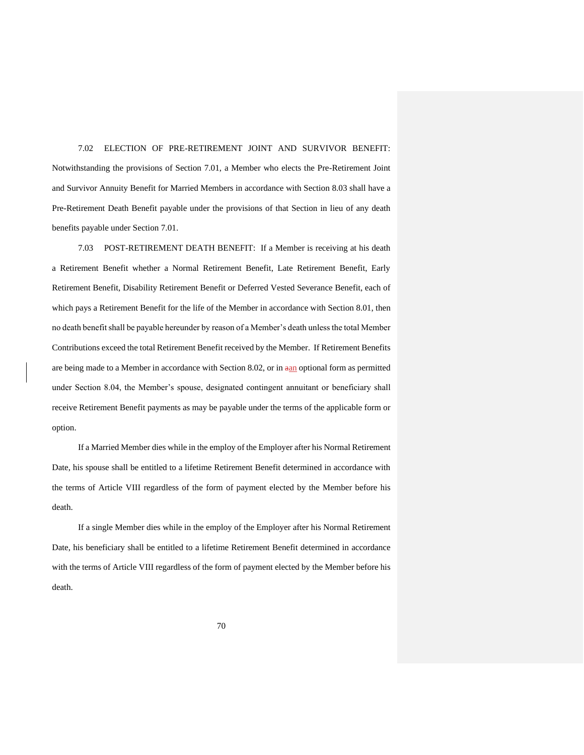7.02 ELECTION OF PRE-RETIREMENT JOINT AND SURVIVOR BENEFIT: Notwithstanding the provisions of Section 7.01, a Member who elects the Pre-Retirement Joint and Survivor Annuity Benefit for Married Members in accordance with Section 8.03 shall have a Pre-Retirement Death Benefit payable under the provisions of that Section in lieu of any death benefits payable under Section 7.01.

7.03 POST-RETIREMENT DEATH BENEFIT: If a Member is receiving at his death a Retirement Benefit whether a Normal Retirement Benefit, Late Retirement Benefit, Early Retirement Benefit, Disability Retirement Benefit or Deferred Vested Severance Benefit, each of which pays a Retirement Benefit for the life of the Member in accordance with Section 8.01, then no death benefit shall be payable hereunder by reason of a Member's death unless the total Member Contributions exceed the total Retirement Benefit received by the Member. If Retirement Benefits are being made to a Member in accordance with Section 8.02, or in aan optional form as permitted under Section 8.04, the Member's spouse, designated contingent annuitant or beneficiary shall receive Retirement Benefit payments as may be payable under the terms of the applicable form or option.

If a Married Member dies while in the employ of the Employer after his Normal Retirement Date, his spouse shall be entitled to a lifetime Retirement Benefit determined in accordance with the terms of Article VIII regardless of the form of payment elected by the Member before his death.

If a single Member dies while in the employ of the Employer after his Normal Retirement Date, his beneficiary shall be entitled to a lifetime Retirement Benefit determined in accordance with the terms of Article VIII regardless of the form of payment elected by the Member before his death.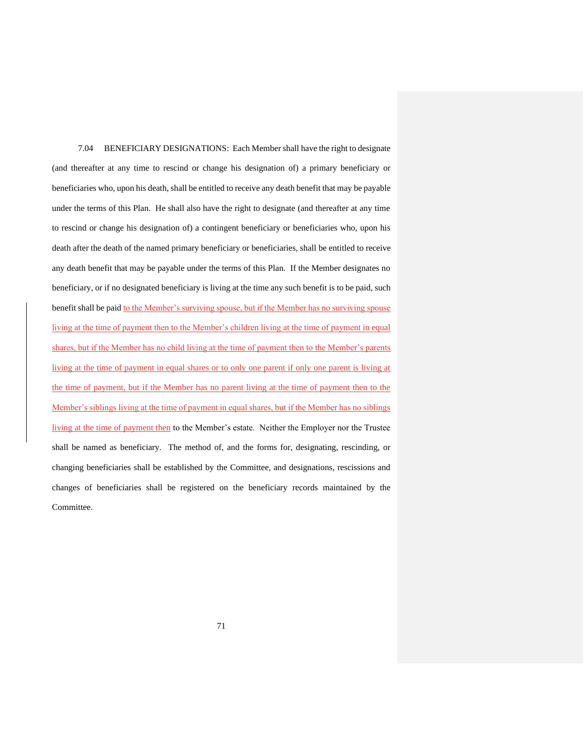7.04 BENEFICIARY DESIGNATIONS: Each Member shall have the right to designate (and thereafter at any time to rescind or change his designation of) a primary beneficiary or beneficiaries who, upon his death, shall be entitled to receive any death benefit that may be payable under the terms of this Plan. He shall also have the right to designate (and thereafter at any time to rescind or change his designation of) a contingent beneficiary or beneficiaries who, upon his death after the death of the named primary beneficiary or beneficiaries, shall be entitled to receive any death benefit that may be payable under the terms of this Plan. If the Member designates no beneficiary, or if no designated beneficiary is living at the time any such benefit is to be paid, such benefit shall be paid to the Member's surviving spouse, but if the Member has no surviving spouse living at the time of payment then to the Member's children living at the time of payment in equal shares, but if the Member has no child living at the time of payment then to the Member's parents living at the time of payment in equal shares or to only one parent if only one parent is living at the time of payment, but if the Member has no parent living at the time of payment then to the Member's siblings living at the time of payment in equal shares, but if the Member has no siblings living at the time of payment then to the Member's estate. Neither the Employer nor the Trustee shall be named as beneficiary. The method of, and the forms for, designating, rescinding, or changing beneficiaries shall be established by the Committee, and designations, rescissions and changes of beneficiaries shall be registered on the beneficiary records maintained by the Committee.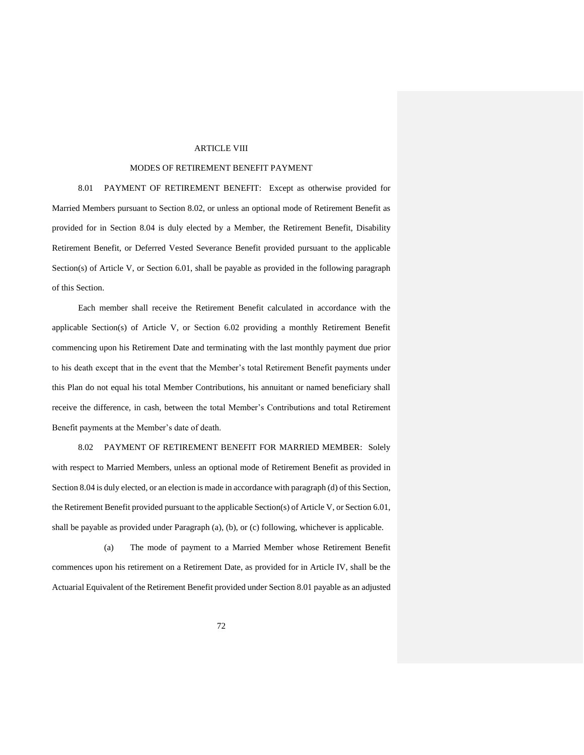### ARTICLE VIII

### MODES OF RETIREMENT BENEFIT PAYMENT

8.01 PAYMENT OF RETIREMENT BENEFIT: Except as otherwise provided for Married Members pursuant to Section 8.02, or unless an optional mode of Retirement Benefit as provided for in Section 8.04 is duly elected by a Member, the Retirement Benefit, Disability Retirement Benefit, or Deferred Vested Severance Benefit provided pursuant to the applicable Section(s) of Article V, or Section 6.01, shall be payable as provided in the following paragraph of this Section.

Each member shall receive the Retirement Benefit calculated in accordance with the applicable Section(s) of Article V, or Section 6.02 providing a monthly Retirement Benefit commencing upon his Retirement Date and terminating with the last monthly payment due prior to his death except that in the event that the Member's total Retirement Benefit payments under this Plan do not equal his total Member Contributions, his annuitant or named beneficiary shall receive the difference, in cash, between the total Member's Contributions and total Retirement Benefit payments at the Member's date of death.

8.02 PAYMENT OF RETIREMENT BENEFIT FOR MARRIED MEMBER: Solely with respect to Married Members, unless an optional mode of Retirement Benefit as provided in Section 8.04 is duly elected, or an election is made in accordance with paragraph (d) of this Section, the Retirement Benefit provided pursuant to the applicable Section(s) of Article V, or Section 6.01, shall be payable as provided under Paragraph (a), (b), or (c) following, whichever is applicable.

(a) The mode of payment to a Married Member whose Retirement Benefit commences upon his retirement on a Retirement Date, as provided for in Article IV, shall be the Actuarial Equivalent of the Retirement Benefit provided under Section 8.01 payable as an adjusted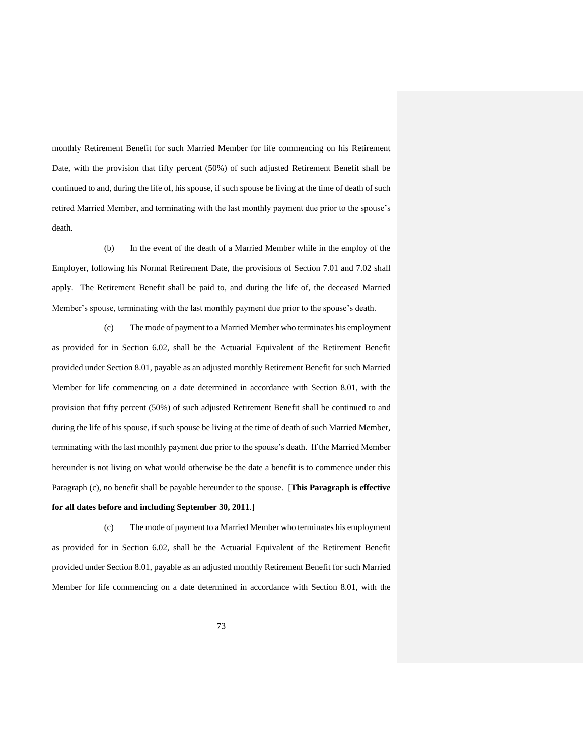monthly Retirement Benefit for such Married Member for life commencing on his Retirement Date, with the provision that fifty percent (50%) of such adjusted Retirement Benefit shall be continued to and, during the life of, his spouse, if such spouse be living at the time of death of such retired Married Member, and terminating with the last monthly payment due prior to the spouse's death.

(b) In the event of the death of a Married Member while in the employ of the Employer, following his Normal Retirement Date, the provisions of Section 7.01 and 7.02 shall apply. The Retirement Benefit shall be paid to, and during the life of, the deceased Married Member's spouse, terminating with the last monthly payment due prior to the spouse's death.

(c) The mode of payment to a Married Member who terminates his employment as provided for in Section 6.02, shall be the Actuarial Equivalent of the Retirement Benefit provided under Section 8.01, payable as an adjusted monthly Retirement Benefit for such Married Member for life commencing on a date determined in accordance with Section 8.01, with the provision that fifty percent (50%) of such adjusted Retirement Benefit shall be continued to and during the life of his spouse, if such spouse be living at the time of death of such Married Member, terminating with the last monthly payment due prior to the spouse's death. If the Married Member hereunder is not living on what would otherwise be the date a benefit is to commence under this Paragraph (c), no benefit shall be payable hereunder to the spouse. [**This Paragraph is effective for all dates before and including September 30, 2011**.]

(c) The mode of payment to a Married Member who terminates his employment as provided for in Section 6.02, shall be the Actuarial Equivalent of the Retirement Benefit provided under Section 8.01, payable as an adjusted monthly Retirement Benefit for such Married Member for life commencing on a date determined in accordance with Section 8.01, with the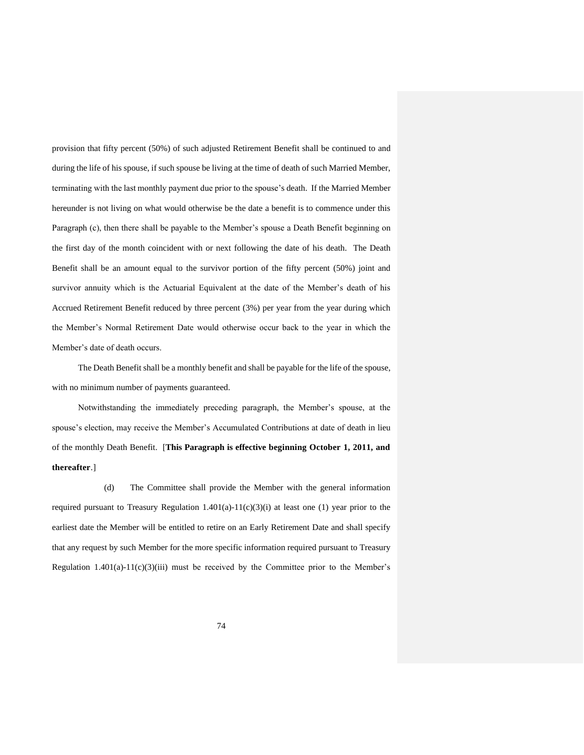provision that fifty percent (50%) of such adjusted Retirement Benefit shall be continued to and during the life of his spouse, if such spouse be living at the time of death of such Married Member, terminating with the last monthly payment due prior to the spouse's death. If the Married Member hereunder is not living on what would otherwise be the date a benefit is to commence under this Paragraph (c), then there shall be payable to the Member's spouse a Death Benefit beginning on the first day of the month coincident with or next following the date of his death. The Death Benefit shall be an amount equal to the survivor portion of the fifty percent (50%) joint and survivor annuity which is the Actuarial Equivalent at the date of the Member's death of his Accrued Retirement Benefit reduced by three percent (3%) per year from the year during which the Member's Normal Retirement Date would otherwise occur back to the year in which the Member's date of death occurs.

The Death Benefit shall be a monthly benefit and shall be payable for the life of the spouse, with no minimum number of payments guaranteed.

Notwithstanding the immediately preceding paragraph, the Member's spouse, at the spouse's election, may receive the Member's Accumulated Contributions at date of death in lieu of the monthly Death Benefit. [**This Paragraph is effective beginning October 1, 2011, and thereafter**.]

(d) The Committee shall provide the Member with the general information required pursuant to Treasury Regulation  $1.401(a)-11(c)(3)(i)$  at least one (1) year prior to the earliest date the Member will be entitled to retire on an Early Retirement Date and shall specify that any request by such Member for the more specific information required pursuant to Treasury Regulation  $1.401(a)-11(c)(3)(iii)$  must be received by the Committee prior to the Member's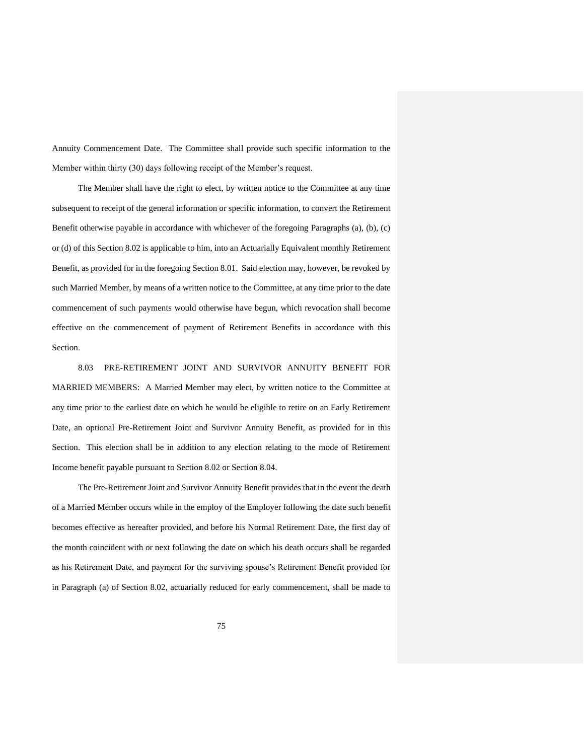Annuity Commencement Date. The Committee shall provide such specific information to the Member within thirty (30) days following receipt of the Member's request.

The Member shall have the right to elect, by written notice to the Committee at any time subsequent to receipt of the general information or specific information, to convert the Retirement Benefit otherwise payable in accordance with whichever of the foregoing Paragraphs (a), (b), (c) or (d) of this Section 8.02 is applicable to him, into an Actuarially Equivalent monthly Retirement Benefit, as provided for in the foregoing Section 8.01. Said election may, however, be revoked by such Married Member, by means of a written notice to the Committee, at any time prior to the date commencement of such payments would otherwise have begun, which revocation shall become effective on the commencement of payment of Retirement Benefits in accordance with this Section.

8.03 PRE-RETIREMENT JOINT AND SURVIVOR ANNUITY BENEFIT FOR MARRIED MEMBERS: A Married Member may elect, by written notice to the Committee at any time prior to the earliest date on which he would be eligible to retire on an Early Retirement Date, an optional Pre-Retirement Joint and Survivor Annuity Benefit, as provided for in this Section. This election shall be in addition to any election relating to the mode of Retirement Income benefit payable pursuant to Section 8.02 or Section 8.04.

The Pre-Retirement Joint and Survivor Annuity Benefit provides that in the event the death of a Married Member occurs while in the employ of the Employer following the date such benefit becomes effective as hereafter provided, and before his Normal Retirement Date, the first day of the month coincident with or next following the date on which his death occurs shall be regarded as his Retirement Date, and payment for the surviving spouse's Retirement Benefit provided for in Paragraph (a) of Section 8.02, actuarially reduced for early commencement, shall be made to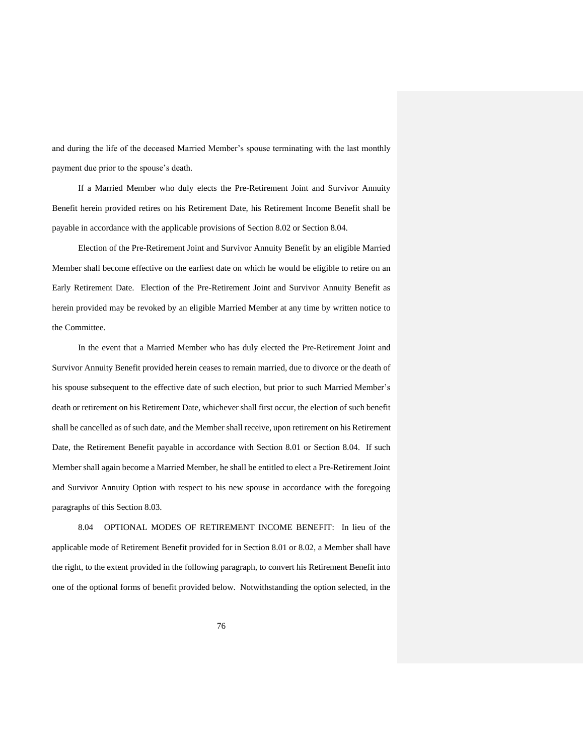and during the life of the deceased Married Member's spouse terminating with the last monthly payment due prior to the spouse's death.

If a Married Member who duly elects the Pre-Retirement Joint and Survivor Annuity Benefit herein provided retires on his Retirement Date, his Retirement Income Benefit shall be payable in accordance with the applicable provisions of Section 8.02 or Section 8.04.

Election of the Pre-Retirement Joint and Survivor Annuity Benefit by an eligible Married Member shall become effective on the earliest date on which he would be eligible to retire on an Early Retirement Date. Election of the Pre-Retirement Joint and Survivor Annuity Benefit as herein provided may be revoked by an eligible Married Member at any time by written notice to the Committee.

In the event that a Married Member who has duly elected the Pre-Retirement Joint and Survivor Annuity Benefit provided herein ceases to remain married, due to divorce or the death of his spouse subsequent to the effective date of such election, but prior to such Married Member's death or retirement on his Retirement Date, whichever shall first occur, the election of such benefit shall be cancelled as of such date, and the Member shall receive, upon retirement on his Retirement Date, the Retirement Benefit payable in accordance with Section 8.01 or Section 8.04. If such Member shall again become a Married Member, he shall be entitled to elect a Pre-Retirement Joint and Survivor Annuity Option with respect to his new spouse in accordance with the foregoing paragraphs of this Section 8.03.

8.04 OPTIONAL MODES OF RETIREMENT INCOME BENEFIT: In lieu of the applicable mode of Retirement Benefit provided for in Section 8.01 or 8.02, a Member shall have the right, to the extent provided in the following paragraph, to convert his Retirement Benefit into one of the optional forms of benefit provided below. Notwithstanding the option selected, in the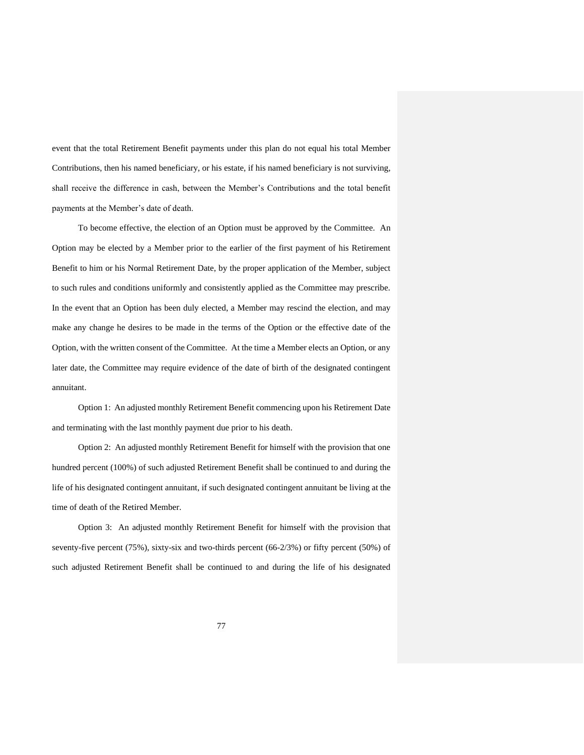event that the total Retirement Benefit payments under this plan do not equal his total Member Contributions, then his named beneficiary, or his estate, if his named beneficiary is not surviving, shall receive the difference in cash, between the Member's Contributions and the total benefit payments at the Member's date of death.

To become effective, the election of an Option must be approved by the Committee. An Option may be elected by a Member prior to the earlier of the first payment of his Retirement Benefit to him or his Normal Retirement Date, by the proper application of the Member, subject to such rules and conditions uniformly and consistently applied as the Committee may prescribe. In the event that an Option has been duly elected, a Member may rescind the election, and may make any change he desires to be made in the terms of the Option or the effective date of the Option, with the written consent of the Committee. At the time a Member elects an Option, or any later date, the Committee may require evidence of the date of birth of the designated contingent annuitant.

Option 1: An adjusted monthly Retirement Benefit commencing upon his Retirement Date and terminating with the last monthly payment due prior to his death.

Option 2: An adjusted monthly Retirement Benefit for himself with the provision that one hundred percent (100%) of such adjusted Retirement Benefit shall be continued to and during the life of his designated contingent annuitant, if such designated contingent annuitant be living at the time of death of the Retired Member.

Option 3: An adjusted monthly Retirement Benefit for himself with the provision that seventy-five percent (75%), sixty-six and two-thirds percent (66-2/3%) or fifty percent (50%) of such adjusted Retirement Benefit shall be continued to and during the life of his designated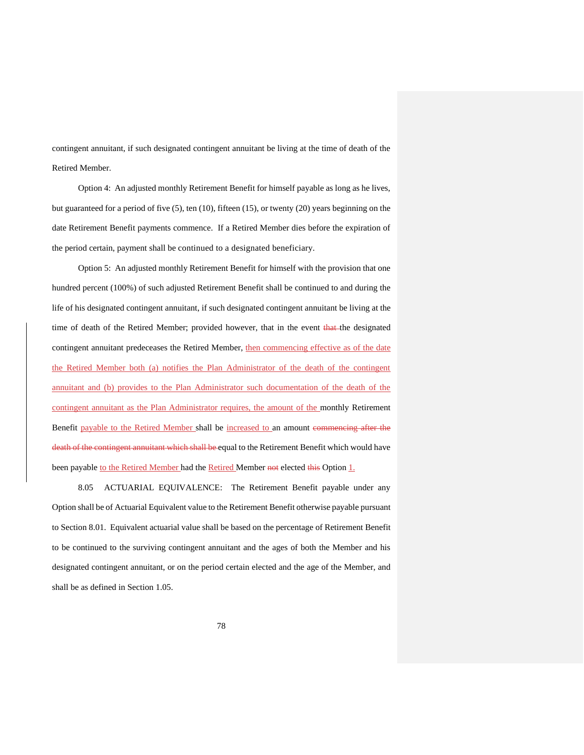contingent annuitant, if such designated contingent annuitant be living at the time of death of the Retired Member.

Option 4: An adjusted monthly Retirement Benefit for himself payable as long as he lives, but guaranteed for a period of five (5), ten (10), fifteen (15), or twenty (20) years beginning on the date Retirement Benefit payments commence. If a Retired Member dies before the expiration of the period certain, payment shall be continued to a designated beneficiary.

Option 5: An adjusted monthly Retirement Benefit for himself with the provision that one hundred percent (100%) of such adjusted Retirement Benefit shall be continued to and during the life of his designated contingent annuitant, if such designated contingent annuitant be living at the time of death of the Retired Member; provided however, that in the event that the designated contingent annuitant predeceases the Retired Member, then commencing effective as of the date the Retired Member both (a) notifies the Plan Administrator of the death of the contingent annuitant and (b) provides to the Plan Administrator such documentation of the death of the contingent annuitant as the Plan Administrator requires, the amount of the monthly Retirement Benefit payable to the Retired Member shall be increased to an amount commencing after the death of the contingent annuitant which shall be equal to the Retirement Benefit which would have been payable to the Retired Member had the Retired Member not elected this Option 1.

8.05 ACTUARIAL EQUIVALENCE: The Retirement Benefit payable under any Option shall be of Actuarial Equivalent value to the Retirement Benefit otherwise payable pursuant to Section 8.01. Equivalent actuarial value shall be based on the percentage of Retirement Benefit to be continued to the surviving contingent annuitant and the ages of both the Member and his designated contingent annuitant, or on the period certain elected and the age of the Member, and shall be as defined in Section 1.05.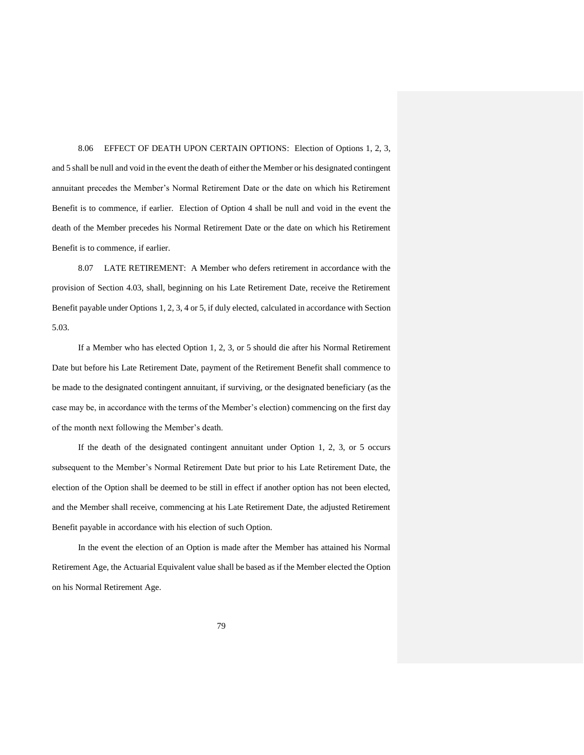8.06 EFFECT OF DEATH UPON CERTAIN OPTIONS: Election of Options 1, 2, 3, and 5 shall be null and void in the event the death of either the Member or his designated contingent annuitant precedes the Member's Normal Retirement Date or the date on which his Retirement Benefit is to commence, if earlier. Election of Option 4 shall be null and void in the event the death of the Member precedes his Normal Retirement Date or the date on which his Retirement Benefit is to commence, if earlier.

8.07 LATE RETIREMENT: A Member who defers retirement in accordance with the provision of Section 4.03, shall, beginning on his Late Retirement Date, receive the Retirement Benefit payable under Options 1, 2, 3, 4 or 5, if duly elected, calculated in accordance with Section 5.03.

If a Member who has elected Option 1, 2, 3, or 5 should die after his Normal Retirement Date but before his Late Retirement Date, payment of the Retirement Benefit shall commence to be made to the designated contingent annuitant, if surviving, or the designated beneficiary (as the case may be, in accordance with the terms of the Member's election) commencing on the first day of the month next following the Member's death.

If the death of the designated contingent annuitant under Option 1, 2, 3, or 5 occurs subsequent to the Member's Normal Retirement Date but prior to his Late Retirement Date, the election of the Option shall be deemed to be still in effect if another option has not been elected, and the Member shall receive, commencing at his Late Retirement Date, the adjusted Retirement Benefit payable in accordance with his election of such Option.

In the event the election of an Option is made after the Member has attained his Normal Retirement Age, the Actuarial Equivalent value shall be based as if the Member elected the Option on his Normal Retirement Age.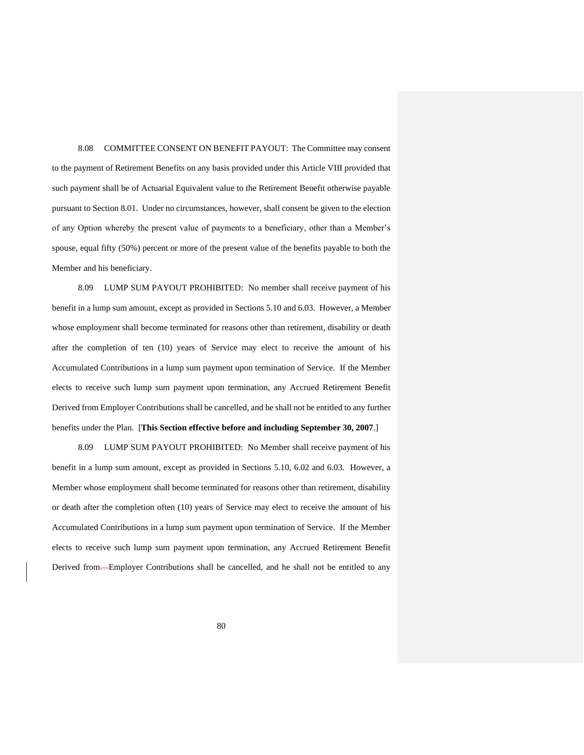8.08 COMMITTEE CONSENT ON BENEFIT PAYOUT: The Committee may consent to the payment of Retirement Benefits on any basis provided under this Article VIII provided that such payment shall be of Actuarial Equivalent value to the Retirement Benefit otherwise payable pursuant to Section 8.01. Under no circumstances, however, shall consent be given to the election of any Option whereby the present value of payments to a beneficiary, other than a Member's spouse, equal fifty (50%) percent or more of the present value of the benefits payable to both the Member and his beneficiary.

8.09 LUMP SUM PAYOUT PROHIBITED: No member shall receive payment of his benefit in a lump sum amount, except as provided in Sections 5.10 and 6.03. However, a Member whose employment shall become terminated for reasons other than retirement, disability or death after the completion of ten (10) years of Service may elect to receive the amount of his Accumulated Contributions in a lump sum payment upon termination of Service. If the Member elects to receive such lump sum payment upon termination, any Accrued Retirement Benefit Derived from Employer Contributions shall be cancelled, and he shall not be entitled to any further benefits under the Plan. [**This Section effective before and including September 30, 2007**.]

8.09 LUMP SUM PAYOUT PROHIBITED: No Member shall receive payment of his benefit in a lump sum amount, except as provided in Sections 5.10, 6.02 and 6.03. However, a Member whose employment shall become terminated for reasons other than retirement, disability or death after the completion often (10) years of Service may elect to receive the amount of his Accumulated Contributions in a lump sum payment upon termination of Service. If the Member elects to receive such lump sum payment upon termination, any Accrued Retirement Benefit Derived from.--Employer Contributions shall be cancelled, and he shall not be entitled to any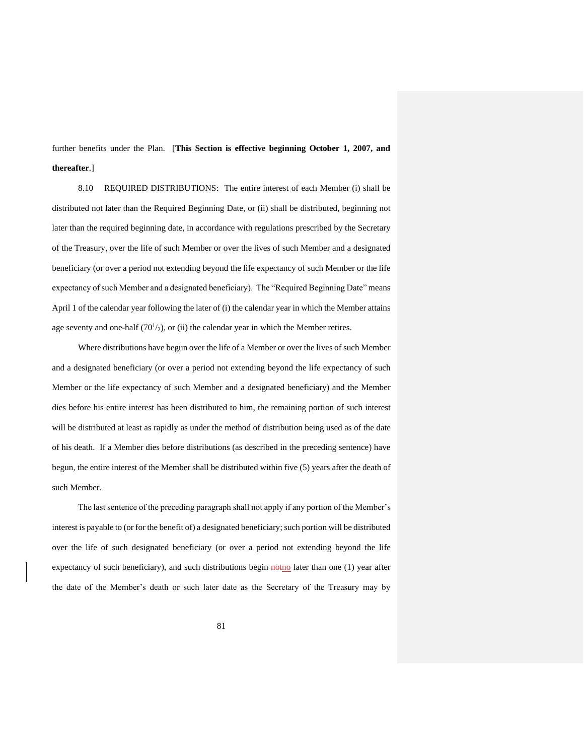further benefits under the Plan. [**This Section is effective beginning October 1, 2007, and thereafter**.]

8.10 REQUIRED DISTRIBUTIONS: The entire interest of each Member (i) shall be distributed not later than the Required Beginning Date, or (ii) shall be distributed, beginning not later than the required beginning date, in accordance with regulations prescribed by the Secretary of the Treasury, over the life of such Member or over the lives of such Member and a designated beneficiary (or over a period not extending beyond the life expectancy of such Member or the life expectancy of such Member and a designated beneficiary). The "Required Beginning Date" means April 1 of the calendar year following the later of (i) the calendar year in which the Member attains age seventy and one-half  $(70<sup>1</sup>/2)$ , or (ii) the calendar year in which the Member retires.

Where distributions have begun over the life of a Member or over the lives of such Member and a designated beneficiary (or over a period not extending beyond the life expectancy of such Member or the life expectancy of such Member and a designated beneficiary) and the Member dies before his entire interest has been distributed to him, the remaining portion of such interest will be distributed at least as rapidly as under the method of distribution being used as of the date of his death. If a Member dies before distributions (as described in the preceding sentence) have begun, the entire interest of the Member shall be distributed within five (5) years after the death of such Member.

The last sentence of the preceding paragraph shall not apply if any portion of the Member's interest is payable to (or for the benefit of) a designated beneficiary; such portion will be distributed over the life of such designated beneficiary (or over a period not extending beyond the life expectancy of such beneficiary), and such distributions begin  $\frac{1}{100}$  later than one (1) year after the date of the Member's death or such later date as the Secretary of the Treasury may by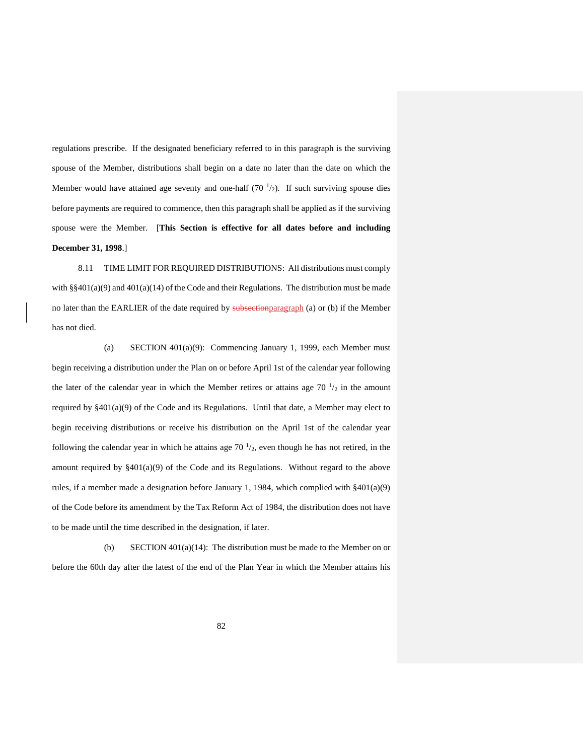regulations prescribe. If the designated beneficiary referred to in this paragraph is the surviving spouse of the Member, distributions shall begin on a date no later than the date on which the Member would have attained age seventy and one-half  $(70<sup>1</sup>/2)$ . If such surviving spouse dies before payments are required to commence, then this paragraph shall be applied as if the surviving spouse were the Member. [**This Section is effective for all dates before and including December 31, 1998**.]

8.11 TIME LIMIT FOR REQUIRED DISTRIBUTIONS: All distributions must comply with  $\S\S 401(a)(9)$  and  $401(a)(14)$  of the Code and their Regulations. The distribution must be made no later than the EARLIER of the date required by subsectionparagraph (a) or (b) if the Member has not died.

(a) SECTION 401(a)(9): Commencing January 1, 1999, each Member must begin receiving a distribution under the Plan on or before April 1st of the calendar year following the later of the calendar year in which the Member retires or attains age  $70<sup>-1</sup>/2$  in the amount required by §401(a)(9) of the Code and its Regulations. Until that date, a Member may elect to begin receiving distributions or receive his distribution on the April 1st of the calendar year following the calendar year in which he attains age 70 $\frac{1}{2}$ , even though he has not retired, in the amount required by  $\S 401(a)(9)$  of the Code and its Regulations. Without regard to the above rules, if a member made a designation before January 1, 1984, which complied with §401(a)(9) of the Code before its amendment by the Tax Reform Act of 1984, the distribution does not have to be made until the time described in the designation, if later.

(b) SECTION 401(a)(14): The distribution must be made to the Member on or before the 60th day after the latest of the end of the Plan Year in which the Member attains his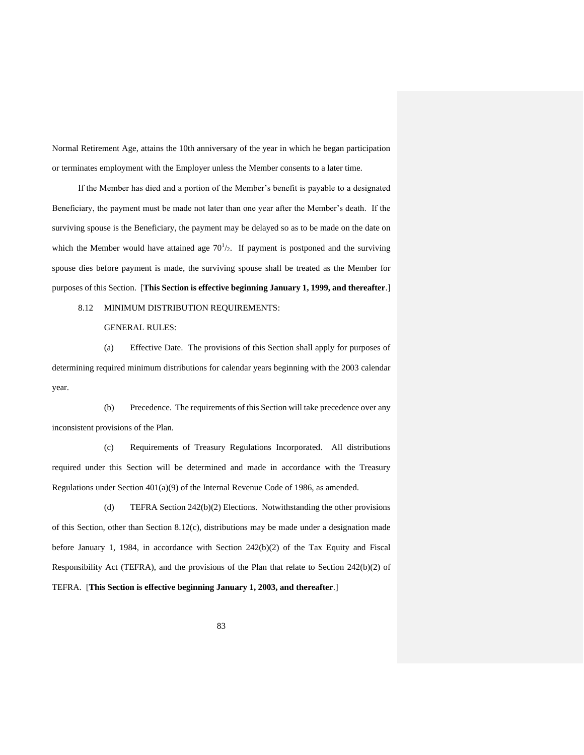Normal Retirement Age, attains the 10th anniversary of the year in which he began participation or terminates employment with the Employer unless the Member consents to a later time.

If the Member has died and a portion of the Member's benefit is payable to a designated Beneficiary, the payment must be made not later than one year after the Member's death. If the surviving spouse is the Beneficiary, the payment may be delayed so as to be made on the date on which the Member would have attained age  $70<sup>1</sup>/2$ . If payment is postponed and the surviving spouse dies before payment is made, the surviving spouse shall be treated as the Member for purposes of this Section. [**This Section is effective beginning January 1, 1999, and thereafter**.]

8.12 MINIMUM DISTRIBUTION REQUIREMENTS:

GENERAL RULES:

(a) Effective Date. The provisions of this Section shall apply for purposes of determining required minimum distributions for calendar years beginning with the 2003 calendar year.

(b) Precedence. The requirements of this Section will take precedence over any inconsistent provisions of the Plan.

(c) Requirements of Treasury Regulations Incorporated. All distributions required under this Section will be determined and made in accordance with the Treasury Regulations under Section 401(a)(9) of the Internal Revenue Code of 1986, as amended.

(d) TEFRA Section 242(b)(2) Elections. Notwithstanding the other provisions of this Section, other than Section 8.12(c), distributions may be made under a designation made before January 1, 1984, in accordance with Section  $242(b)(2)$  of the Tax Equity and Fiscal Responsibility Act (TEFRA), and the provisions of the Plan that relate to Section 242(b)(2) of TEFRA. [**This Section is effective beginning January 1, 2003, and thereafter**.]

83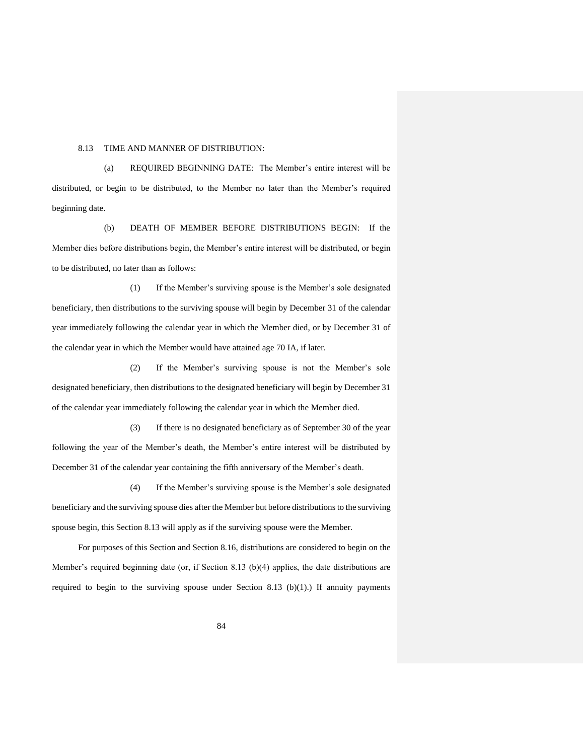#### 8.13 TIME AND MANNER OF DISTRIBUTION:

(a) REQUIRED BEGINNING DATE: The Member's entire interest will be distributed, or begin to be distributed, to the Member no later than the Member's required beginning date.

(b) DEATH OF MEMBER BEFORE DISTRIBUTIONS BEGIN: If the Member dies before distributions begin, the Member's entire interest will be distributed, or begin to be distributed, no later than as follows:

(1) If the Member's surviving spouse is the Member's sole designated beneficiary, then distributions to the surviving spouse will begin by December 31 of the calendar year immediately following the calendar year in which the Member died, or by December 31 of the calendar year in which the Member would have attained age 70 IA, if later.

(2) If the Member's surviving spouse is not the Member's sole designated beneficiary, then distributions to the designated beneficiary will begin by December 31 of the calendar year immediately following the calendar year in which the Member died.

(3) If there is no designated beneficiary as of September 30 of the year following the year of the Member's death, the Member's entire interest will be distributed by December 31 of the calendar year containing the fifth anniversary of the Member's death.

(4) If the Member's surviving spouse is the Member's sole designated beneficiary and the surviving spouse dies after the Member but before distributions to the surviving spouse begin, this Section 8.13 will apply as if the surviving spouse were the Member.

For purposes of this Section and Section 8.16, distributions are considered to begin on the Member's required beginning date (or, if Section 8.13 (b)(4) applies, the date distributions are required to begin to the surviving spouse under Section 8.13 (b)(1).) If annuity payments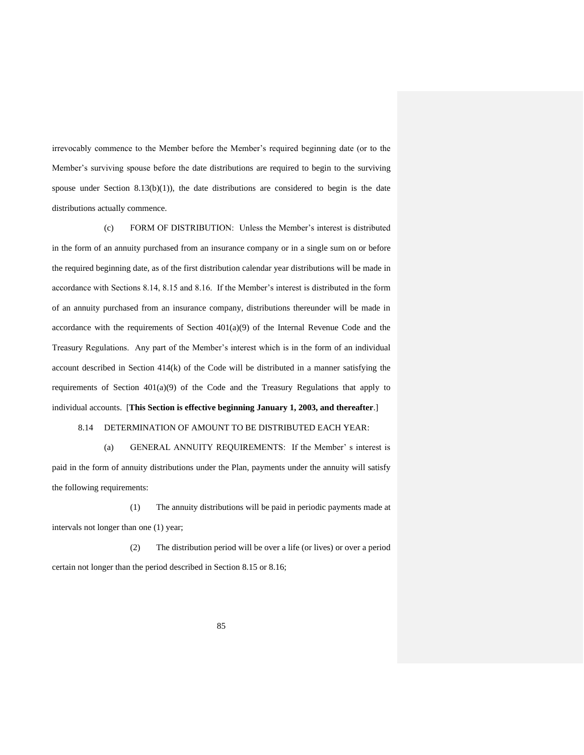irrevocably commence to the Member before the Member's required beginning date (or to the Member's surviving spouse before the date distributions are required to begin to the surviving spouse under Section 8.13(b)(1)), the date distributions are considered to begin is the date distributions actually commence.

(c) FORM OF DISTRIBUTION: Unless the Member's interest is distributed in the form of an annuity purchased from an insurance company or in a single sum on or before the required beginning date, as of the first distribution calendar year distributions will be made in accordance with Sections 8.14, 8.15 and 8.16. If the Member's interest is distributed in the form of an annuity purchased from an insurance company, distributions thereunder will be made in accordance with the requirements of Section  $401(a)(9)$  of the Internal Revenue Code and the Treasury Regulations. Any part of the Member's interest which is in the form of an individual account described in Section  $414(k)$  of the Code will be distributed in a manner satisfying the requirements of Section  $401(a)(9)$  of the Code and the Treasury Regulations that apply to individual accounts. [**This Section is effective beginning January 1, 2003, and thereafter**.]

## 8.14 DETERMINATION OF AMOUNT TO BE DISTRIBUTED EACH YEAR:

(a) GENERAL ANNUITY REQUIREMENTS: If the Member' s interest is paid in the form of annuity distributions under the Plan, payments under the annuity will satisfy the following requirements:

(1) The annuity distributions will be paid in periodic payments made at intervals not longer than one (1) year;

(2) The distribution period will be over a life (or lives) or over a period certain not longer than the period described in Section 8.15 or 8.16;

85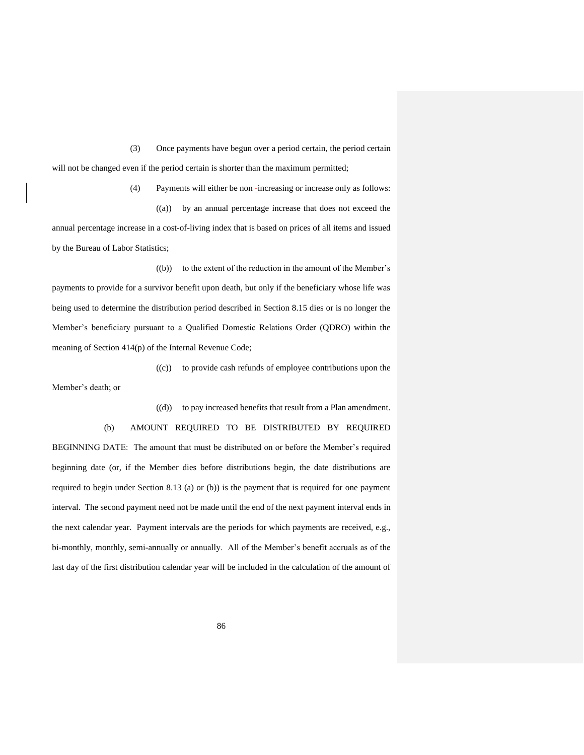(3) Once payments have begun over a period certain, the period certain will not be changed even if the period certain is shorter than the maximum permitted;

(4) Payments will either be non -increasing or increase only as follows: ((a)) by an annual percentage increase that does not exceed the annual percentage increase in a cost-of-living index that is based on prices of all items and issued by the Bureau of Labor Statistics;

((b)) to the extent of the reduction in the amount of the Member's payments to provide for a survivor benefit upon death, but only if the beneficiary whose life was being used to determine the distribution period described in Section 8.15 dies or is no longer the Member's beneficiary pursuant to a Qualified Domestic Relations Order (QDRO) within the meaning of Section 414(p) of the Internal Revenue Code;

((c)) to provide cash refunds of employee contributions upon the Member's death; or

((d)) to pay increased benefits that result from a Plan amendment.

(b) AMOUNT REQUIRED TO BE DISTRIBUTED BY REQUIRED BEGINNING DATE: The amount that must be distributed on or before the Member's required beginning date (or, if the Member dies before distributions begin, the date distributions are required to begin under Section 8.13 (a) or (b)) is the payment that is required for one payment interval. The second payment need not be made until the end of the next payment interval ends in the next calendar year. Payment intervals are the periods for which payments are received, e.g., bi-monthly, monthly, semi-annually or annually. All of the Member's benefit accruals as of the last day of the first distribution calendar year will be included in the calculation of the amount of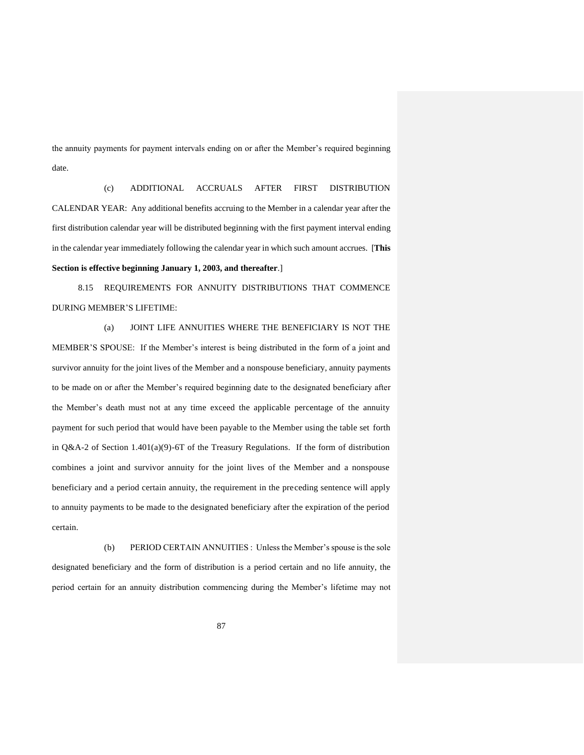the annuity payments for payment intervals ending on or after the Member's required beginning date.

(c) ADDITIONAL ACCRUALS AFTER FIRST DISTRIBUTION CALENDAR YEAR: Any additional benefits accruing to the Member in a calendar year after the first distribution calendar year will be distributed beginning with the first payment interval ending in the calendar year immediately following the calendar year in which such amount accrues. [**This Section is effective beginning January 1, 2003, and thereafter**.]

8.15 REQUIREMENTS FOR ANNUITY DISTRIBUTIONS THAT COMMENCE DURING MEMBER'S LIFETIME:

(a) JOINT LIFE ANNUITIES WHERE THE BENEFICIARY IS NOT THE MEMBER'S SPOUSE: If the Member's interest is being distributed in the form of a joint and survivor annuity for the joint lives of the Member and a nonspouse beneficiary, annuity payments to be made on or after the Member's required beginning date to the designated beneficiary after the Member's death must not at any time exceed the applicable percentage of the annuity payment for such period that would have been payable to the Member using the table set forth in  $Q&A-2$  of Section 1.401(a)(9)-6T of the Treasury Regulations. If the form of distribution combines a joint and survivor annuity for the joint lives of the Member and a nonspouse beneficiary and a period certain annuity, the requirement in the preceding sentence will apply to annuity payments to be made to the designated beneficiary after the expiration of the period certain.

(b) PERIOD CERTAIN ANNUITIES : Unless the Member's spouse is the sole designated beneficiary and the form of distribution is a period certain and no life annuity, the period certain for an annuity distribution commencing during the Member's lifetime may not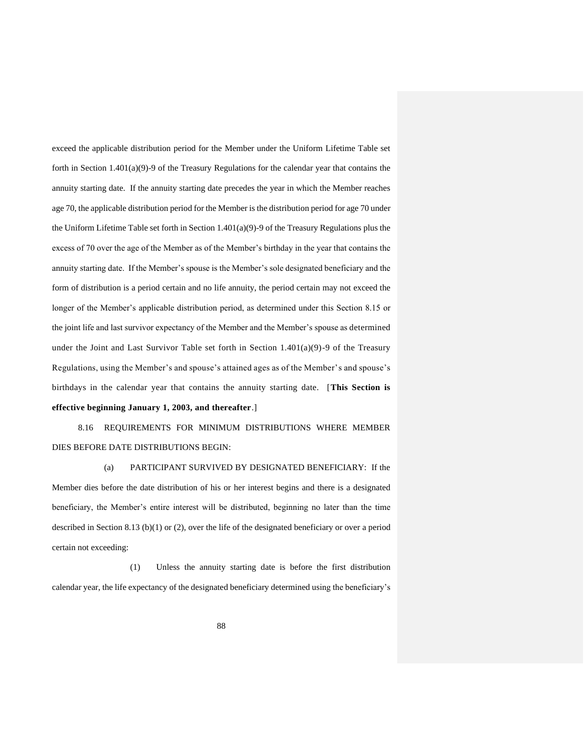exceed the applicable distribution period for the Member under the Uniform Lifetime Table set forth in Section 1.401(a)(9)-9 of the Treasury Regulations for the calendar year that contains the annuity starting date. If the annuity starting date precedes the year in which the Member reaches age 70, the applicable distribution period for the Member is the distribution period for age 70 under the Uniform Lifetime Table set forth in Section 1.401(a)(9)-9 of the Treasury Regulations plus the excess of 70 over the age of the Member as of the Member's birthday in the year that contains the annuity starting date. If the Member's spouse is the Member's sole designated beneficiary and the form of distribution is a period certain and no life annuity, the period certain may not exceed the longer of the Member's applicable distribution period, as determined under this Section 8.15 or the joint life and last survivor expectancy of the Member and the Member's spouse as determined under the Joint and Last Survivor Table set forth in Section  $1.401(a)(9)$ -9 of the Treasury Regulations, using the Member's and spouse's attained ages as of the Member's and spouse's birthdays in the calendar year that contains the annuity starting date. [**This Section is effective beginning January 1, 2003, and thereafter**.]

8.16 REQUIREMENTS FOR MINIMUM DISTRIBUTIONS WHERE MEMBER DIES BEFORE DATE DISTRIBUTIONS BEGIN:

(a) PARTICIPANT SURVIVED BY DESIGNATED BENEFICIARY: If the Member dies before the date distribution of his or her interest begins and there is a designated beneficiary, the Member's entire interest will be distributed, beginning no later than the time described in Section 8.13 (b)(1) or (2), over the life of the designated beneficiary or over a period certain not exceeding:

(1) Unless the annuity starting date is before the first distribution calendar year, the life expectancy of the designated beneficiary determined using the beneficiary's

88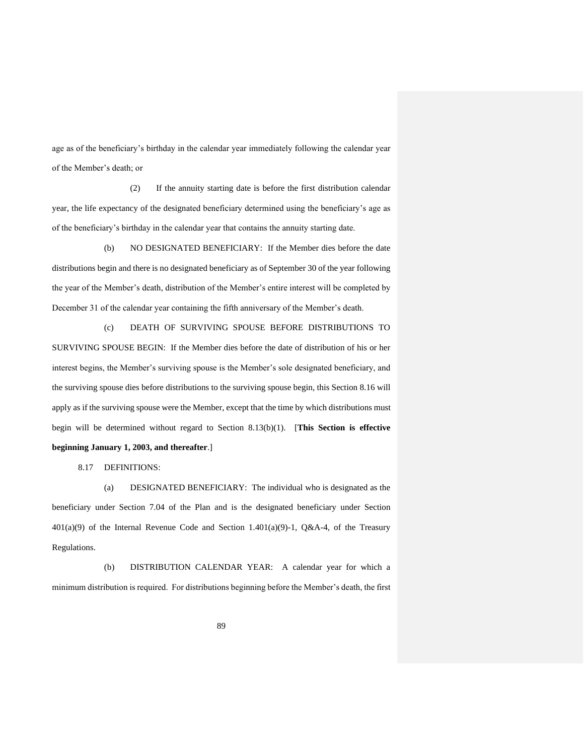age as of the beneficiary's birthday in the calendar year immediately following the calendar year of the Member's death; or

(2) If the annuity starting date is before the first distribution calendar year, the life expectancy of the designated beneficiary determined using the beneficiary's age as of the beneficiary's birthday in the calendar year that contains the annuity starting date.

(b) NO DESIGNATED BENEFICIARY: If the Member dies before the date distributions begin and there is no designated beneficiary as of September 30 of the year following the year of the Member's death, distribution of the Member's entire interest will be completed by December 31 of the calendar year containing the fifth anniversary of the Member's death.

(c) DEATH OF SURVIVING SPOUSE BEFORE DISTRIBUTIONS TO SURVIVING SPOUSE BEGIN: If the Member dies before the date of distribution of his or her interest begins, the Member's surviving spouse is the Member's sole designated beneficiary, and the surviving spouse dies before distributions to the surviving spouse begin, this Section 8.16 will apply as if the surviving spouse were the Member, except that the time by which distributions must begin will be determined without regard to Section 8.13(b)(1). [**This Section is effective beginning January 1, 2003, and thereafter**.]

8.17 DEFINITIONS:

(a) DESIGNATED BENEFICIARY: The individual who is designated as the beneficiary under Section 7.04 of the Plan and is the designated beneficiary under Section  $401(a)(9)$  of the Internal Revenue Code and Section 1.401(a)(9)-1, Q&A-4, of the Treasury Regulations.

(b) DISTRIBUTION CALENDAR YEAR: A calendar year for which a minimum distribution is required. For distributions beginning before the Member's death, the first

89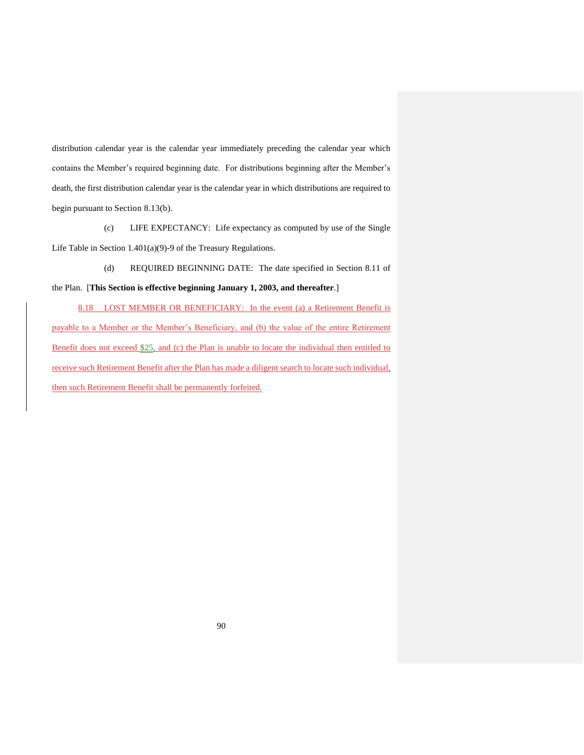distribution calendar year is the calendar year immediately preceding the calendar year which contains the Member's required beginning date. For distributions beginning after the Member's death, the first distribution calendar year is the calendar year in which distributions are required to begin pursuant to Section 8.13(b).

(c) LIFE EXPECTANCY: Life expectancy as computed by use of the Single Life Table in Section 1.401(a)(9)-9 of the Treasury Regulations.

(d) REQUIRED BEGINNING DATE: The date specified in Section 8.11 of the Plan. [**This Section is effective beginning January 1, 2003, and thereafter**.]

8.18 LOST MEMBER OR BENEFICIARY: In the event (a) a Retirement Benefit is payable to a Member or the Member's Beneficiary, and (b) the value of the entire Retirement Benefit does not exceed \$25, and (c) the Plan is unable to locate the individual then entitled to receive such Retirement Benefit after the Plan has made a diligent search to locate such individual, then such Retirement Benefit shall be permanently forfeited.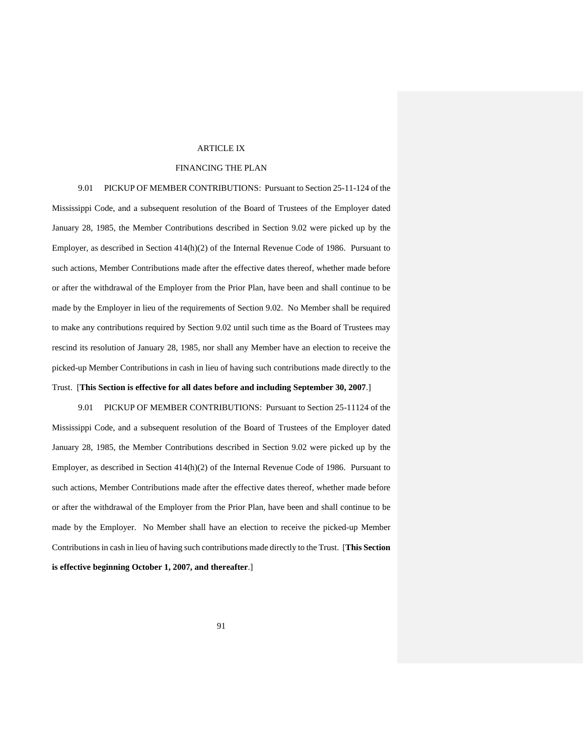#### ARTICLE IX

## FINANCING THE PLAN

9.01 PICKUP OF MEMBER CONTRIBUTIONS: Pursuant to Section 25-11-124 of the Mississippi Code, and a subsequent resolution of the Board of Trustees of the Employer dated January 28, 1985, the Member Contributions described in Section 9.02 were picked up by the Employer, as described in Section 414(h)(2) of the Internal Revenue Code of 1986. Pursuant to such actions, Member Contributions made after the effective dates thereof, whether made before or after the withdrawal of the Employer from the Prior Plan, have been and shall continue to be made by the Employer in lieu of the requirements of Section 9.02. No Member shall be required to make any contributions required by Section 9.02 until such time as the Board of Trustees may rescind its resolution of January 28, 1985, nor shall any Member have an election to receive the picked-up Member Contributions in cash in lieu of having such contributions made directly to the Trust. [**This Section is effective for all dates before and including September 30, 2007**.]

9.01 PICKUP OF MEMBER CONTRIBUTIONS: Pursuant to Section 25-11124 of the Mississippi Code, and a subsequent resolution of the Board of Trustees of the Employer dated January 28, 1985, the Member Contributions described in Section 9.02 were picked up by the Employer, as described in Section 414(h)(2) of the Internal Revenue Code of 1986. Pursuant to such actions, Member Contributions made after the effective dates thereof, whether made before or after the withdrawal of the Employer from the Prior Plan, have been and shall continue to be made by the Employer. No Member shall have an election to receive the picked-up Member Contributions in cash in lieu of having such contributions made directly to the Trust. [**This Section is effective beginning October 1, 2007, and thereafter**.]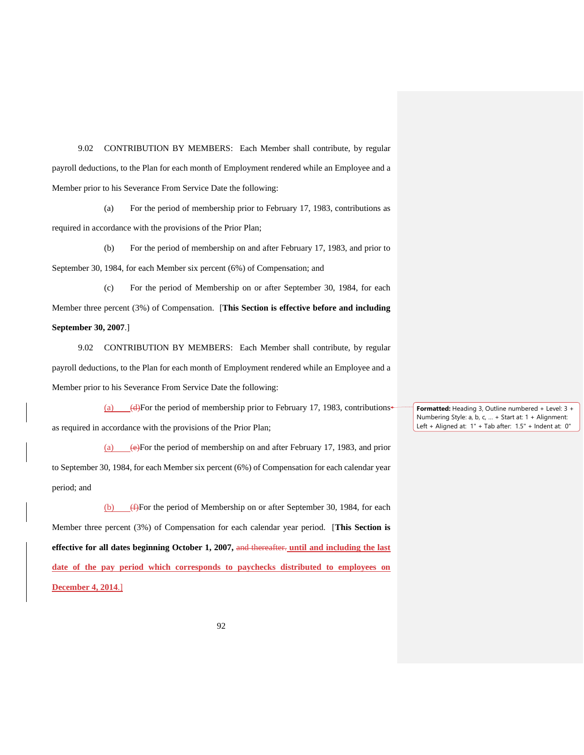9.02 CONTRIBUTION BY MEMBERS: Each Member shall contribute, by regular payroll deductions, to the Plan for each month of Employment rendered while an Employee and a Member prior to his Severance From Service Date the following:

(a) For the period of membership prior to February 17, 1983, contributions as required in accordance with the provisions of the Prior Plan;

(b) For the period of membership on and after February 17, 1983, and prior to September 30, 1984, for each Member six percent (6%) of Compensation; and

(c) For the period of Membership on or after September 30, 1984, for each Member three percent (3%) of Compensation. [**This Section is effective before and including September 30, 2007**.]

9.02 CONTRIBUTION BY MEMBERS: Each Member shall contribute, by regular payroll deductions, to the Plan for each month of Employment rendered while an Employee and a Member prior to his Severance From Service Date the following:

(a)  $(d)$ For the period of membership prior to February 17, 1983, contributions as required in accordance with the provisions of the Prior Plan;

(a)  $\leftrightarrow$ For the period of membership on and after February 17, 1983, and prior to September 30, 1984, for each Member six percent (6%) of Compensation for each calendar year period; and

(b) (f)For the period of Membership on or after September 30, 1984, for each Member three percent (3%) of Compensation for each calendar year period. [**This Section is effective for all dates beginning October 1, 2007,** and thereafter. **until and including the last date of the pay period which corresponds to paychecks distributed to employees on December 4, 2014**.]

**Formatted:** Heading 3, Outline numbered + Level: 3 + Numbering Style: a, b, c, … + Start at: 1 + Alignment: Left + Aligned at: 1" + Tab after: 1.5" + Indent at: 0"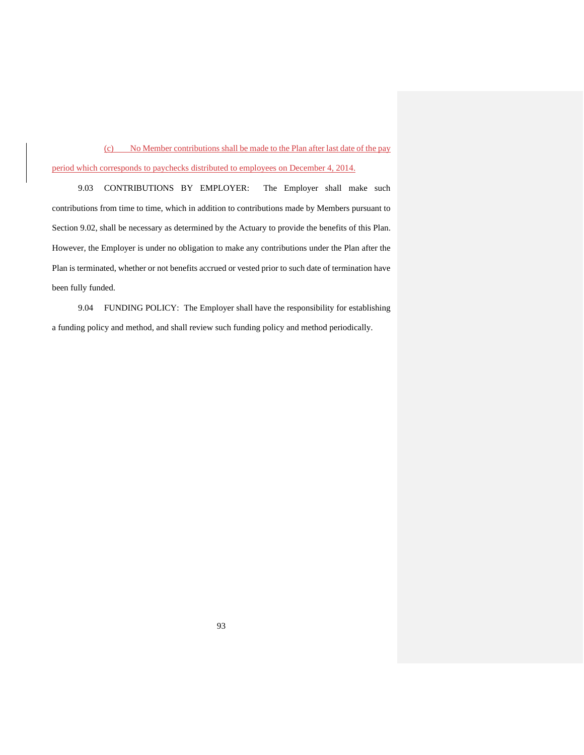(c) No Member contributions shall be made to the Plan after last date of the pay period which corresponds to paychecks distributed to employees on December 4, 2014.

9.03 CONTRIBUTIONS BY EMPLOYER: The Employer shall make such contributions from time to time, which in addition to contributions made by Members pursuant to Section 9.02, shall be necessary as determined by the Actuary to provide the benefits of this Plan. However, the Employer is under no obligation to make any contributions under the Plan after the Plan is terminated, whether or not benefits accrued or vested prior to such date of termination have been fully funded.

9.04 FUNDING POLICY: The Employer shall have the responsibility for establishing a funding policy and method, and shall review such funding policy and method periodically.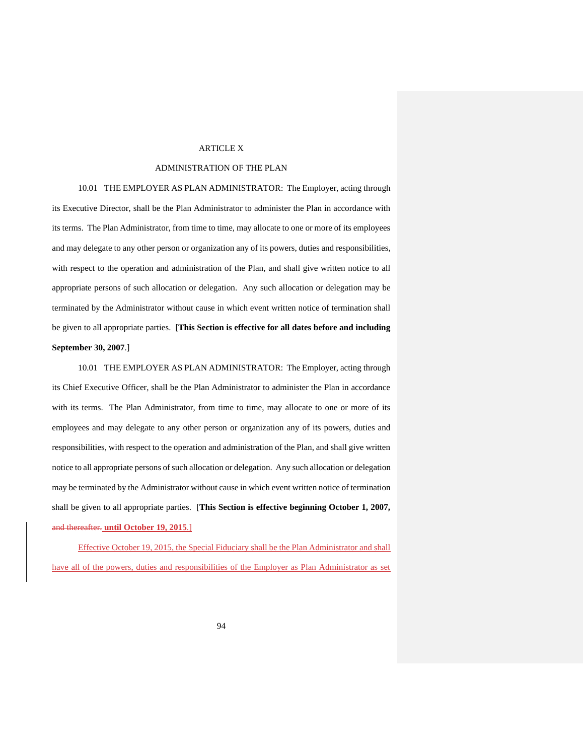## ARTICLE X

## ADMINISTRATION OF THE PLAN

10.01 THE EMPLOYER AS PLAN ADMINISTRATOR: The Employer, acting through its Executive Director, shall be the Plan Administrator to administer the Plan in accordance with its terms. The Plan Administrator, from time to time, may allocate to one or more of its employees and may delegate to any other person or organization any of its powers, duties and responsibilities, with respect to the operation and administration of the Plan, and shall give written notice to all appropriate persons of such allocation or delegation. Any such allocation or delegation may be terminated by the Administrator without cause in which event written notice of termination shall be given to all appropriate parties. [**This Section is effective for all dates before and including September 30, 2007**.]

10.01 THE EMPLOYER AS PLAN ADMINISTRATOR: The Employer, acting through its Chief Executive Officer, shall be the Plan Administrator to administer the Plan in accordance with its terms. The Plan Administrator, from time to time, may allocate to one or more of its employees and may delegate to any other person or organization any of its powers, duties and responsibilities, with respect to the operation and administration of the Plan, and shall give written notice to all appropriate persons of such allocation or delegation. Any such allocation or delegation may be terminated by the Administrator without cause in which event written notice of termination shall be given to all appropriate parties. [**This Section is effective beginning October 1, 2007,**  and thereafter. **until October 19, 2015**.]

Effective October 19, 2015, the Special Fiduciary shall be the Plan Administrator and shall have all of the powers, duties and responsibilities of the Employer as Plan Administrator as set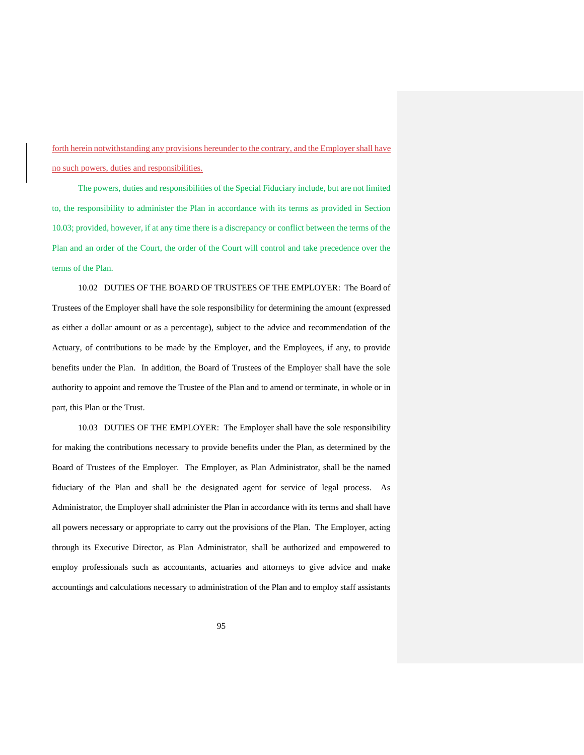forth herein notwithstanding any provisions hereunder to the contrary, and the Employer shall have no such powers, duties and responsibilities.

The powers, duties and responsibilities of the Special Fiduciary include, but are not limited to, the responsibility to administer the Plan in accordance with its terms as provided in Section 10.03; provided, however, if at any time there is a discrepancy or conflict between the terms of the Plan and an order of the Court, the order of the Court will control and take precedence over the terms of the Plan.

10.02 DUTIES OF THE BOARD OF TRUSTEES OF THE EMPLOYER: The Board of Trustees of the Employer shall have the sole responsibility for determining the amount (expressed as either a dollar amount or as a percentage), subject to the advice and recommendation of the Actuary, of contributions to be made by the Employer, and the Employees, if any, to provide benefits under the Plan. In addition, the Board of Trustees of the Employer shall have the sole authority to appoint and remove the Trustee of the Plan and to amend or terminate, in whole or in part, this Plan or the Trust.

10.03 DUTIES OF THE EMPLOYER: The Employer shall have the sole responsibility for making the contributions necessary to provide benefits under the Plan, as determined by the Board of Trustees of the Employer. The Employer, as Plan Administrator, shall be the named fiduciary of the Plan and shall be the designated agent for service of legal process. As Administrator, the Employer shall administer the Plan in accordance with its terms and shall have all powers necessary or appropriate to carry out the provisions of the Plan. The Employer, acting through its Executive Director, as Plan Administrator, shall be authorized and empowered to employ professionals such as accountants, actuaries and attorneys to give advice and make accountings and calculations necessary to administration of the Plan and to employ staff assistants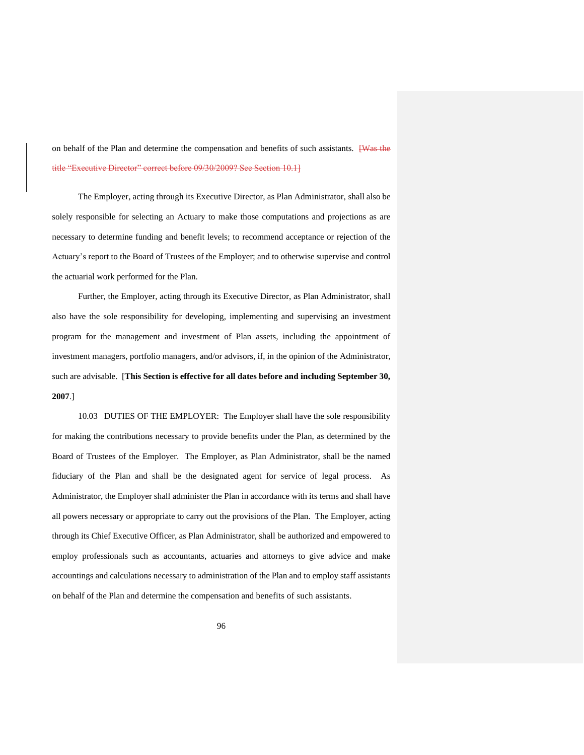on behalf of the Plan and determine the compensation and benefits of such assistants. **[Was the** title "Executive Director" correct before 09/30/2009? See Section 10.1]

The Employer, acting through its Executive Director, as Plan Administrator, shall also be solely responsible for selecting an Actuary to make those computations and projections as are necessary to determine funding and benefit levels; to recommend acceptance or rejection of the Actuary's report to the Board of Trustees of the Employer; and to otherwise supervise and control the actuarial work performed for the Plan.

Further, the Employer, acting through its Executive Director, as Plan Administrator, shall also have the sole responsibility for developing, implementing and supervising an investment program for the management and investment of Plan assets, including the appointment of investment managers, portfolio managers, and/or advisors, if, in the opinion of the Administrator, such are advisable. [**This Section is effective for all dates before and including September 30, 2007**.]

10.03 DUTIES OF THE EMPLOYER: The Employer shall have the sole responsibility for making the contributions necessary to provide benefits under the Plan, as determined by the Board of Trustees of the Employer. The Employer, as Plan Administrator, shall be the named fiduciary of the Plan and shall be the designated agent for service of legal process. As Administrator, the Employer shall administer the Plan in accordance with its terms and shall have all powers necessary or appropriate to carry out the provisions of the Plan. The Employer, acting through its Chief Executive Officer, as Plan Administrator, shall be authorized and empowered to employ professionals such as accountants, actuaries and attorneys to give advice and make accountings and calculations necessary to administration of the Plan and to employ staff assistants on behalf of the Plan and determine the compensation and benefits of such assistants.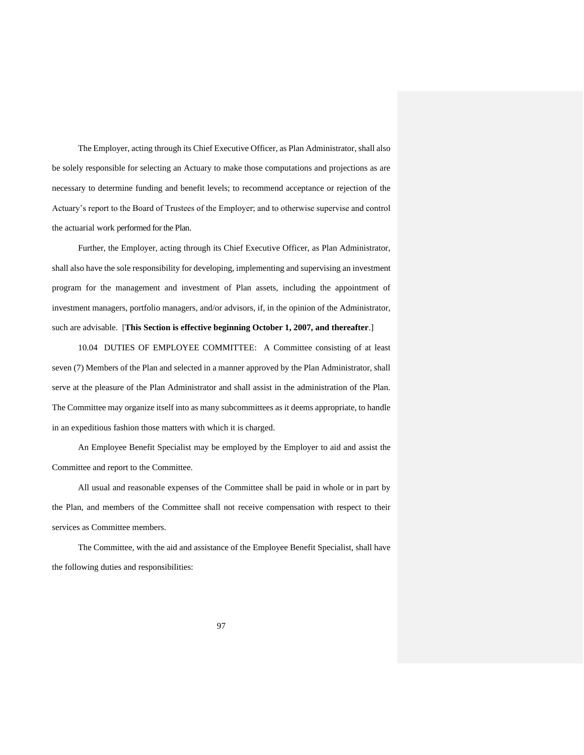The Employer, acting through its Chief Executive Officer, as Plan Administrator, shall also be solely responsible for selecting an Actuary to make those computations and projections as are necessary to determine funding and benefit levels; to recommend acceptance or rejection of the Actuary's report to the Board of Trustees of the Employer; and to otherwise supervise and control the actuarial work performed for the Plan.

Further, the Employer, acting through its Chief Executive Officer, as Plan Administrator, shall also have the sole responsibility for developing, implementing and supervising an investment program for the management and investment of Plan assets, including the appointment of investment managers, portfolio managers, and/or advisors, if, in the opinion of the Administrator, such are advisable. [**This Section is effective beginning October 1, 2007, and thereafter**.]

10.04 DUTIES OF EMPLOYEE COMMITTEE: A Committee consisting of at least seven (7) Members of the Plan and selected in a manner approved by the Plan Administrator, shall serve at the pleasure of the Plan Administrator and shall assist in the administration of the Plan. The Committee may organize itself into as many subcommittees as it deems appropriate, to handle in an expeditious fashion those matters with which it is charged.

An Employee Benefit Specialist may be employed by the Employer to aid and assist the Committee and report to the Committee.

All usual and reasonable expenses of the Committee shall be paid in whole or in part by the Plan, and members of the Committee shall not receive compensation with respect to their services as Committee members.

The Committee, with the aid and assistance of the Employee Benefit Specialist, shall have the following duties and responsibilities: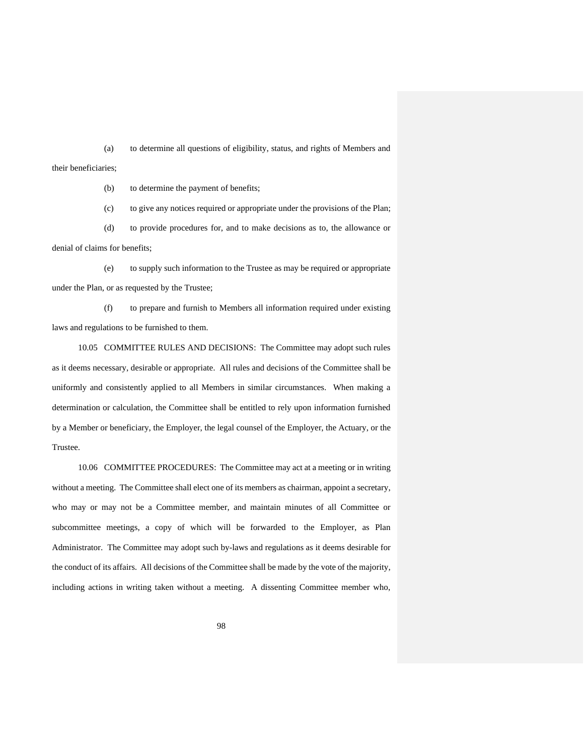(a) to determine all questions of eligibility, status, and rights of Members and

their beneficiaries;

(b) to determine the payment of benefits;

(c) to give any notices required or appropriate under the provisions of the Plan;

(d) to provide procedures for, and to make decisions as to, the allowance or denial of claims for benefits;

(e) to supply such information to the Trustee as may be required or appropriate under the Plan, or as requested by the Trustee;

(f) to prepare and furnish to Members all information required under existing laws and regulations to be furnished to them.

10.05 COMMITTEE RULES AND DECISIONS: The Committee may adopt such rules as it deems necessary, desirable or appropriate. All rules and decisions of the Committee shall be uniformly and consistently applied to all Members in similar circumstances. When making a determination or calculation, the Committee shall be entitled to rely upon information furnished by a Member or beneficiary, the Employer, the legal counsel of the Employer, the Actuary, or the Trustee.

10.06 COMMITTEE PROCEDURES: The Committee may act at a meeting or in writing without a meeting. The Committee shall elect one of its members as chairman, appoint a secretary, who may or may not be a Committee member, and maintain minutes of all Committee or subcommittee meetings, a copy of which will be forwarded to the Employer, as Plan Administrator. The Committee may adopt such by-laws and regulations as it deems desirable for the conduct of its affairs. All decisions of the Committee shall be made by the vote of the majority, including actions in writing taken without a meeting. A dissenting Committee member who,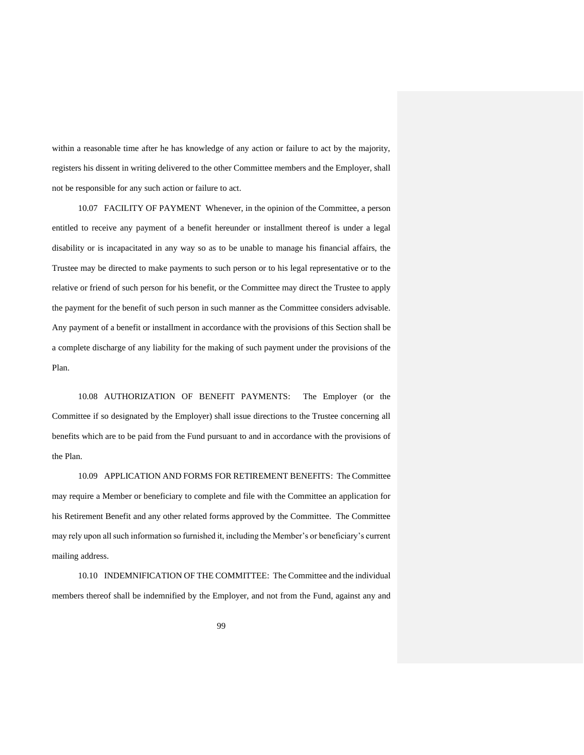within a reasonable time after he has knowledge of any action or failure to act by the majority, registers his dissent in writing delivered to the other Committee members and the Employer, shall not be responsible for any such action or failure to act.

10.07 FACILITY OF PAYMENT Whenever, in the opinion of the Committee, a person entitled to receive any payment of a benefit hereunder or installment thereof is under a legal disability or is incapacitated in any way so as to be unable to manage his financial affairs, the Trustee may be directed to make payments to such person or to his legal representative or to the relative or friend of such person for his benefit, or the Committee may direct the Trustee to apply the payment for the benefit of such person in such manner as the Committee considers advisable. Any payment of a benefit or installment in accordance with the provisions of this Section shall be a complete discharge of any liability for the making of such payment under the provisions of the Plan.

10.08 AUTHORIZATION OF BENEFIT PAYMENTS: The Employer (or the Committee if so designated by the Employer) shall issue directions to the Trustee concerning all benefits which are to be paid from the Fund pursuant to and in accordance with the provisions of the Plan.

10.09 APPLICATION AND FORMS FOR RETIREMENT BENEFITS: The Committee may require a Member or beneficiary to complete and file with the Committee an application for his Retirement Benefit and any other related forms approved by the Committee. The Committee may rely upon all such information so furnished it, including the Member's or beneficiary's current mailing address.

10.10 INDEMNIFICATION OF THE COMMITTEE: The Committee and the individual members thereof shall be indemnified by the Employer, and not from the Fund, against any and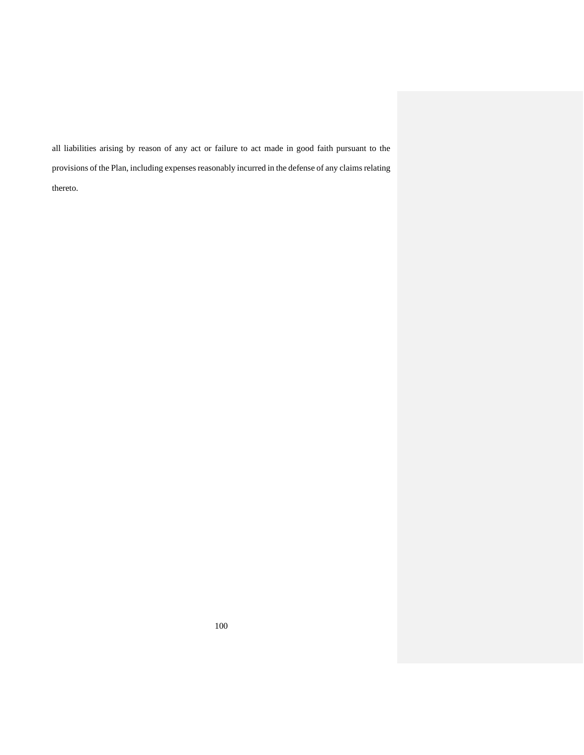all liabilities arising by reason of any act or failure to act made in good faith pursuant to the provisions of the Plan, including expenses reasonably incurred in the defense of any claims relating thereto.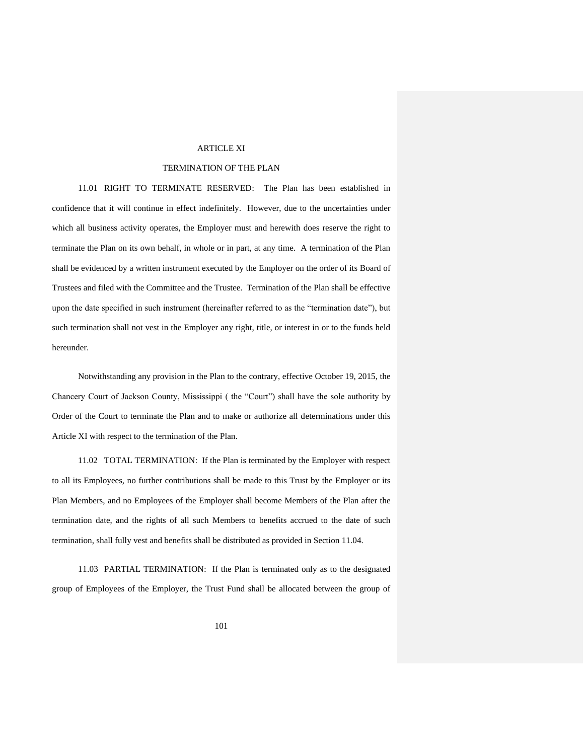#### ARTICLE XI

#### TERMINATION OF THE PLAN

11.01 RIGHT TO TERMINATE RESERVED: The Plan has been established in confidence that it will continue in effect indefinitely. However, due to the uncertainties under which all business activity operates, the Employer must and herewith does reserve the right to terminate the Plan on its own behalf, in whole or in part, at any time. A termination of the Plan shall be evidenced by a written instrument executed by the Employer on the order of its Board of Trustees and filed with the Committee and the Trustee. Termination of the Plan shall be effective upon the date specified in such instrument (hereinafter referred to as the "termination date"), but such termination shall not vest in the Employer any right, title, or interest in or to the funds held hereunder.

Notwithstanding any provision in the Plan to the contrary, effective October 19, 2015, the Chancery Court of Jackson County, Mississippi ( the "Court") shall have the sole authority by Order of the Court to terminate the Plan and to make or authorize all determinations under this Article XI with respect to the termination of the Plan.

11.02 TOTAL TERMINATION: If the Plan is terminated by the Employer with respect to all its Employees, no further contributions shall be made to this Trust by the Employer or its Plan Members, and no Employees of the Employer shall become Members of the Plan after the termination date, and the rights of all such Members to benefits accrued to the date of such termination, shall fully vest and benefits shall be distributed as provided in Section 11.04.

11.03 PARTIAL TERMINATION: If the Plan is terminated only as to the designated group of Employees of the Employer, the Trust Fund shall be allocated between the group of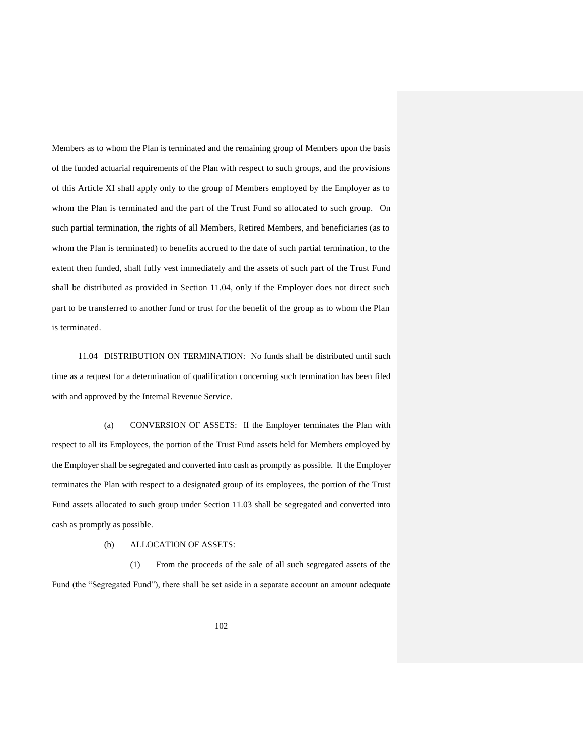Members as to whom the Plan is terminated and the remaining group of Members upon the basis of the funded actuarial requirements of the Plan with respect to such groups, and the provisions of this Article XI shall apply only to the group of Members employed by the Employer as to whom the Plan is terminated and the part of the Trust Fund so allocated to such group. On such partial termination, the rights of all Members, Retired Members, and beneficiaries (as to whom the Plan is terminated) to benefits accrued to the date of such partial termination, to the extent then funded, shall fully vest immediately and the assets of such part of the Trust Fund shall be distributed as provided in Section 11.04, only if the Employer does not direct such part to be transferred to another fund or trust for the benefit of the group as to whom the Plan is terminated.

11.04 DISTRIBUTION ON TERMINATION: No funds shall be distributed until such time as a request for a determination of qualification concerning such termination has been filed with and approved by the Internal Revenue Service.

(a) CONVERSION OF ASSETS: If the Employer terminates the Plan with respect to all its Employees, the portion of the Trust Fund assets held for Members employed by the Employer shall be segregated and converted into cash as promptly as possible. If the Employer terminates the Plan with respect to a designated group of its employees, the portion of the Trust Fund assets allocated to such group under Section 11.03 shall be segregated and converted into cash as promptly as possible.

## (b) ALLOCATION OF ASSETS:

(1) From the proceeds of the sale of all such segregated assets of the Fund (the "Segregated Fund"), there shall be set aside in a separate account an amount adequate

102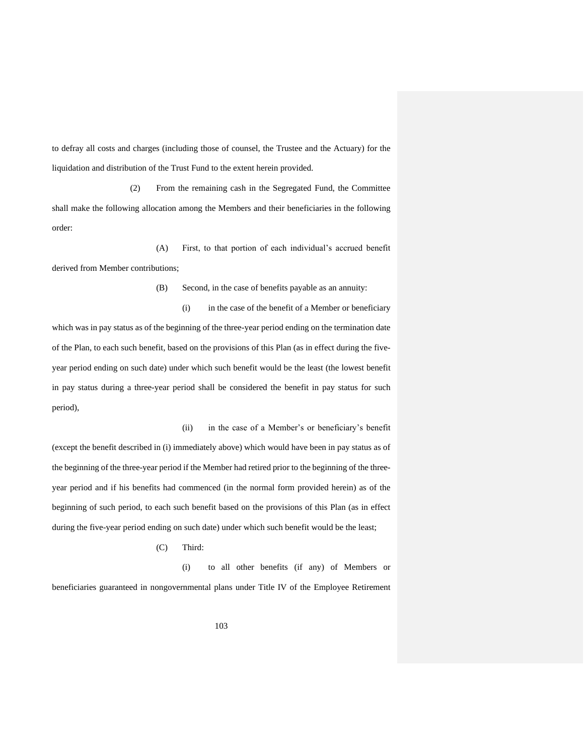to defray all costs and charges (including those of counsel, the Trustee and the Actuary) for the liquidation and distribution of the Trust Fund to the extent herein provided.

(2) From the remaining cash in the Segregated Fund, the Committee shall make the following allocation among the Members and their beneficiaries in the following order:

(A) First, to that portion of each individual's accrued benefit derived from Member contributions;

(B) Second, in the case of benefits payable as an annuity:

(i) in the case of the benefit of a Member or beneficiary which was in pay status as of the beginning of the three-year period ending on the termination date of the Plan, to each such benefit, based on the provisions of this Plan (as in effect during the fiveyear period ending on such date) under which such benefit would be the least (the lowest benefit in pay status during a three-year period shall be considered the benefit in pay status for such period),

(ii) in the case of a Member's or beneficiary's benefit (except the benefit described in (i) immediately above) which would have been in pay status as of the beginning of the three-year period if the Member had retired prior to the beginning of the threeyear period and if his benefits had commenced (in the normal form provided herein) as of the beginning of such period, to each such benefit based on the provisions of this Plan (as in effect during the five-year period ending on such date) under which such benefit would be the least;

(C) Third:

(i) to all other benefits (if any) of Members or beneficiaries guaranteed in nongovernmental plans under Title IV of the Employee Retirement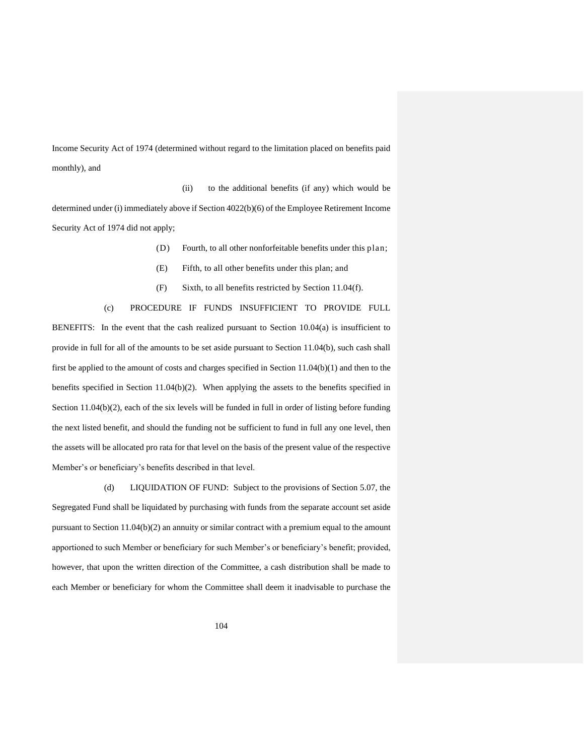Income Security Act of 1974 (determined without regard to the limitation placed on benefits paid monthly), and

(ii) to the additional benefits (if any) which would be determined under (i) immediately above if Section 4022(b)(6) of the Employee Retirement Income Security Act of 1974 did not apply;

(D) Fourth, to all other nonforfeitable benefits under this plan;

- (E) Fifth, to all other benefits under this plan; and
- (F) Sixth, to all benefits restricted by Section 11.04(f).

# (c) PROCEDURE IF FUNDS INSUFFICIENT TO PROVIDE FULL

BENEFITS: In the event that the cash realized pursuant to Section 10.04(a) is insufficient to provide in full for all of the amounts to be set aside pursuant to Section 11.04(b), such cash shall first be applied to the amount of costs and charges specified in Section 11.04(b)(1) and then to the benefits specified in Section 11.04(b)(2). When applying the assets to the benefits specified in Section 11.04(b)(2), each of the six levels will be funded in full in order of listing before funding the next listed benefit, and should the funding not be sufficient to fund in full any one level, then the assets will be allocated pro rata for that level on the basis of the present value of the respective Member's or beneficiary's benefits described in that level.

(d) LIQUIDATION OF FUND: Subject to the provisions of Section 5.07, the Segregated Fund shall be liquidated by purchasing with funds from the separate account set aside pursuant to Section 11.04(b)(2) an annuity or similar contract with a premium equal to the amount apportioned to such Member or beneficiary for such Member's or beneficiary's benefit; provided, however, that upon the written direction of the Committee, a cash distribution shall be made to each Member or beneficiary for whom the Committee shall deem it inadvisable to purchase the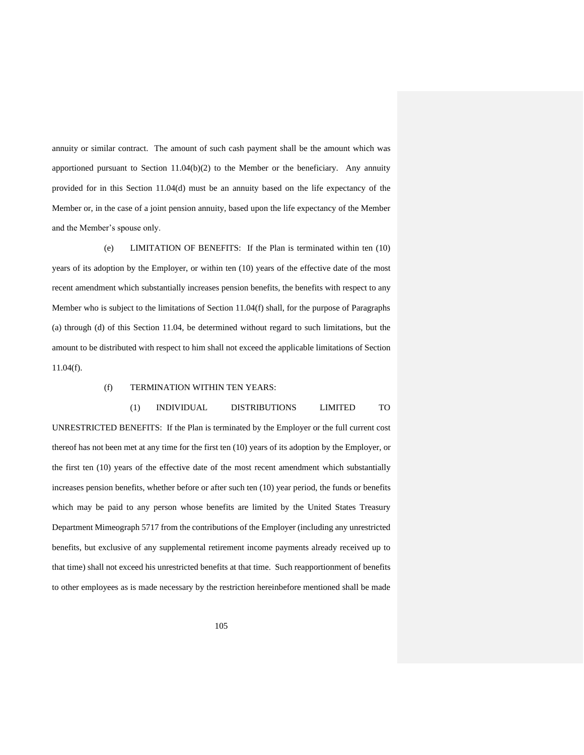annuity or similar contract. The amount of such cash payment shall be the amount which was apportioned pursuant to Section  $11.04(b)(2)$  to the Member or the beneficiary. Any annuity provided for in this Section 11.04(d) must be an annuity based on the life expectancy of the Member or, in the case of a joint pension annuity, based upon the life expectancy of the Member and the Member's spouse only.

(e) LIMITATION OF BENEFITS: If the Plan is terminated within ten (10) years of its adoption by the Employer, or within ten (10) years of the effective date of the most recent amendment which substantially increases pension benefits, the benefits with respect to any Member who is subject to the limitations of Section 11.04(f) shall, for the purpose of Paragraphs (a) through (d) of this Section 11.04, be determined without regard to such limitations, but the amount to be distributed with respect to him shall not exceed the applicable limitations of Section 11.04(f).

#### (f) TERMINATION WITHIN TEN YEARS:

#### (1) INDIVIDUAL DISTRIBUTIONS LIMITED TO

UNRESTRICTED BENEFITS: If the Plan is terminated by the Employer or the full current cost thereof has not been met at any time for the first ten (10) years of its adoption by the Employer, or the first ten (10) years of the effective date of the most recent amendment which substantially increases pension benefits, whether before or after such ten (10) year period, the funds or benefits which may be paid to any person whose benefits are limited by the United States Treasury Department Mimeograph 5717 from the contributions of the Employer (including any unrestricted benefits, but exclusive of any supplemental retirement income payments already received up to that time) shall not exceed his unrestricted benefits at that time. Such reapportionment of benefits to other employees as is made necessary by the restriction hereinbefore mentioned shall be made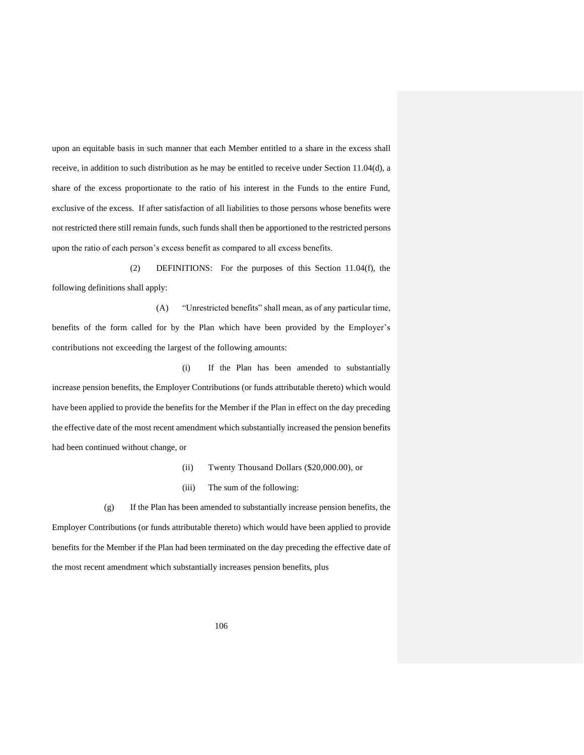upon an equitable basis in such manner that each Member entitled to a share in the excess shall receive, in addition to such distribution as he may be entitled to receive under Section 11.04(d), a share of the excess proportionate to the ratio of his interest in the Funds to the entire Fund, exclusive of the excess. If after satisfaction of all liabilities to those persons whose benefits were not restricted there still remain funds, such funds shall then be apportioned to the restricted persons upon the ratio of each person's excess benefit as compared to all excess benefits.

(2) DEFINITIONS: For the purposes of this Section 11.04(f), the following definitions shall apply:

(A) "Unrestricted benefits" shall mean, as of any particular time, benefits of the form called for by the Plan which have been provided by the Employer's contributions not exceeding the largest of the following amounts:

(i) If the Plan has been amended to substantially increase pension benefits, the Employer Contributions (or funds attributable thereto) which would have been applied to provide the benefits for the Member if the Plan in effect on the day preceding the effective date of the most recent amendment which substantially increased the pension benefits had been continued without change, or

- (ii) Twenty Thousand Dollars (\$20,000.00), or
- (iii) The sum of the following:

(g) If the Plan has been amended to substantially increase pension benefits, the Employer Contributions (or funds attributable thereto) which would have been applied to provide benefits for the Member if the Plan had been terminated on the day preceding the effective date of the most recent amendment which substantially increases pension benefits, plus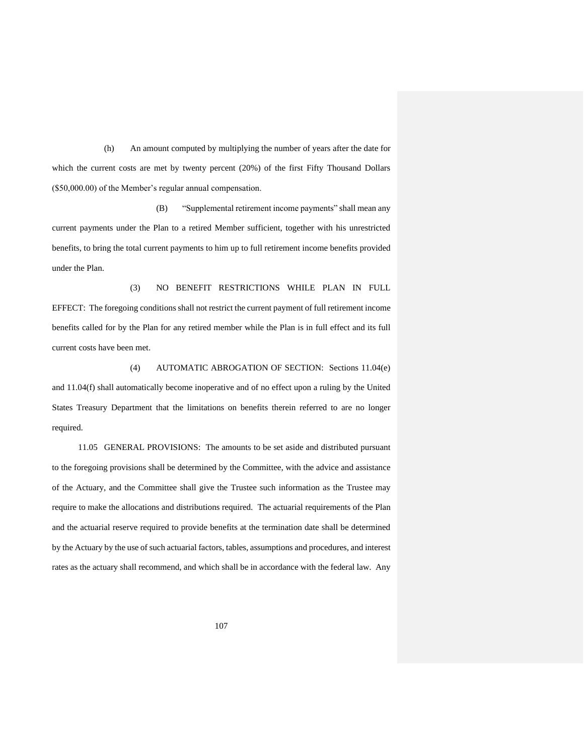(h) An amount computed by multiplying the number of years after the date for which the current costs are met by twenty percent (20%) of the first Fifty Thousand Dollars (\$50,000.00) of the Member's regular annual compensation.

(B) "Supplemental retirement income payments" shall mean any current payments under the Plan to a retired Member sufficient, together with his unrestricted benefits, to bring the total current payments to him up to full retirement income benefits provided under the Plan.

(3) NO BENEFIT RESTRICTIONS WHILE PLAN IN FULL EFFECT: The foregoing conditions shall not restrict the current payment of full retirement income benefits called for by the Plan for any retired member while the Plan is in full effect and its full current costs have been met.

(4) AUTOMATIC ABROGATION OF SECTION: Sections 11.04(e) and 11.04(f) shall automatically become inoperative and of no effect upon a ruling by the United States Treasury Department that the limitations on benefits therein referred to are no longer required.

11.05 GENERAL PROVISIONS: The amounts to be set aside and distributed pursuant to the foregoing provisions shall be determined by the Committee, with the advice and assistance of the Actuary, and the Committee shall give the Trustee such information as the Trustee may require to make the allocations and distributions required. The actuarial requirements of the Plan and the actuarial reserve required to provide benefits at the termination date shall be determined by the Actuary by the use of such actuarial factors, tables, assumptions and procedures, and interest rates as the actuary shall recommend, and which shall be in accordance with the federal law. Any

107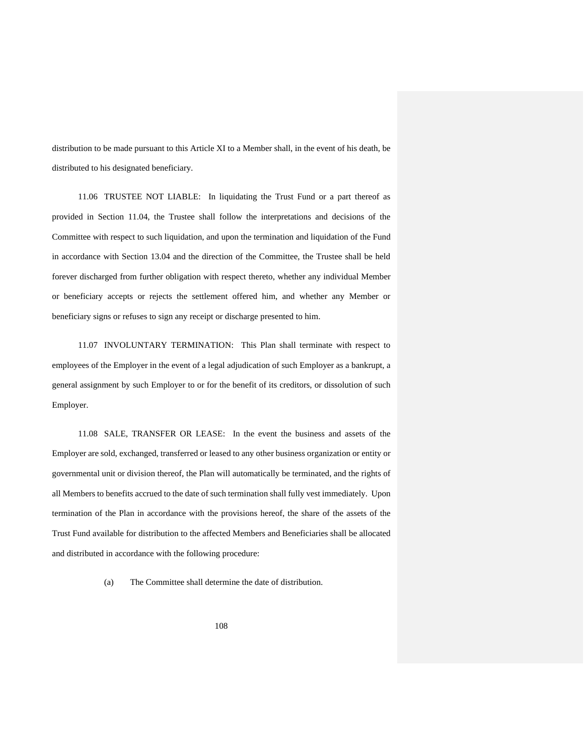distribution to be made pursuant to this Article XI to a Member shall, in the event of his death, be distributed to his designated beneficiary.

11.06 TRUSTEE NOT LIABLE: In liquidating the Trust Fund or a part thereof as provided in Section 11.04, the Trustee shall follow the interpretations and decisions of the Committee with respect to such liquidation, and upon the termination and liquidation of the Fund in accordance with Section 13.04 and the direction of the Committee, the Trustee shall be held forever discharged from further obligation with respect thereto, whether any individual Member or beneficiary accepts or rejects the settlement offered him, and whether any Member or beneficiary signs or refuses to sign any receipt or discharge presented to him.

11.07 INVOLUNTARY TERMINATION: This Plan shall terminate with respect to employees of the Employer in the event of a legal adjudication of such Employer as a bankrupt, a general assignment by such Employer to or for the benefit of its creditors, or dissolution of such Employer.

11.08 SALE, TRANSFER OR LEASE: In the event the business and assets of the Employer are sold, exchanged, transferred or leased to any other business organization or entity or governmental unit or division thereof, the Plan will automatically be terminated, and the rights of all Members to benefits accrued to the date of such termination shall fully vest immediately. Upon termination of the Plan in accordance with the provisions hereof, the share of the assets of the Trust Fund available for distribution to the affected Members and Beneficiaries shall be allocated and distributed in accordance with the following procedure:

(a) The Committee shall determine the date of distribution.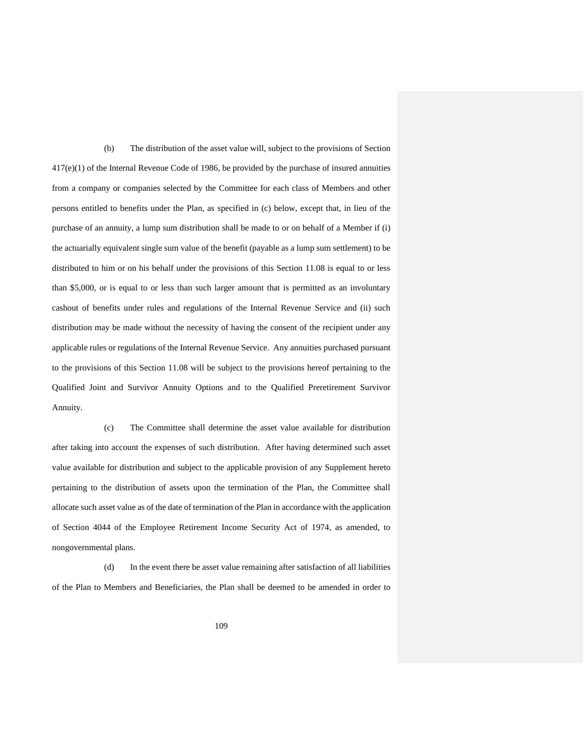(b) The distribution of the asset value will, subject to the provisions of Section 417(e)(1) of the Internal Revenue Code of 1986, be provided by the purchase of insured annuities from a company or companies selected by the Committee for each class of Members and other persons entitled to benefits under the Plan, as specified in (c) below, except that, in lieu of the purchase of an annuity, a lump sum distribution shall be made to or on behalf of a Member if (i) the actuarially equivalent single sum value of the benefit (payable as a lump sum settlement) to be distributed to him or on his behalf under the provisions of this Section 11.08 is equal to or less than \$5,000, or is equal to or less than such larger amount that is permitted as an involuntary cashout of benefits under rules and regulations of the Internal Revenue Service and (ii) such distribution may be made without the necessity of having the consent of the recipient under any applicable rules or regulations of the Internal Revenue Service. Any annuities purchased pursuant to the provisions of this Section 11.08 will be subject to the provisions hereof pertaining to the Qualified Joint and Survivor Annuity Options and to the Qualified Preretirement Survivor Annuity.

(c) The Committee shall determine the asset value available for distribution after taking into account the expenses of such distribution. After having determined such asset value available for distribution and subject to the applicable provision of any Supplement hereto pertaining to the distribution of assets upon the termination of the Plan, the Committee shall allocate such asset value as of the date of termination of the Plan in accordance with the application of Section 4044 of the Employee Retirement Income Security Act of 1974, as amended, to nongovernmental plans.

(d) In the event there be asset value remaining after satisfaction of all liabilities of the Plan to Members and Beneficiaries, the Plan shall be deemed to be amended in order to

109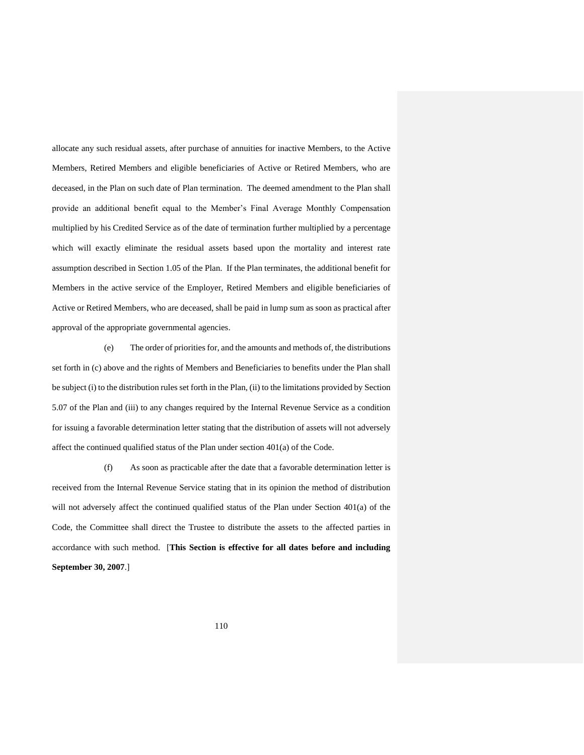allocate any such residual assets, after purchase of annuities for inactive Members, to the Active Members, Retired Members and eligible beneficiaries of Active or Retired Members, who are deceased, in the Plan on such date of Plan termination. The deemed amendment to the Plan shall provide an additional benefit equal to the Member's Final Average Monthly Compensation multiplied by his Credited Service as of the date of termination further multiplied by a percentage which will exactly eliminate the residual assets based upon the mortality and interest rate assumption described in Section 1.05 of the Plan. If the Plan terminates, the additional benefit for Members in the active service of the Employer, Retired Members and eligible beneficiaries of Active or Retired Members, who are deceased, shall be paid in lump sum as soon as practical after approval of the appropriate governmental agencies.

(e) The order of priorities for, and the amounts and methods of, the distributions set forth in (c) above and the rights of Members and Beneficiaries to benefits under the Plan shall be subject (i) to the distribution rules set forth in the Plan, (ii) to the limitations provided by Section 5.07 of the Plan and (iii) to any changes required by the Internal Revenue Service as a condition for issuing a favorable determination letter stating that the distribution of assets will not adversely affect the continued qualified status of the Plan under section 401(a) of the Code.

(f) As soon as practicable after the date that a favorable determination letter is received from the Internal Revenue Service stating that in its opinion the method of distribution will not adversely affect the continued qualified status of the Plan under Section 401(a) of the Code, the Committee shall direct the Trustee to distribute the assets to the affected parties in accordance with such method. [**This Section is effective for all dates before and including September 30, 2007**.]

110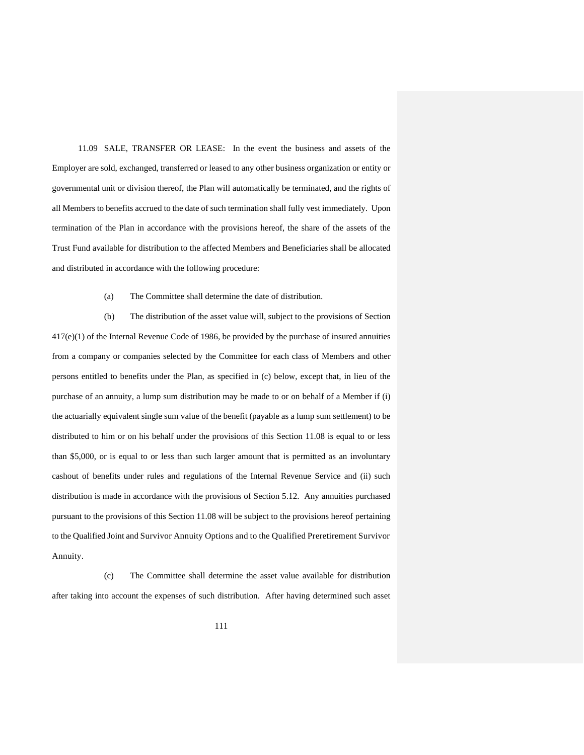11.09 SALE, TRANSFER OR LEASE: In the event the business and assets of the Employer are sold, exchanged, transferred or leased to any other business organization or entity or governmental unit or division thereof, the Plan will automatically be terminated, and the rights of all Members to benefits accrued to the date of such termination shall fully vest immediately. Upon termination of the Plan in accordance with the provisions hereof, the share of the assets of the Trust Fund available for distribution to the affected Members and Beneficiaries shall be allocated and distributed in accordance with the following procedure:

(a) The Committee shall determine the date of distribution.

(b) The distribution of the asset value will, subject to the provisions of Section 417(e)(1) of the Internal Revenue Code of 1986, be provided by the purchase of insured annuities from a company or companies selected by the Committee for each class of Members and other persons entitled to benefits under the Plan, as specified in (c) below, except that, in lieu of the purchase of an annuity, a lump sum distribution may be made to or on behalf of a Member if (i) the actuarially equivalent single sum value of the benefit (payable as a lump sum settlement) to be distributed to him or on his behalf under the provisions of this Section 11.08 is equal to or less than \$5,000, or is equal to or less than such larger amount that is permitted as an involuntary cashout of benefits under rules and regulations of the Internal Revenue Service and (ii) such distribution is made in accordance with the provisions of Section 5.12. Any annuities purchased pursuant to the provisions of this Section 11.08 will be subject to the provisions hereof pertaining to the Qualified Joint and Survivor Annuity Options and to the Qualified Preretirement Survivor Annuity.

(c) The Committee shall determine the asset value available for distribution after taking into account the expenses of such distribution. After having determined such asset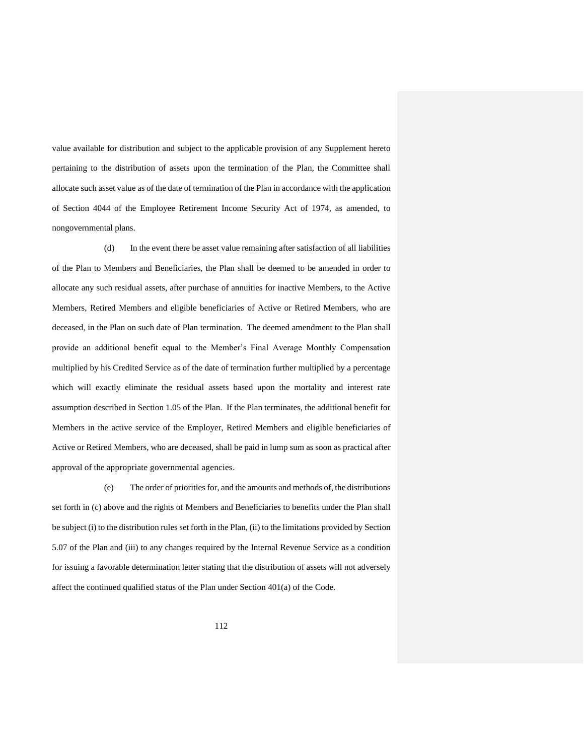value available for distribution and subject to the applicable provision of any Supplement hereto pertaining to the distribution of assets upon the termination of the Plan, the Committee shall allocate such asset value as of the date of termination of the Plan in accordance with the application of Section 4044 of the Employee Retirement Income Security Act of 1974, as amended, to nongovernmental plans.

(d) In the event there be asset value remaining after satisfaction of all liabilities of the Plan to Members and Beneficiaries, the Plan shall be deemed to be amended in order to allocate any such residual assets, after purchase of annuities for inactive Members, to the Active Members, Retired Members and eligible beneficiaries of Active or Retired Members, who are deceased, in the Plan on such date of Plan termination. The deemed amendment to the Plan shall provide an additional benefit equal to the Member's Final Average Monthly Compensation multiplied by his Credited Service as of the date of termination further multiplied by a percentage which will exactly eliminate the residual assets based upon the mortality and interest rate assumption described in Section 1.05 of the Plan. If the Plan terminates, the additional benefit for Members in the active service of the Employer, Retired Members and eligible beneficiaries of Active or Retired Members, who are deceased, shall be paid in lump sum as soon as practical after approval of the appropriate governmental agencies.

(e) The order of priorities for, and the amounts and methods of, the distributions set forth in (c) above and the rights of Members and Beneficiaries to benefits under the Plan shall be subject (i) to the distribution rules set forth in the Plan, (ii) to the limitations provided by Section 5.07 of the Plan and (iii) to any changes required by the Internal Revenue Service as a condition for issuing a favorable determination letter stating that the distribution of assets will not adversely affect the continued qualified status of the Plan under Section 401(a) of the Code.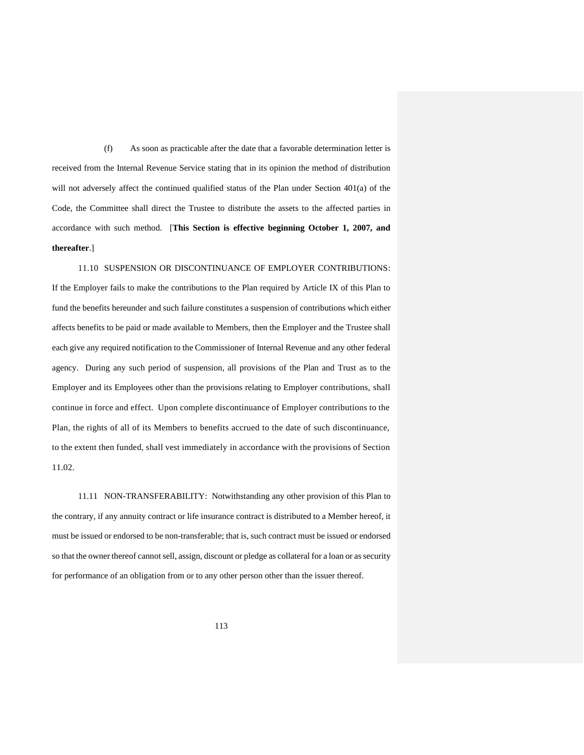(f) As soon as practicable after the date that a favorable determination letter is received from the Internal Revenue Service stating that in its opinion the method of distribution will not adversely affect the continued qualified status of the Plan under Section 401(a) of the Code, the Committee shall direct the Trustee to distribute the assets to the affected parties in accordance with such method. [**This Section is effective beginning October 1, 2007, and thereafter**.]

11.10 SUSPENSION OR DISCONTINUANCE OF EMPLOYER CONTRIBUTIONS: If the Employer fails to make the contributions to the Plan required by Article IX of this Plan to fund the benefits hereunder and such failure constitutes a suspension of contributions which either affects benefits to be paid or made available to Members, then the Employer and the Trustee shall each give any required notification to the Commissioner of Internal Revenue and any other federal agency. During any such period of suspension, all provisions of the Plan and Trust as to the Employer and its Employees other than the provisions relating to Employer contributions, shall continue in force and effect. Upon complete discontinuance of Employer contributions to the Plan, the rights of all of its Members to benefits accrued to the date of such discontinuance, to the extent then funded, shall vest immediately in accordance with the provisions of Section 11.02.

11.11 NON-TRANSFERABILITY: Notwithstanding any other provision of this Plan to the contrary, if any annuity contract or life insurance contract is distributed to a Member hereof, it must be issued or endorsed to be non-transferable; that is, such contract must be issued or endorsed so that the owner thereof cannot sell, assign, discount or pledge as collateral for a loan or as security for performance of an obligation from or to any other person other than the issuer thereof.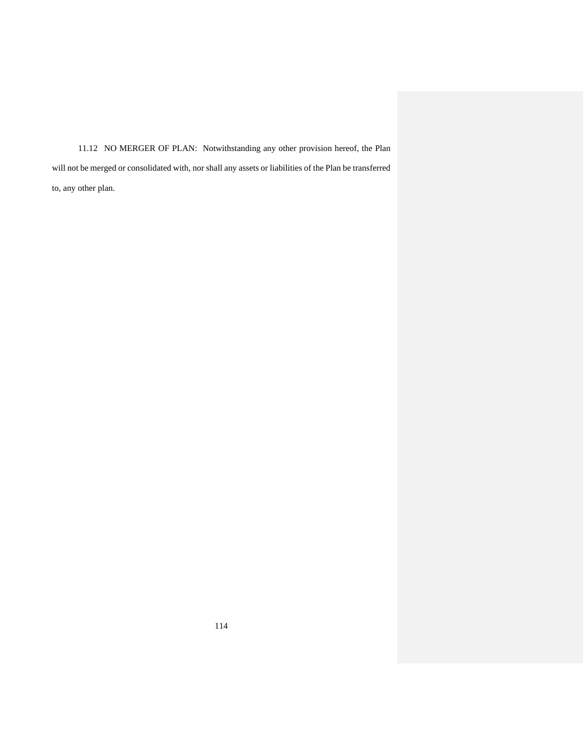11.12 NO MERGER OF PLAN: Notwithstanding any other provision hereof, the Plan will not be merged or consolidated with, nor shall any assets or liabilities of the Plan be transferred to, any other plan.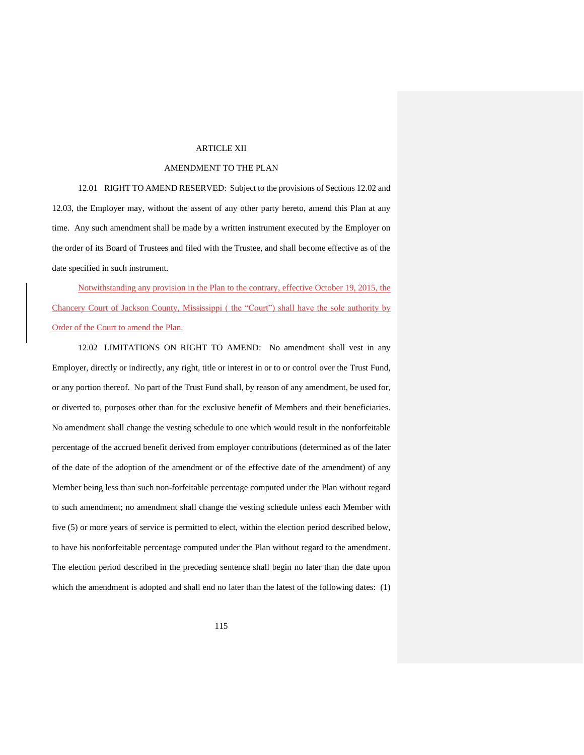### ARTICLE XII

# AMENDMENT TO THE PLAN

12.01 RIGHT TO AMEND RESERVED: Subject to the provisions of Sections 12.02 and 12.03, the Employer may, without the assent of any other party hereto, amend this Plan at any time. Any such amendment shall be made by a written instrument executed by the Employer on the order of its Board of Trustees and filed with the Trustee, and shall become effective as of the date specified in such instrument.

Notwithstanding any provision in the Plan to the contrary, effective October 19, 2015, the Chancery Court of Jackson County, Mississippi ( the "Court") shall have the sole authority by Order of the Court to amend the Plan.

12.02 LIMITATIONS ON RIGHT TO AMEND: No amendment shall vest in any Employer, directly or indirectly, any right, title or interest in or to or control over the Trust Fund, or any portion thereof. No part of the Trust Fund shall, by reason of any amendment, be used for, or diverted to, purposes other than for the exclusive benefit of Members and their beneficiaries. No amendment shall change the vesting schedule to one which would result in the nonforfeitable percentage of the accrued benefit derived from employer contributions (determined as of the later of the date of the adoption of the amendment or of the effective date of the amendment) of any Member being less than such non-forfeitable percentage computed under the Plan without regard to such amendment; no amendment shall change the vesting schedule unless each Member with five (5) or more years of service is permitted to elect, within the election period described below, to have his nonforfeitable percentage computed under the Plan without regard to the amendment. The election period described in the preceding sentence shall begin no later than the date upon which the amendment is adopted and shall end no later than the latest of the following dates: (1)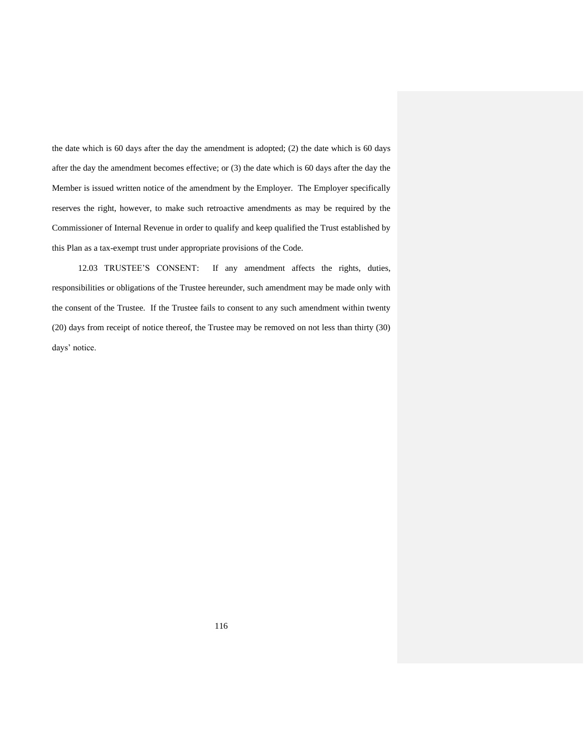the date which is 60 days after the day the amendment is adopted; (2) the date which is 60 days after the day the amendment becomes effective; or (3) the date which is 60 days after the day the Member is issued written notice of the amendment by the Employer. The Employer specifically reserves the right, however, to make such retroactive amendments as may be required by the Commissioner of Internal Revenue in order to qualify and keep qualified the Trust established by this Plan as a tax-exempt trust under appropriate provisions of the Code.

12.03 TRUSTEE'S CONSENT: If any amendment affects the rights, duties, responsibilities or obligations of the Trustee hereunder, such amendment may be made only with the consent of the Trustee. If the Trustee fails to consent to any such amendment within twenty (20) days from receipt of notice thereof, the Trustee may be removed on not less than thirty (30) days' notice.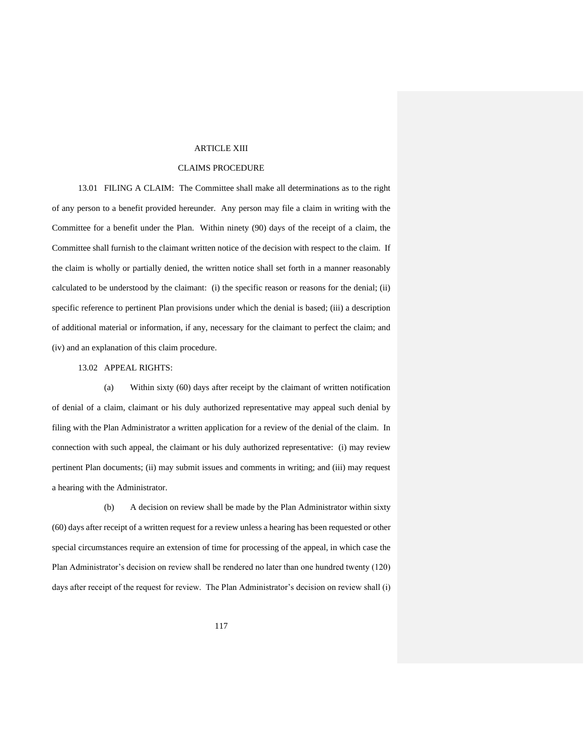### ARTICLE XIII

# CLAIMS PROCEDURE

13.01 FILING A CLAIM: The Committee shall make all determinations as to the right of any person to a benefit provided hereunder. Any person may file a claim in writing with the Committee for a benefit under the Plan. Within ninety (90) days of the receipt of a claim, the Committee shall furnish to the claimant written notice of the decision with respect to the claim. If the claim is wholly or partially denied, the written notice shall set forth in a manner reasonably calculated to be understood by the claimant: (i) the specific reason or reasons for the denial; (ii) specific reference to pertinent Plan provisions under which the denial is based; (iii) a description of additional material or information, if any, necessary for the claimant to perfect the claim; and (iv) and an explanation of this claim procedure.

### 13.02 APPEAL RIGHTS:

(a) Within sixty (60) days after receipt by the claimant of written notification of denial of a claim, claimant or his duly authorized representative may appeal such denial by filing with the Plan Administrator a written application for a review of the denial of the claim. In connection with such appeal, the claimant or his duly authorized representative: (i) may review pertinent Plan documents; (ii) may submit issues and comments in writing; and (iii) may request a hearing with the Administrator.

(b) A decision on review shall be made by the Plan Administrator within sixty (60) days after receipt of a written request for a review unless a hearing has been requested or other special circumstances require an extension of time for processing of the appeal, in which case the Plan Administrator's decision on review shall be rendered no later than one hundred twenty (120) days after receipt of the request for review. The Plan Administrator's decision on review shall (i)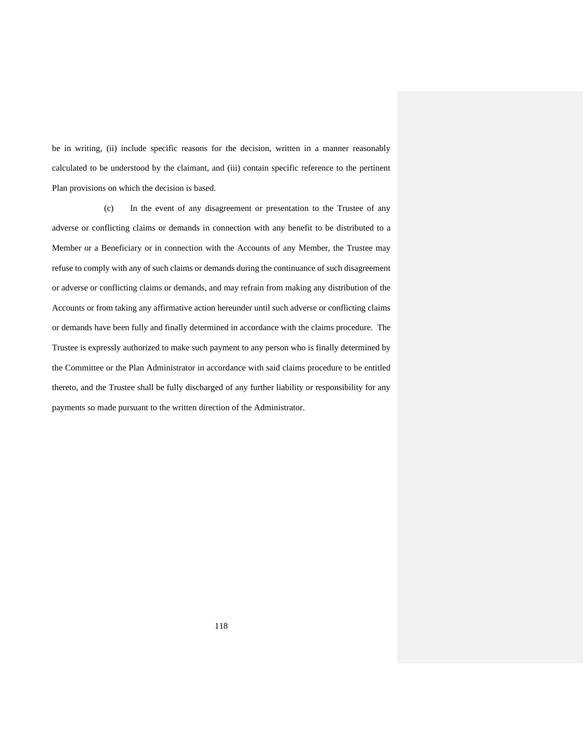be in writing, (ii) include specific reasons for the decision, written in a manner reasonably calculated to be understood by the claimant, and (iii) contain specific reference to the pertinent Plan provisions on which the decision is based.

(c) In the event of any disagreement or presentation to the Trustee of any adverse or conflicting claims or demands in connection with any benefit to be distributed to a Member or a Beneficiary or in connection with the Accounts of any Member, the Trustee may refuse to comply with any of such claims or demands during the continuance of such disagreement or adverse or conflicting claims or demands, and may refrain from making any distribution of the Accounts or from taking any affirmative action hereunder until such adverse or conflicting claims or demands have been fully and finally determined in accordance with the claims procedure. The Trustee is expressly authorized to make such payment to any person who is finally determined by the Committee or the Plan Administrator in accordance with said claims procedure to be entitled thereto, and the Trustee shall be fully discharged of any further liability or responsibility for any payments so made pursuant to the written direction of the Administrator.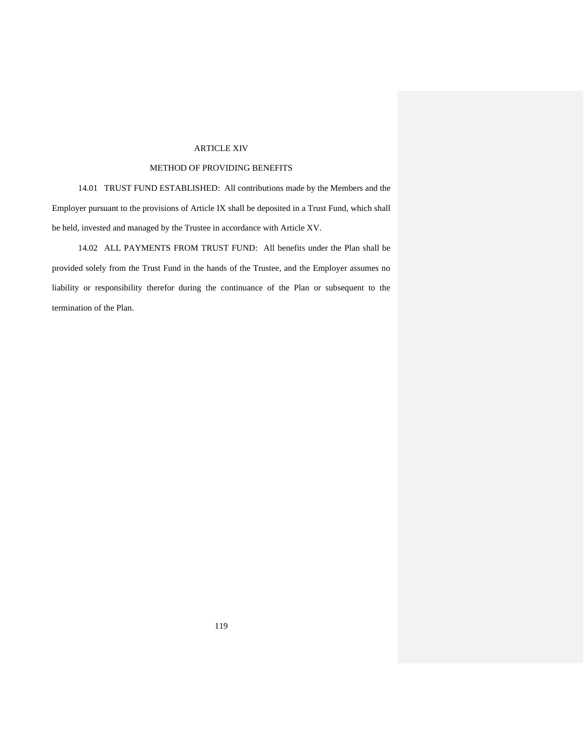# ARTICLE XIV

# METHOD OF PROVIDING BENEFITS

14.01 TRUST FUND ESTABLISHED: All contributions made by the Members and the Employer pursuant to the provisions of Article IX shall be deposited in a Trust Fund, which shall be held, invested and managed by the Trustee in accordance with Article XV.

14.02 ALL PAYMENTS FROM TRUST FUND: All benefits under the Plan shall be provided solely from the Trust Fund in the hands of the Trustee, and the Employer assumes no liability or responsibility therefor during the continuance of the Plan or subsequent to the termination of the Plan.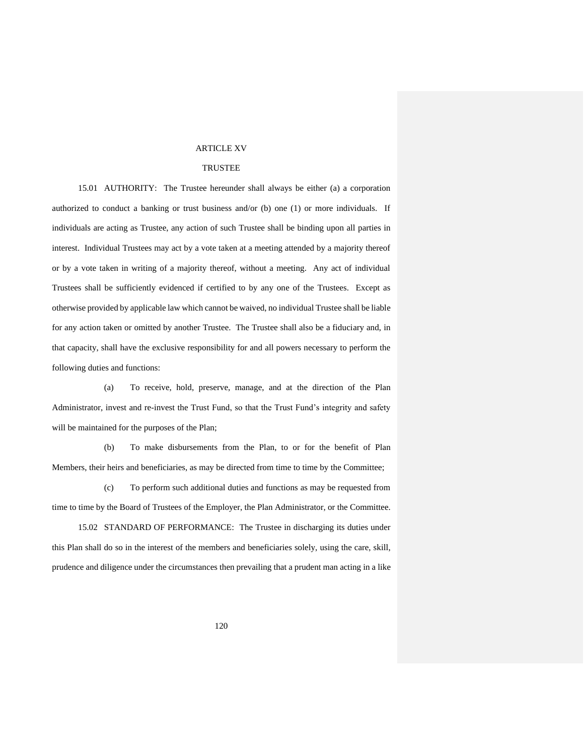### ARTICLE XV

# TRUSTEE

15.01 AUTHORITY: The Trustee hereunder shall always be either (a) a corporation authorized to conduct a banking or trust business and/or (b) one (1) or more individuals. If individuals are acting as Trustee, any action of such Trustee shall be binding upon all parties in interest. Individual Trustees may act by a vote taken at a meeting attended by a majority thereof or by a vote taken in writing of a majority thereof, without a meeting. Any act of individual Trustees shall be sufficiently evidenced if certified to by any one of the Trustees. Except as otherwise provided by applicable law which cannot be waived, no individual Trustee shall be liable for any action taken or omitted by another Trustee. The Trustee shall also be a fiduciary and, in that capacity, shall have the exclusive responsibility for and all powers necessary to perform the following duties and functions:

(a) To receive, hold, preserve, manage, and at the direction of the Plan Administrator, invest and re-invest the Trust Fund, so that the Trust Fund's integrity and safety will be maintained for the purposes of the Plan;

(b) To make disbursements from the Plan, to or for the benefit of Plan Members, their heirs and beneficiaries, as may be directed from time to time by the Committee;

(c) To perform such additional duties and functions as may be requested from time to time by the Board of Trustees of the Employer, the Plan Administrator, or the Committee.

15.02 STANDARD OF PERFORMANCE: The Trustee in discharging its duties under this Plan shall do so in the interest of the members and beneficiaries solely, using the care, skill, prudence and diligence under the circumstances then prevailing that a prudent man acting in a like

120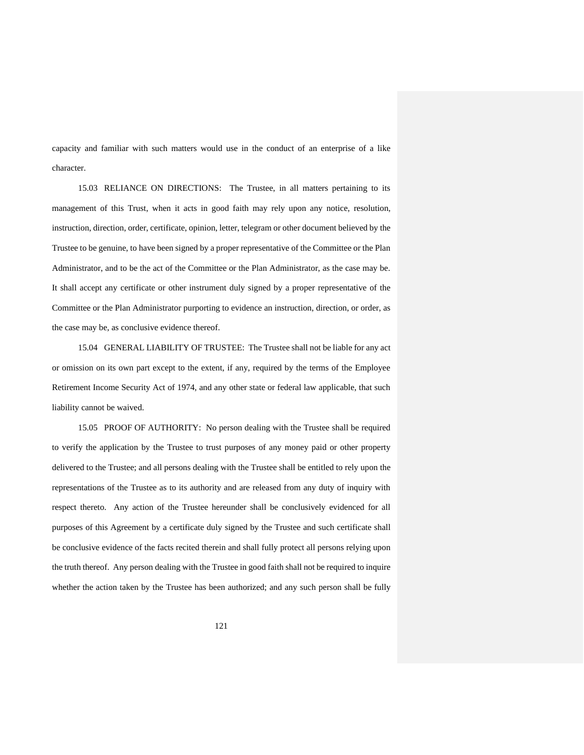capacity and familiar with such matters would use in the conduct of an enterprise of a like character.

15.03 RELIANCE ON DIRECTIONS: The Trustee, in all matters pertaining to its management of this Trust, when it acts in good faith may rely upon any notice, resolution, instruction, direction, order, certificate, opinion, letter, telegram or other document believed by the Trustee to be genuine, to have been signed by a proper representative of the Committee or the Plan Administrator, and to be the act of the Committee or the Plan Administrator, as the case may be. It shall accept any certificate or other instrument duly signed by a proper representative of the Committee or the Plan Administrator purporting to evidence an instruction, direction, or order, as the case may be, as conclusive evidence thereof.

15.04 GENERAL LIABILITY OF TRUSTEE: The Trustee shall not be liable for any act or omission on its own part except to the extent, if any, required by the terms of the Employee Retirement Income Security Act of 1974, and any other state or federal law applicable, that such liability cannot be waived.

15.05 PROOF OF AUTHORITY: No person dealing with the Trustee shall be required to verify the application by the Trustee to trust purposes of any money paid or other property delivered to the Trustee; and all persons dealing with the Trustee shall be entitled to rely upon the representations of the Trustee as to its authority and are released from any duty of inquiry with respect thereto. Any action of the Trustee hereunder shall be conclusively evidenced for all purposes of this Agreement by a certificate duly signed by the Trustee and such certificate shall be conclusive evidence of the facts recited therein and shall fully protect all persons relying upon the truth thereof. Any person dealing with the Trustee in good faith shall not be required to inquire whether the action taken by the Trustee has been authorized; and any such person shall be fully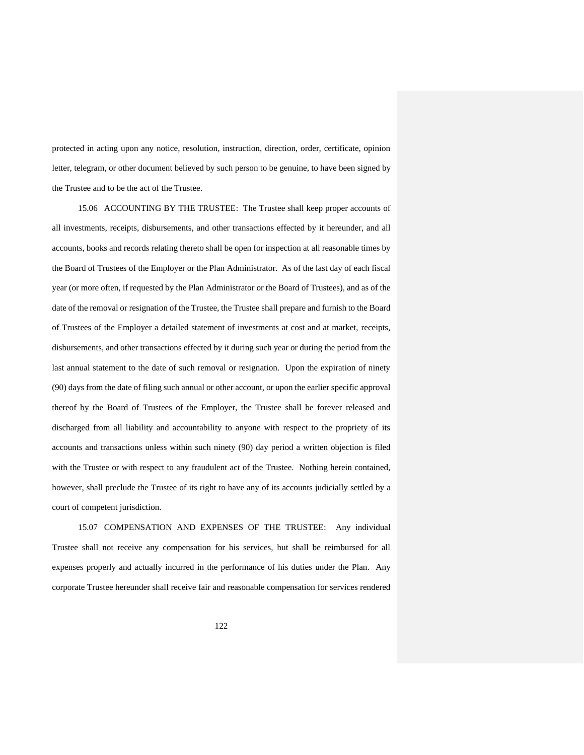protected in acting upon any notice, resolution, instruction, direction, order, certificate, opinion letter, telegram, or other document believed by such person to be genuine, to have been signed by the Trustee and to be the act of the Trustee.

15.06 ACCOUNTING BY THE TRUSTEE: The Trustee shall keep proper accounts of all investments, receipts, disbursements, and other transactions effected by it hereunder, and all accounts, books and records relating thereto shall be open for inspection at all reasonable times by the Board of Trustees of the Employer or the Plan Administrator. As of the last day of each fiscal year (or more often, if requested by the Plan Administrator or the Board of Trustees), and as of the date of the removal or resignation of the Trustee, the Trustee shall prepare and furnish to the Board of Trustees of the Employer a detailed statement of investments at cost and at market, receipts, disbursements, and other transactions effected by it during such year or during the period from the last annual statement to the date of such removal or resignation. Upon the expiration of ninety (90) days from the date of filing such annual or other account, or upon the earlier specific approval thereof by the Board of Trustees of the Employer, the Trustee shall be forever released and discharged from all liability and accountability to anyone with respect to the propriety of its accounts and transactions unless within such ninety (90) day period a written objection is filed with the Trustee or with respect to any fraudulent act of the Trustee. Nothing herein contained, however, shall preclude the Trustee of its right to have any of its accounts judicially settled by a court of competent jurisdiction.

15.07 COMPENSATION AND EXPENSES OF THE TRUSTEE: Any individual Trustee shall not receive any compensation for his services, but shall be reimbursed for all expenses properly and actually incurred in the performance of his duties under the Plan. Any corporate Trustee hereunder shall receive fair and reasonable compensation for services rendered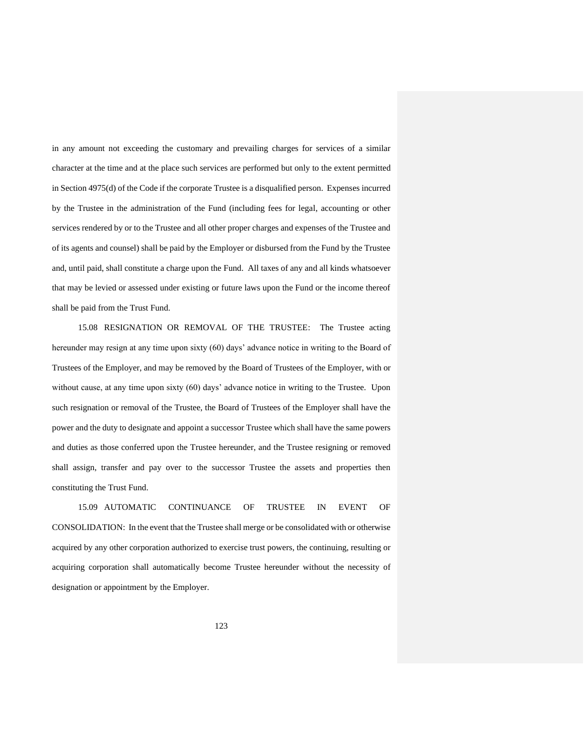in any amount not exceeding the customary and prevailing charges for services of a similar character at the time and at the place such services are performed but only to the extent permitted in Section 4975(d) of the Code if the corporate Trustee is a disqualified person. Expenses incurred by the Trustee in the administration of the Fund (including fees for legal, accounting or other services rendered by or to the Trustee and all other proper charges and expenses of the Trustee and of its agents and counsel) shall be paid by the Employer or disbursed from the Fund by the Trustee and, until paid, shall constitute a charge upon the Fund. All taxes of any and all kinds whatsoever that may be levied or assessed under existing or future laws upon the Fund or the income thereof shall be paid from the Trust Fund.

15.08 RESIGNATION OR REMOVAL OF THE TRUSTEE: The Trustee acting hereunder may resign at any time upon sixty (60) days' advance notice in writing to the Board of Trustees of the Employer, and may be removed by the Board of Trustees of the Employer, with or without cause, at any time upon sixty (60) days' advance notice in writing to the Trustee. Upon such resignation or removal of the Trustee, the Board of Trustees of the Employer shall have the power and the duty to designate and appoint a successor Trustee which shall have the same powers and duties as those conferred upon the Trustee hereunder, and the Trustee resigning or removed shall assign, transfer and pay over to the successor Trustee the assets and properties then constituting the Trust Fund.

15.09 AUTOMATIC CONTINUANCE OF TRUSTEE IN EVENT OF CONSOLIDATION: In the event that the Trustee shall merge or be consolidated with or otherwise acquired by any other corporation authorized to exercise trust powers, the continuing, resulting or acquiring corporation shall automatically become Trustee hereunder without the necessity of designation or appointment by the Employer.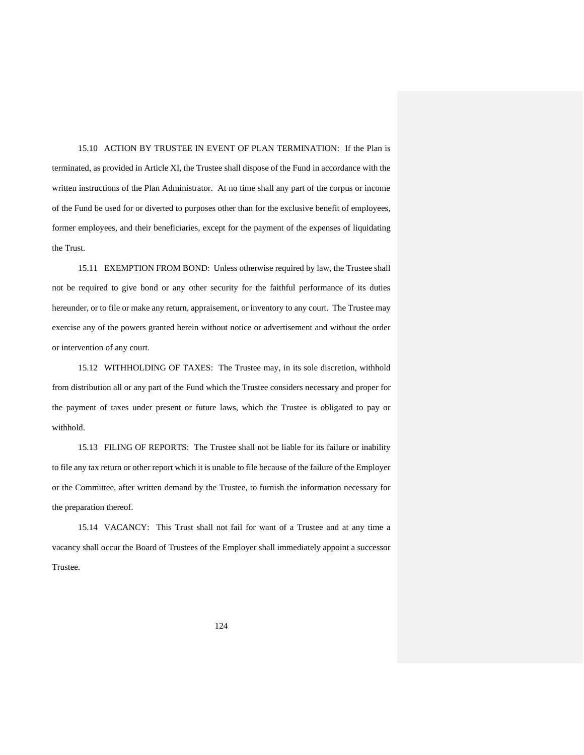15.10 ACTION BY TRUSTEE IN EVENT OF PLAN TERMINATION: If the Plan is terminated, as provided in Article XI, the Trustee shall dispose of the Fund in accordance with the written instructions of the Plan Administrator. At no time shall any part of the corpus or income of the Fund be used for or diverted to purposes other than for the exclusive benefit of employees, former employees, and their beneficiaries, except for the payment of the expenses of liquidating the Trust.

15.11 EXEMPTION FROM BOND: Unless otherwise required by law, the Trustee shall not be required to give bond or any other security for the faithful performance of its duties hereunder, or to file or make any return, appraisement, or inventory to any court. The Trustee may exercise any of the powers granted herein without notice or advertisement and without the order or intervention of any court.

15.12 WITHHOLDING OF TAXES: The Trustee may, in its sole discretion, withhold from distribution all or any part of the Fund which the Trustee considers necessary and proper for the payment of taxes under present or future laws, which the Trustee is obligated to pay or withhold.

15.13 FILING OF REPORTS: The Trustee shall not be liable for its failure or inability to file any tax return or other report which it is unable to file because of the failure of the Employer or the Committee, after written demand by the Trustee, to furnish the information necessary for the preparation thereof.

15.14 VACANCY: This Trust shall not fail for want of a Trustee and at any time a vacancy shall occur the Board of Trustees of the Employer shall immediately appoint a successor Trustee.

124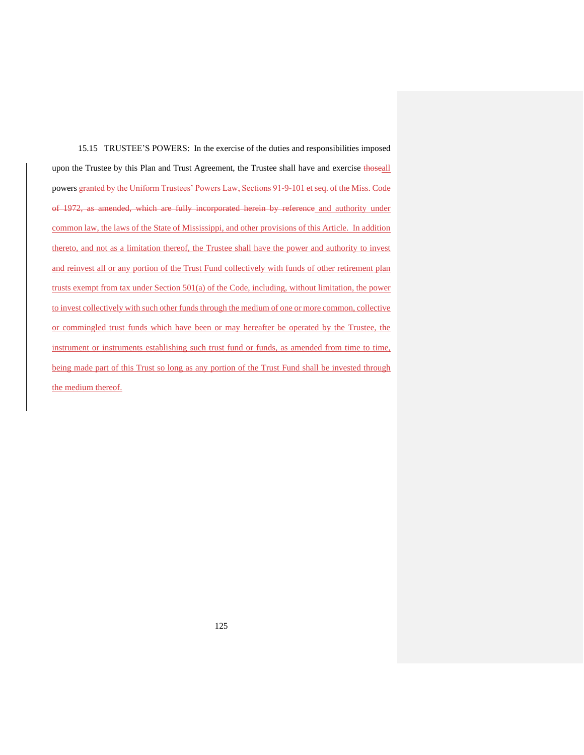15.15 TRUSTEE'S POWERS: In the exercise of the duties and responsibilities imposed upon the Trustee by this Plan and Trust Agreement, the Trustee shall have and exercise thoseall powers granted by the Uniform Trustees' Powers Law, Sections 91-9-101 et seq. of the Miss. Code of 1972, as amended, which are fully incorporated herein by reference and authority under common law, the laws of the State of Mississippi, and other provisions of this Article. In addition thereto, and not as a limitation thereof, the Trustee shall have the power and authority to invest and reinvest all or any portion of the Trust Fund collectively with funds of other retirement plan trusts exempt from tax under Section 501(a) of the Code, including, without limitation, the power to invest collectively with such other funds through the medium of one or more common, collective or commingled trust funds which have been or may hereafter be operated by the Trustee, the instrument or instruments establishing such trust fund or funds, as amended from time to time, being made part of this Trust so long as any portion of the Trust Fund shall be invested through the medium thereof.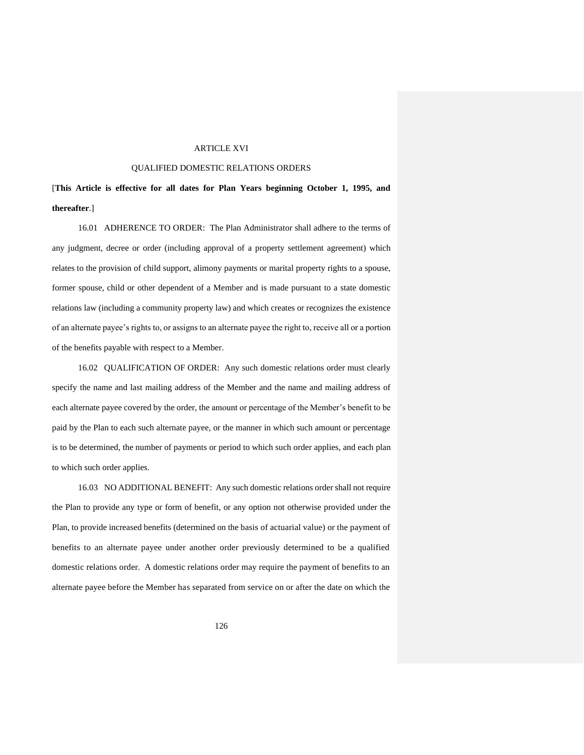# ARTICLE XVI

# QUALIFIED DOMESTIC RELATIONS ORDERS

[**This Article is effective for all dates for Plan Years beginning October 1, 1995, and thereafter**.]

16.01 ADHERENCE TO ORDER: The Plan Administrator shall adhere to the terms of any judgment, decree or order (including approval of a property settlement agreement) which relates to the provision of child support, alimony payments or marital property rights to a spouse, former spouse, child or other dependent of a Member and is made pursuant to a state domestic relations law (including a community property law) and which creates or recognizes the existence of an alternate payee's rights to, or assigns to an alternate payee the right to, receive all or a portion of the benefits payable with respect to a Member.

16.02 QUALIFICATION OF ORDER: Any such domestic relations order must clearly specify the name and last mailing address of the Member and the name and mailing address of each alternate payee covered by the order, the amount or percentage of the Member's benefit to be paid by the Plan to each such alternate payee, or the manner in which such amount or percentage is to be determined, the number of payments or period to which such order applies, and each plan to which such order applies.

16.03 NO ADDITIONAL BENEFIT: Any such domestic relations order shall not require the Plan to provide any type or form of benefit, or any option not otherwise provided under the Plan, to provide increased benefits (determined on the basis of actuarial value) or the payment of benefits to an alternate payee under another order previously determined to be a qualified domestic relations order. A domestic relations order may require the payment of benefits to an alternate payee before the Member has separated from service on or after the date on which the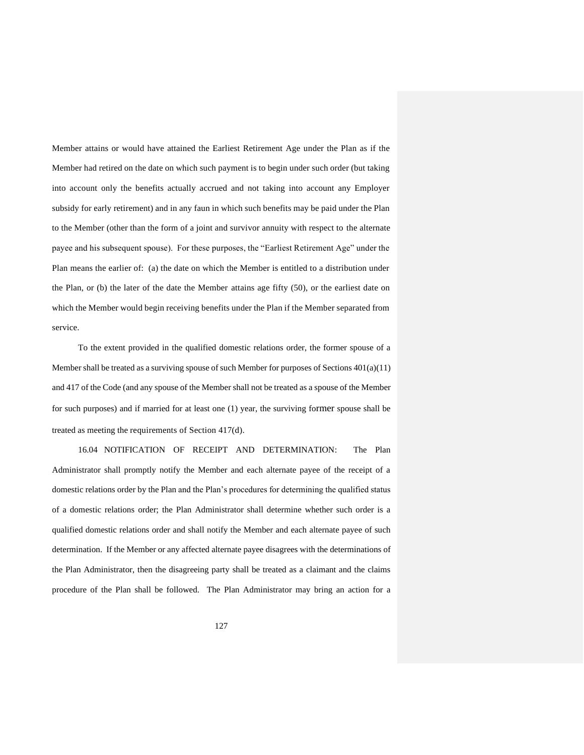Member attains or would have attained the Earliest Retirement Age under the Plan as if the Member had retired on the date on which such payment is to begin under such order (but taking into account only the benefits actually accrued and not taking into account any Employer subsidy for early retirement) and in any faun in which such benefits may be paid under the Plan to the Member (other than the form of a joint and survivor annuity with respect to the alternate payee and his subsequent spouse). For these purposes, the "Earliest Retirement Age" under the Plan means the earlier of: (a) the date on which the Member is entitled to a distribution under the Plan, or (b) the later of the date the Member attains age fifty (50), or the earliest date on which the Member would begin receiving benefits under the Plan if the Member separated from service.

To the extent provided in the qualified domestic relations order, the former spouse of a Member shall be treated as a surviving spouse of such Member for purposes of Sections 401(a)(11) and 417 of the Code (and any spouse of the Member shall not be treated as a spouse of the Member for such purposes) and if married for at least one (1) year, the surviving former spouse shall be treated as meeting the requirements of Section 417(d).

16.04 NOTIFICATION OF RECEIPT AND DETERMINATION: The Plan Administrator shall promptly notify the Member and each alternate payee of the receipt of a domestic relations order by the Plan and the Plan's procedures for determining the qualified status of a domestic relations order; the Plan Administrator shall determine whether such order is a qualified domestic relations order and shall notify the Member and each alternate payee of such determination. If the Member or any affected alternate payee disagrees with the determinations of the Plan Administrator, then the disagreeing party shall be treated as a claimant and the claims procedure of the Plan shall be followed. The Plan Administrator may bring an action for a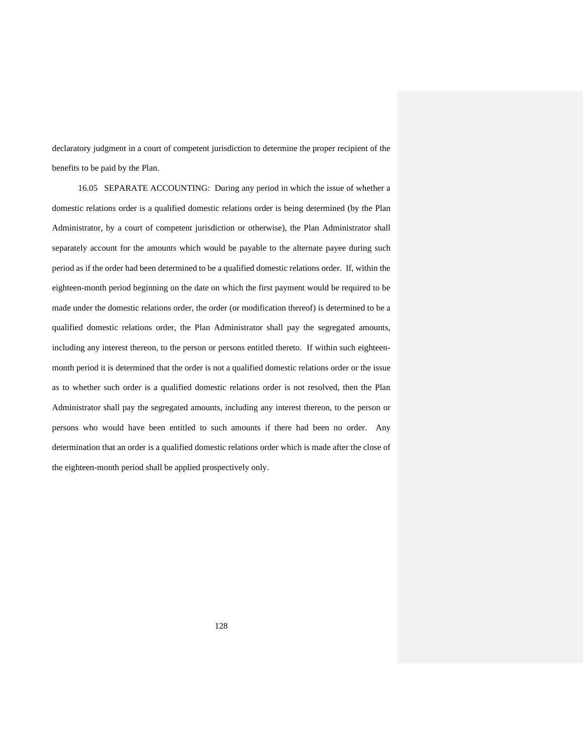declaratory judgment in a court of competent jurisdiction to determine the proper recipient of the benefits to be paid by the Plan.

16.05 SEPARATE ACCOUNTING: During any period in which the issue of whether a domestic relations order is a qualified domestic relations order is being determined (by the Plan Administrator, by a court of competent jurisdiction or otherwise), the Plan Administrator shall separately account for the amounts which would be payable to the alternate payee during such period as if the order had been determined to be a qualified domestic relations order. If, within the eighteen-month period beginning on the date on which the first payment would be required to be made under the domestic relations order, the order (or modification thereof) is determined to be a qualified domestic relations order, the Plan Administrator shall pay the segregated amounts, including any interest thereon, to the person or persons entitled thereto. If within such eighteenmonth period it is determined that the order is not a qualified domestic relations order or the issue as to whether such order is a qualified domestic relations order is not resolved, then the Plan Administrator shall pay the segregated amounts, including any interest thereon, to the person or persons who would have been entitled to such amounts if there had been no order. Any determination that an order is a qualified domestic relations order which is made after the close of the eighteen-month period shall be applied prospectively only.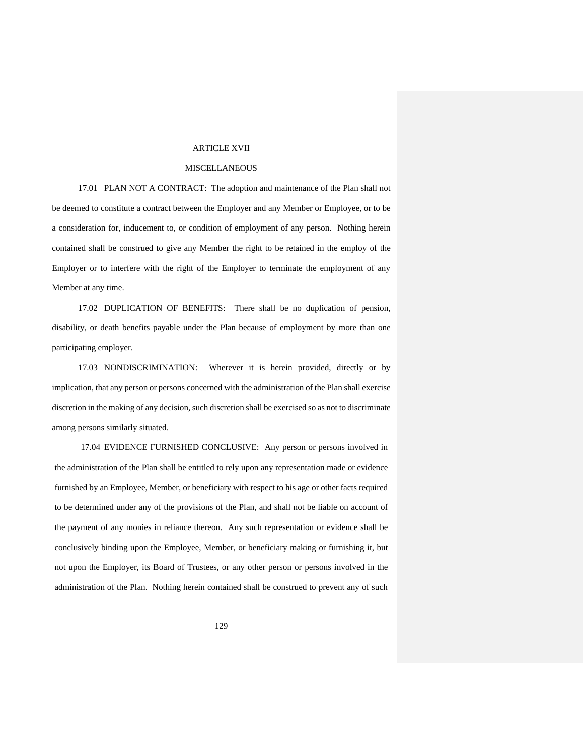### ARTICLE XVII

# MISCELLANEOUS

17.01 PLAN NOT A CONTRACT: The adoption and maintenance of the Plan shall not be deemed to constitute a contract between the Employer and any Member or Employee, or to be a consideration for, inducement to, or condition of employment of any person. Nothing herein contained shall be construed to give any Member the right to be retained in the employ of the Employer or to interfere with the right of the Employer to terminate the employment of any Member at any time.

17.02 DUPLICATION OF BENEFITS: There shall be no duplication of pension, disability, or death benefits payable under the Plan because of employment by more than one participating employer.

17.03 NONDISCRIMINATION: Wherever it is herein provided, directly or by implication, that any person or persons concerned with the administration of the Plan shall exercise discretion in the making of any decision, such discretion shall be exercised so as not to discriminate among persons similarly situated.

17.04 EVIDENCE FURNISHED CONCLUSIVE: Any person or persons involved in the administration of the Plan shall be entitled to rely upon any representation made or evidence furnished by an Employee, Member, or beneficiary with respect to his age or other facts required to be determined under any of the provisions of the Plan, and shall not be liable on account of the payment of any monies in reliance thereon. Any such representation or evidence shall be conclusively binding upon the Employee, Member, or beneficiary making or furnishing it, but not upon the Employer, its Board of Trustees, or any other person or persons involved in the administration of the Plan. Nothing herein contained shall be construed to prevent any of such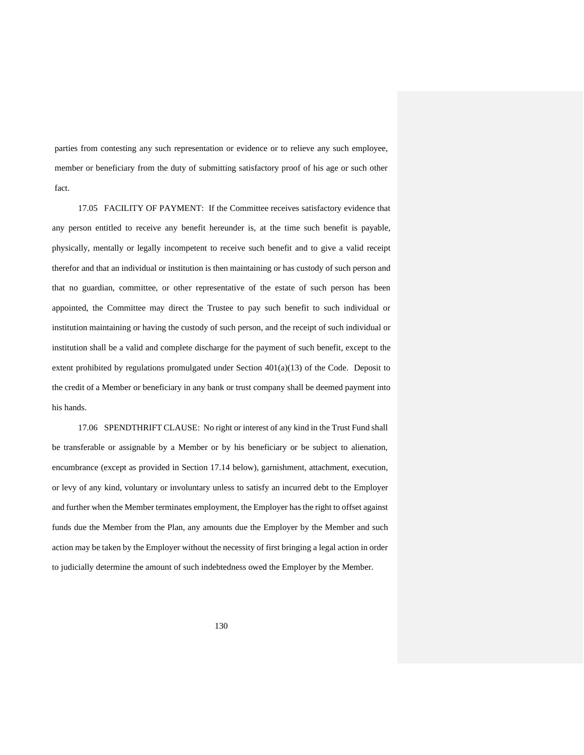parties from contesting any such representation or evidence or to relieve any such employee, member or beneficiary from the duty of submitting satisfactory proof of his age or such other fact.

17.05 FACILITY OF PAYMENT: If the Committee receives satisfactory evidence that any person entitled to receive any benefit hereunder is, at the time such benefit is payable, physically, mentally or legally incompetent to receive such benefit and to give a valid receipt therefor and that an individual or institution is then maintaining or has custody of such person and that no guardian, committee, or other representative of the estate of such person has been appointed, the Committee may direct the Trustee to pay such benefit to such individual or institution maintaining or having the custody of such person, and the receipt of such individual or institution shall be a valid and complete discharge for the payment of such benefit, except to the extent prohibited by regulations promulgated under Section  $401(a)(13)$  of the Code. Deposit to the credit of a Member or beneficiary in any bank or trust company shall be deemed payment into his hands.

17.06 SPENDTHRIFT CLAUSE: No right or interest of any kind in the Trust Fund shall be transferable or assignable by a Member or by his beneficiary or be subject to alienation, encumbrance (except as provided in Section 17.14 below), garnishment, attachment, execution, or levy of any kind, voluntary or involuntary unless to satisfy an incurred debt to the Employer and further when the Member terminates employment, the Employer has the right to offset against funds due the Member from the Plan, any amounts due the Employer by the Member and such action may be taken by the Employer without the necessity of first bringing a legal action in order to judicially determine the amount of such indebtedness owed the Employer by the Member.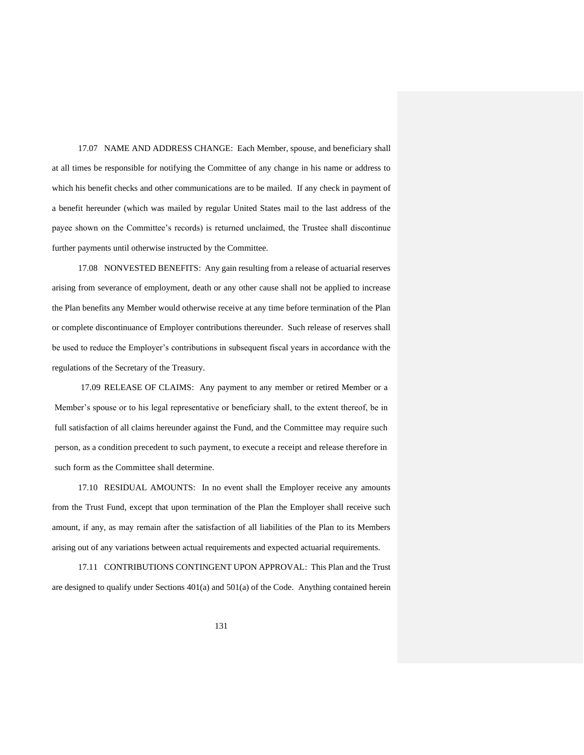17.07 NAME AND ADDRESS CHANGE: Each Member, spouse, and beneficiary shall at all times be responsible for notifying the Committee of any change in his name or address to which his benefit checks and other communications are to be mailed. If any check in payment of a benefit hereunder (which was mailed by regular United States mail to the last address of the payee shown on the Committee's records) is returned unclaimed, the Trustee shall discontinue further payments until otherwise instructed by the Committee.

17.08 NONVESTED BENEFITS: Any gain resulting from a release of actuarial reserves arising from severance of employment, death or any other cause shall not be applied to increase the Plan benefits any Member would otherwise receive at any time before termination of the Plan or complete discontinuance of Employer contributions thereunder. Such release of reserves shall be used to reduce the Employer's contributions in subsequent fiscal years in accordance with the regulations of the Secretary of the Treasury.

17.09 RELEASE OF CLAIMS: Any payment to any member or retired Member or a Member's spouse or to his legal representative or beneficiary shall, to the extent thereof, be in full satisfaction of all claims hereunder against the Fund, and the Committee may require such person, as a condition precedent to such payment, to execute a receipt and release therefore in such form as the Committee shall determine.

17.10 RESIDUAL AMOUNTS: In no event shall the Employer receive any amounts from the Trust Fund, except that upon termination of the Plan the Employer shall receive such amount, if any, as may remain after the satisfaction of all liabilities of the Plan to its Members arising out of any variations between actual requirements and expected actuarial requirements.

17.11 CONTRIBUTIONS CONTINGENT UPON APPROVAL: This Plan and the Trust are designed to qualify under Sections  $401(a)$  and  $501(a)$  of the Code. Anything contained herein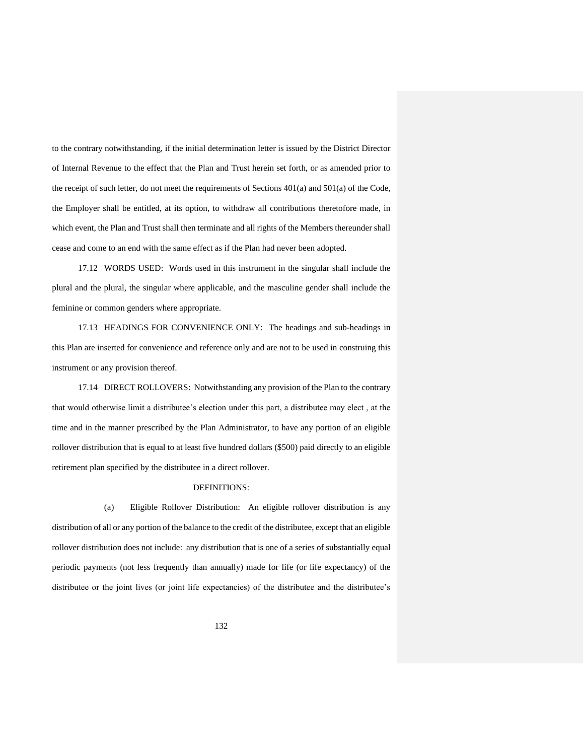to the contrary notwithstanding, if the initial determination letter is issued by the District Director of Internal Revenue to the effect that the Plan and Trust herein set forth, or as amended prior to the receipt of such letter, do not meet the requirements of Sections 401(a) and 501(a) of the Code, the Employer shall be entitled, at its option, to withdraw all contributions theretofore made, in which event, the Plan and Trust shall then terminate and all rights of the Members thereunder shall cease and come to an end with the same effect as if the Plan had never been adopted.

17.12 WORDS USED: Words used in this instrument in the singular shall include the plural and the plural, the singular where applicable, and the masculine gender shall include the feminine or common genders where appropriate.

17.13 HEADINGS FOR CONVENIENCE ONLY: The headings and sub-headings in this Plan are inserted for convenience and reference only and are not to be used in construing this instrument or any provision thereof.

17.14 DIRECT ROLLOVERS: Notwithstanding any provision of the Plan to the contrary that would otherwise limit a distributee's election under this part, a distributee may elect , at the time and in the manner prescribed by the Plan Administrator, to have any portion of an eligible rollover distribution that is equal to at least five hundred dollars (\$500) paid directly to an eligible retirement plan specified by the distributee in a direct rollover.

### DEFINITIONS:

(a) Eligible Rollover Distribution: An eligible rollover distribution is any distribution of all or any portion of the balance to the credit of the distributee, except that an eligible rollover distribution does not include: any distribution that is one of a series of substantially equal periodic payments (not less frequently than annually) made for life (or life expectancy) of the distributee or the joint lives (or joint life expectancies) of the distributee and the distributee's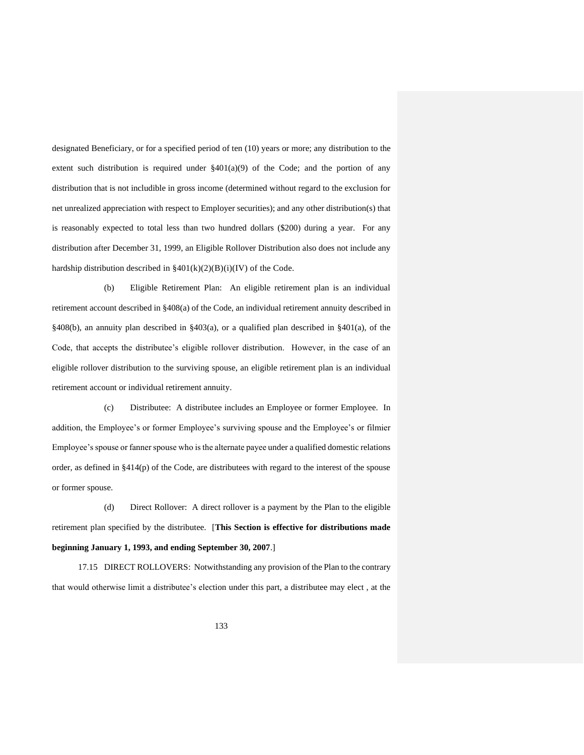designated Beneficiary, or for a specified period of ten (10) years or more; any distribution to the extent such distribution is required under  $\S401(a)(9)$  of the Code; and the portion of any distribution that is not includible in gross income (determined without regard to the exclusion for net unrealized appreciation with respect to Employer securities); and any other distribution(s) that is reasonably expected to total less than two hundred dollars (\$200) during a year. For any distribution after December 31, 1999, an Eligible Rollover Distribution also does not include any hardship distribution described in  $\frac{2401(k)(2)(B)(i)(IV)}{400}$  of the Code.

(b) Eligible Retirement Plan: An eligible retirement plan is an individual retirement account described in §408(a) of the Code, an individual retirement annuity described in §408(b), an annuity plan described in §403(a), or a qualified plan described in §401(a), of the Code, that accepts the distributee's eligible rollover distribution. However, in the case of an eligible rollover distribution to the surviving spouse, an eligible retirement plan is an individual retirement account or individual retirement annuity.

(c) Distributee: A distributee includes an Employee or former Employee. In addition, the Employee's or former Employee's surviving spouse and the Employee's or filmier Employee's spouse or fanner spouse who is the alternate payee under a qualified domestic relations order, as defined in §414(p) of the Code, are distributees with regard to the interest of the spouse or former spouse.

(d) Direct Rollover: A direct rollover is a payment by the Plan to the eligible retirement plan specified by the distributee. [**This Section is effective for distributions made beginning January 1, 1993, and ending September 30, 2007**.]

17.15 DIRECT ROLLOVERS: Notwithstanding any provision of the Plan to the contrary that would otherwise limit a distributee's election under this part, a distributee may elect , at the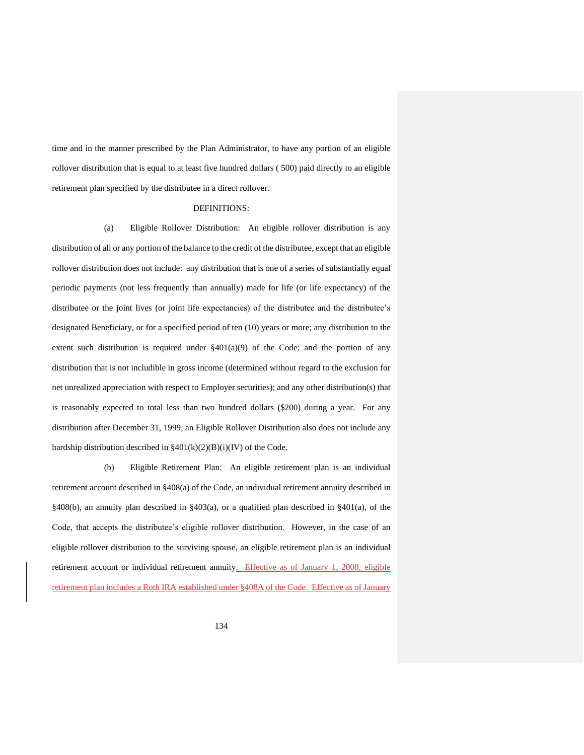time and in the manner prescribed by the Plan Administrator, to have any portion of an eligible rollover distribution that is equal to at least five hundred dollars ( 500) paid directly to an eligible retirement plan specified by the distributee in a direct rollover.

#### DEFINITIONS:

(a) Eligible Rollover Distribution: An eligible rollover distribution is any distribution of all or any portion of the balance to the credit of the distributee, except that an eligible rollover distribution does not include: any distribution that is one of a series of substantially equal periodic payments (not less frequently than annually) made for life (or life expectancy) of the distributee or the joint lives (or joint life expectancies) of the distributee and the distributee's designated Beneficiary, or for a specified period of ten (10) years or more; any distribution to the extent such distribution is required under  $\S401(a)(9)$  of the Code; and the portion of any distribution that is not includible in gross income (determined without regard to the exclusion for net unrealized appreciation with respect to Employer securities); and any other distribution(s) that is reasonably expected to total less than two hundred dollars (\$200) during a year. For any distribution after December 31, 1999, an Eligible Rollover Distribution also does not include any hardship distribution described in  $\S 401(k)(2)(B)(i)(IV)$  of the Code.

(b) Eligible Retirement Plan: An eligible retirement plan is an individual retirement account described in §408(a) of the Code, an individual retirement annuity described in §408(b), an annuity plan described in §403(a), or a qualified plan described in §401(a), of the Code, that accepts the distributee's eligible rollover distribution. However, in the case of an eligible rollover distribution to the surviving spouse, an eligible retirement plan is an individual retirement account or individual retirement annuity. Effective as of January 1, 2008, eligible retirement plan includes a Roth IRA established under §408A of the Code. Effective as of January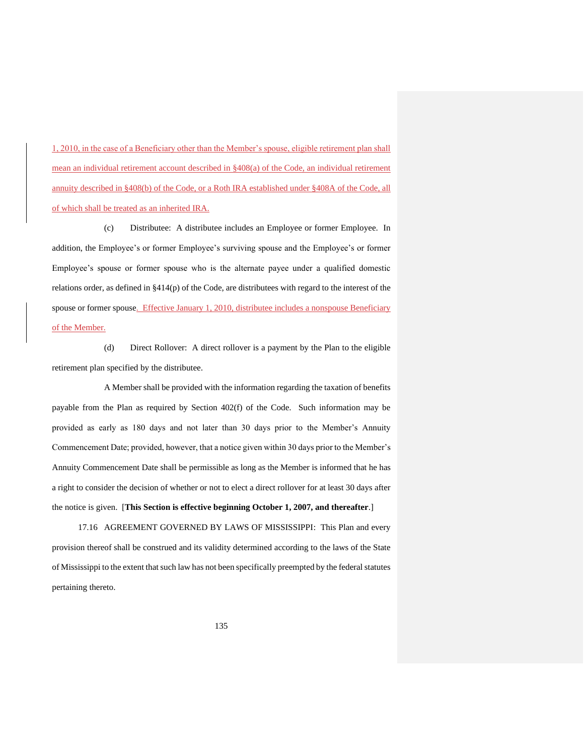1, 2010, in the case of a Beneficiary other than the Member's spouse, eligible retirement plan shall mean an individual retirement account described in §408(a) of the Code, an individual retirement annuity described in §408(b) of the Code, or a Roth IRA established under §408A of the Code, all of which shall be treated as an inherited IRA.

(c) Distributee: A distributee includes an Employee or former Employee. In addition, the Employee's or former Employee's surviving spouse and the Employee's or former Employee's spouse or former spouse who is the alternate payee under a qualified domestic relations order, as defined in §414(p) of the Code, are distributees with regard to the interest of the spouse or former spouse. Effective January 1, 2010, distributee includes a nonspouse Beneficiary of the Member.

(d) Direct Rollover: A direct rollover is a payment by the Plan to the eligible retirement plan specified by the distributee.

A Member shall be provided with the information regarding the taxation of benefits payable from the Plan as required by Section 402(f) of the Code. Such information may be provided as early as 180 days and not later than 30 days prior to the Member's Annuity Commencement Date; provided, however, that a notice given within 30 days prior to the Member's Annuity Commencement Date shall be permissible as long as the Member is informed that he has a right to consider the decision of whether or not to elect a direct rollover for at least 30 days after the notice is given. [**This Section is effective beginning October 1, 2007, and thereafter**.]

17.16 AGREEMENT GOVERNED BY LAWS OF MISSISSIPPI: This Plan and every provision thereof shall be construed and its validity determined according to the laws of the State of Mississippi to the extent that such law has not been specifically preempted by the federal statutes pertaining thereto.

135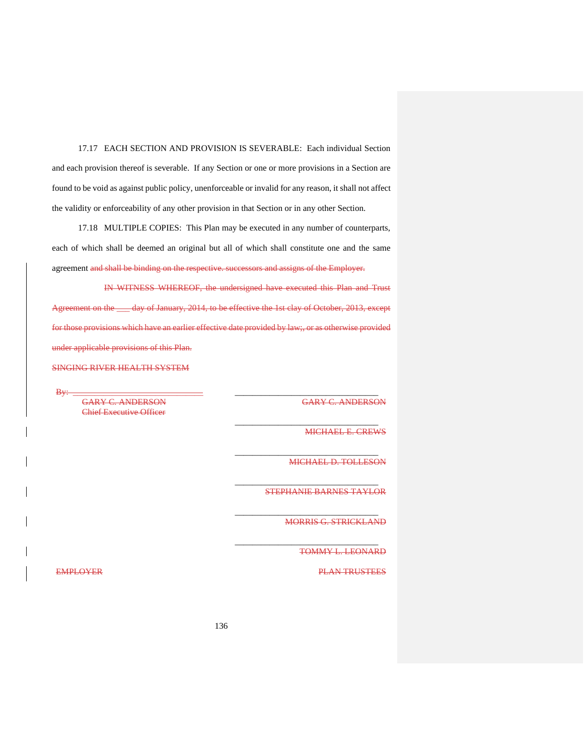17.17 EACH SECTION AND PROVISION IS SEVERABLE: Each individual Section and each provision thereof is severable. If any Section or one or more provisions in a Section are found to be void as against public policy, unenforceable or invalid for any reason, it shall not affect the validity or enforceability of any other provision in that Section or in any other Section.

17.18 MULTIPLE COPIES: This Plan may be executed in any number of counterparts, each of which shall be deemed an original but all of which shall constitute one and the same agreement and shall be binding on the respective. successors and assigns of the Employer.

IN WITNESS WHEREOF, the undersigned have executed this Plan and Trust Agreement on the \_\_\_ day of January, 2014, to be effective the 1st clay of October, 2013, except for those provisions which have an earlier effective date provided by law;, or as otherwise provided under applicable provisions of this Plan.

SINGING RIVER HEALTH SYSTEM

By: \_\_\_\_\_\_\_\_\_\_\_\_\_\_\_\_\_\_\_\_\_\_\_\_\_\_\_\_\_\_ \_\_\_\_\_\_\_\_\_\_\_\_\_\_\_\_\_\_\_\_\_\_\_\_\_\_\_\_\_\_\_\_\_ GARY C. ANDERSON GARY C. ANDERSON Chief Executive Officer

MICHAEL E. CREWS

MICHAEL D. TOLLESON

STEPHANIE BARNES TAYLOR

\_\_\_\_\_\_\_\_\_\_\_\_\_\_\_\_\_\_\_\_\_\_\_\_\_\_\_\_\_\_\_\_\_

\_\_\_\_\_\_\_\_\_\_\_\_\_\_\_\_\_\_\_\_\_\_\_\_\_\_\_\_\_\_\_\_\_

\_\_\_\_\_\_\_\_\_\_\_\_\_\_\_\_\_\_\_\_\_\_\_\_\_\_\_\_\_\_\_\_\_

\_\_\_\_\_\_\_\_\_\_\_\_\_\_\_\_\_\_\_\_\_\_\_\_\_\_\_\_\_\_\_\_\_

\_\_\_\_\_\_\_\_\_\_\_\_\_\_\_\_\_\_\_\_\_\_\_\_\_\_\_\_\_\_\_\_\_

MORRIS G. STRICKLAND

TOMMY L. LEONARD

EMPLOYER CONTROL CONTROL CONTROL CONTROL CONTROL CONTROL CONTROL CONTROL CONTROL CONTROL CONTROL CONTROL CONTROL CONTROL CONTROL CONTROL CONTROL CONTROL CONTROL CONTROL CONTROL CONTROL CONTROL CONTROL CONTROL CONTROL CONTR